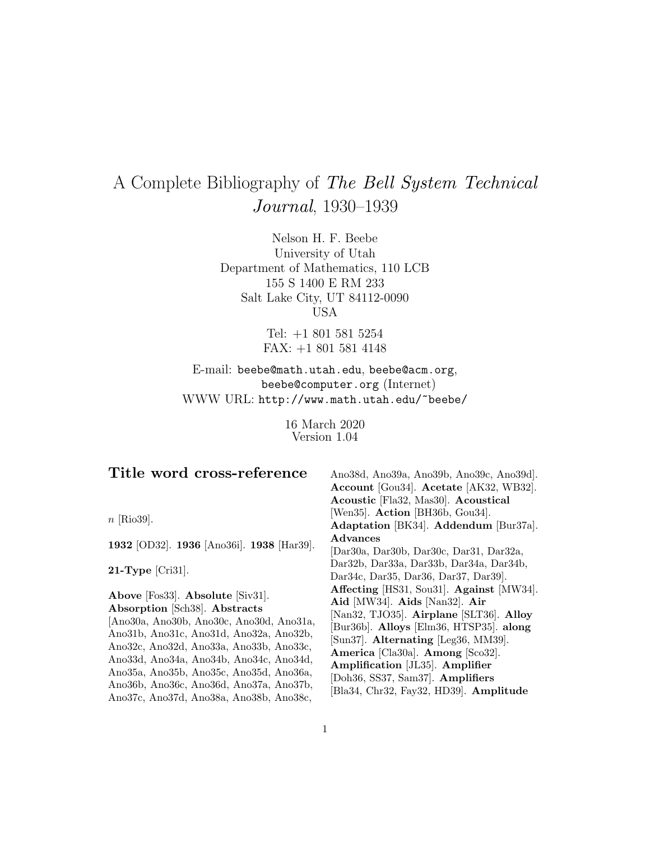# A Complete Bibliography of The Bell System Technical Journal, 1930–1939

Nelson H. F. Beebe University of Utah Department of Mathematics, 110 LCB 155 S 1400 E RM 233 Salt Lake City, UT 84112-0090 USA

> Tel: +1 801 581 5254 FAX: +1 801 581 4148

E-mail: beebe@math.utah.edu, beebe@acm.org, beebe@computer.org (Internet) WWW URL: http://www.math.utah.edu/~beebe/

> 16 March 2020 Version 1.04

| Title word cross-reference                                                                                                                                                                                                                                                                                                                                                      | Ano38d, Ano39a, Ano39b, Ano39c, Ano39d.<br>Account [Gou34]. Acetate [AK32, WB32].                                                                                                                                                                                                                                                                           |
|---------------------------------------------------------------------------------------------------------------------------------------------------------------------------------------------------------------------------------------------------------------------------------------------------------------------------------------------------------------------------------|-------------------------------------------------------------------------------------------------------------------------------------------------------------------------------------------------------------------------------------------------------------------------------------------------------------------------------------------------------------|
|                                                                                                                                                                                                                                                                                                                                                                                 | Acoustic [Fla32, Mas30]. Acoustical                                                                                                                                                                                                                                                                                                                         |
| $n$ [Rio39].                                                                                                                                                                                                                                                                                                                                                                    | [Wen35]. Action [BH36b, Gou34].<br>Adaptation [BK34]. Addendum [Bur37a].                                                                                                                                                                                                                                                                                    |
| 1932 [OD32]. 1936 [Ano36i]. 1938 [Har39].                                                                                                                                                                                                                                                                                                                                       | Advances<br>[Dar30a, Dar30b, Dar30c, Dar31, Dar32a,                                                                                                                                                                                                                                                                                                         |
| $21$ -Type [Cri31].                                                                                                                                                                                                                                                                                                                                                             | Dar32b, Dar33a, Dar33b, Dar34a, Dar34b,<br>Dar34c, Dar35, Dar36, Dar37, Dar39.                                                                                                                                                                                                                                                                              |
| Above [Fos33]. Absolute [Siv31].<br>Absorption [Sch38]. Abstracts<br>[Ano30a, Ano30b, Ano30c, Ano30d, Ano31a,<br>Ano31b, Ano31c, Ano31d, Ano32a, Ano32b,<br>Ano32c, Ano32d, Ano33a, Ano33b, Ano33c,<br>Ano33d, Ano34a, Ano34b, Ano34c, Ano34d,<br>Ano35a, Ano35b, Ano35c, Ano35d, Ano36a,<br>Ano36b, Ano36c, Ano36d, Ano37a, Ano37b,<br>Ano37c, Ano37d, Ano38a, Ano38b, Ano38c, | Affecting [HS31, Sou31]. Against [MW34].<br>Aid [MW34]. Aids [Nan32]. Air<br>[Nan32, TJO35]. Airplane [SLT36]. Alloy<br>[Bur36b]. Alloys [Elm36, HTSP35]. along<br>[Sun37]. Alternating [Leg36, MM39].<br>America [Cla30a]. Among [Sco32].<br>Amplification [JL35]. Amplifier<br>[Doh36, SS37, Sam37]. Amplifiers<br>[Bla34, Chr32, Fay32, HD39]. Amplitude |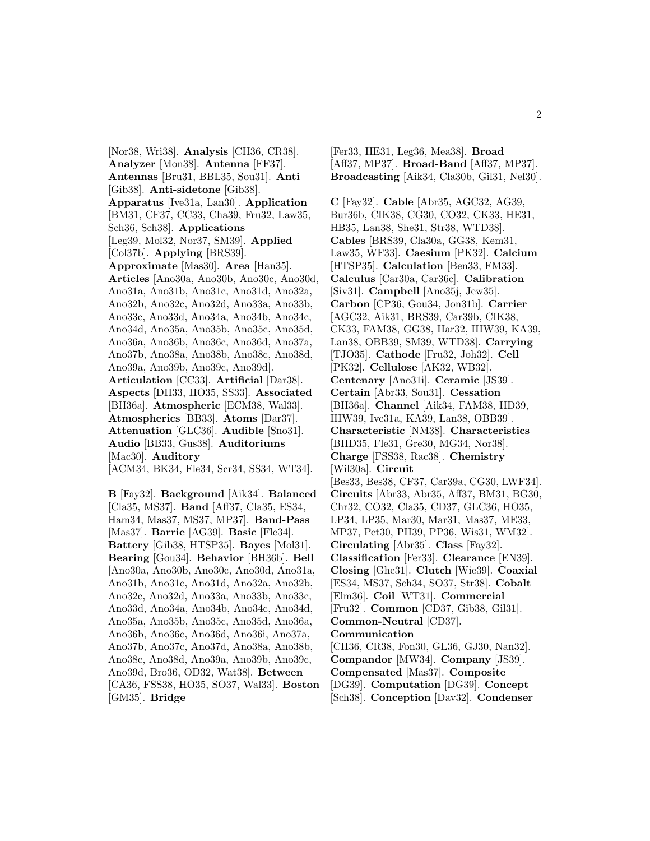[Nor38, Wri38]. **Analysis** [CH36, CR38]. **Analyzer** [Mon38]. **Antenna** [FF37]. **Antennas** [Bru31, BBL35, Sou31]. **Anti** [Gib38]. **Anti-sidetone** [Gib38]. **Apparatus** [Ive31a, Lan30]. **Application** [BM31, CF37, CC33, Cha39, Fru32, Law35, Sch36, Sch38]. **Applications** [Leg39, Mol32, Nor37, SM39]. **Applied** [Col37b]. **Applying** [BRS39]. **Approximate** [Mas30]. **Area** [Han35]. **Articles** [Ano30a, Ano30b, Ano30c, Ano30d, Ano31a, Ano31b, Ano31c, Ano31d, Ano32a, Ano32b, Ano32c, Ano32d, Ano33a, Ano33b, Ano33c, Ano33d, Ano34a, Ano34b, Ano34c, Ano34d, Ano35a, Ano35b, Ano35c, Ano35d, Ano36a, Ano36b, Ano36c, Ano36d, Ano37a, Ano37b, Ano38a, Ano38b, Ano38c, Ano38d, Ano39a, Ano39b, Ano39c, Ano39d]. **Articulation** [CC33]. **Artificial** [Dar38]. **Aspects** [DH33, HO35, SS33]. **Associated** [BH36a]. **Atmospheric** [ECM38, Wal33]. **Atmospherics** [BB33]. **Atoms** [Dar37]. **Attenuation** [GLC36]. **Audible** [Sno31]. **Audio** [BB33, Gus38]. **Auditoriums** [Mac30]. **Auditory** [ACM34, BK34, Fle34, Scr34, SS34, WT34]. **B** [Fay32]. **Background** [Aik34]. **Balanced** [Cla35, MS37]. **Band** [Aff37, Cla35, ES34, Ham34, Mas37, MS37, MP37]. **Band-Pass** [Mas37]. **Barrie** [AG39]. **Basic** [Fle34]. **Battery** [Gib38, HTSP35]. **Bayes** [Mol31]. **Bearing** [Gou34]. **Behavior** [BH36b]. **Bell** [Ano30a, Ano30b, Ano30c, Ano30d, Ano31a, Ano31b, Ano31c, Ano31d, Ano32a, Ano32b,

Ano32c, Ano32d, Ano33a, Ano33b, Ano33c, Ano33d, Ano34a, Ano34b, Ano34c, Ano34d, Ano35a, Ano35b, Ano35c, Ano35d, Ano36a, Ano36b, Ano36c, Ano36d, Ano36i, Ano37a, Ano37b, Ano37c, Ano37d, Ano38a, Ano38b, Ano38c, Ano38d, Ano39a, Ano39b, Ano39c, Ano39d, Bro36, OD32, Wat38]. **Between** [CA36, FSS38, HO35, SO37, Wal33]. **Boston**

**C** [Fay32]. **Cable** [Abr35, AGC32, AG39, Bur36b, CIK38, CG30, CO32, CK33, HE31, HB35, Lan38, She31, Str38, WTD38].

[Fer33, HE31, Leg36, Mea38]. **Broad** [Aff37, MP37]. **Broad-Band** [Aff37, MP37]. **Broadcasting** [Aik34, Cla30b, Gil31, Nel30].

**Cables** [BRS39, Cla30a, GG38, Kem31, Law35, WF33]. **Caesium** [PK32]. **Calcium** [HTSP35]. **Calculation** [Ben33, FM33]. **Calculus** [Car30a, Car36c]. **Calibration** [Siv31]. **Campbell** [Ano35j, Jew35]. **Carbon** [CP36, Gou34, Jon31b]. **Carrier** [AGC32, Aik31, BRS39, Car39b, CIK38, CK33, FAM38, GG38, Har32, IHW39, KA39, Lan38, OBB39, SM39, WTD38]. **Carrying** [TJO35]. **Cathode** [Fru32, Joh32]. **Cell** [PK32]. **Cellulose** [AK32, WB32]. **Centenary** [Ano31i]. **Ceramic** [JS39]. **Certain** [Abr33, Sou31]. **Cessation** [BH36a]. **Channel** [Aik34, FAM38, HD39, IHW39, Ive31a, KA39, Lan38, OBB39]. **Characteristic** [NM38]. **Characteristics** [BHD35, Fle31, Gre30, MG34, Nor38]. **Charge** [FSS38, Rac38]. **Chemistry** [Wil30a]. **Circuit** [Bes33, Bes38, CF37, Car39a, CG30, LWF34]. **Circuits** [Abr33, Abr35, Aff37, BM31, BG30, Chr32, CO32, Cla35, CD37, GLC36, HO35, LP34, LP35, Mar30, Mar31, Mas37, ME33, MP37, Pet30, PH39, PP36, Wis31, WM32]. **Circulating** [Abr35]. **Class** [Fay32]. **Classification** [Fer33]. **Clearance** [EN39]. **Closing** [Ghe31]. **Clutch** [Wie39]. **Coaxial** [ES34, MS37, Sch34, SO37, Str38]. **Cobalt** [Elm36]. **Coil** [WT31]. **Commercial** [Fru32]. **Common** [CD37, Gib38, Gil31]. **Common-Neutral** [CD37]. **Communication** [CH36, CR38, Fon30, GL36, GJ30, Nan32]. **Compandor** [MW34]. **Company** [JS39]. **Compensated** [Mas37]. **Composite** [DG39]. **Computation** [DG39]. **Concept**

[GM35]. **Bridge**

[Sch38]. **Conception** [Dav32]. **Condenser**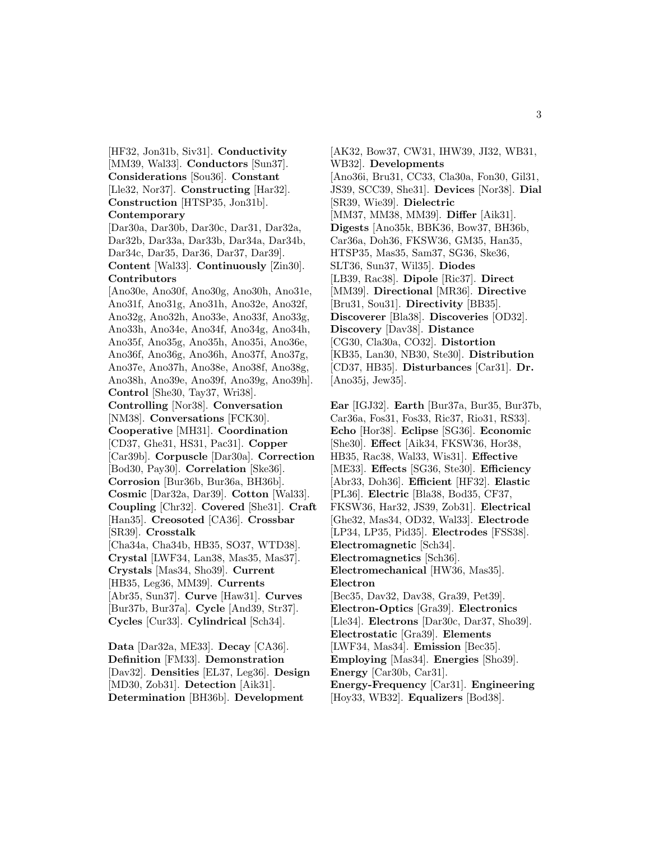[HF32, Jon31b, Siv31]. **Conductivity** [MM39, Wal33]. **Conductors** [Sun37]. **Considerations** [Sou36]. **Constant** [Lle32, Nor37]. **Constructing** [Har32]. **Construction** [HTSP35, Jon31b].

# **Contemporary**

[Dar30a, Dar30b, Dar30c, Dar31, Dar32a, Dar32b, Dar33a, Dar33b, Dar34a, Dar34b, Dar34c, Dar35, Dar36, Dar37, Dar39]. **Content** [Wal33]. **Continuously** [Zin30]. **Contributors**

[Ano30e, Ano30f, Ano30g, Ano30h, Ano31e, Ano31f, Ano31g, Ano31h, Ano32e, Ano32f, Ano32g, Ano32h, Ano33e, Ano33f, Ano33g, Ano33h, Ano34e, Ano34f, Ano34g, Ano34h, Ano35f, Ano35g, Ano35h, Ano35i, Ano36e, Ano36f, Ano36g, Ano36h, Ano37f, Ano37g, Ano37e, Ano37h, Ano38e, Ano38f, Ano38g, Ano38h, Ano39e, Ano39f, Ano39g, Ano39h]. **Control** [She30, Tay37, Wri38]. **Controlling** [Nor38]. **Conversation** [NM38]. **Conversations** [FCK30]. **Cooperative** [MH31]. **Coordination** [CD37, Ghe31, HS31, Pac31]. **Copper** [Car39b]. **Corpuscle** [Dar30a]. **Correction** [Bod30, Pay30]. **Correlation** [Ske36]. **Corrosion** [Bur36b, Bur36a, BH36b]. **Cosmic** [Dar32a, Dar39]. **Cotton** [Wal33]. **Coupling** [Chr32]. **Covered** [She31]. **Craft** [Han35]. **Creosoted** [CA36]. **Crossbar** [SR39]. **Crosstalk** [Cha34a, Cha34b, HB35, SO37, WTD38]. **Crystal** [LWF34, Lan38, Mas35, Mas37]. **Crystals** [Mas34, Sho39]. **Current** [HB35, Leg36, MM39]. **Currents** [Abr35, Sun37]. **Curve** [Haw31]. **Curves** [Bur37b, Bur37a]. **Cycle** [And39, Str37]. **Cycles** [Cur33]. **Cylindrical** [Sch34].

**Data** [Dar32a, ME33]. **Decay** [CA36]. **Definition** [FM33]. **Demonstration** [Dav32]. **Densities** [EL37, Leg36]. **Design** [MD30, Zob31]. **Detection** [Aik31]. **Determination** [BH36b]. **Development**

[AK32, Bow37, CW31, IHW39, JI32, WB31, WB32]. **Developments** [Ano36i, Bru31, CC33, Cla30a, Fon30, Gil31, JS39, SCC39, She31]. **Devices** [Nor38]. **Dial** [SR39, Wie39]. **Dielectric** [MM37, MM38, MM39]. **Differ** [Aik31]. **Digests** [Ano35k, BBK36, Bow37, BH36b, Car36a, Doh36, FKSW36, GM35, Han35, HTSP35, Mas35, Sam37, SG36, Ske36, SLT36, Sun37, Wil35]. **Diodes** [LB39, Rac38]. **Dipole** [Ric37]. **Direct** [MM39]. **Directional** [MR36]. **Directive** [Bru31, Sou31]. **Directivity** [BB35]. **Discoverer** [Bla38]. **Discoveries** [OD32]. **Discovery** [Dav38]. **Distance** [CG30, Cla30a, CO32]. **Distortion** [KB35, Lan30, NB30, Ste30]. **Distribution** [CD37, HB35]. **Disturbances** [Car31]. **Dr.** [Ano35j, Jew35].

**Ear** [IGJ32]. **Earth** [Bur37a, Bur35, Bur37b, Car36a, Fos31, Fos33, Ric37, Rio31, RS33]. **Echo** [Hor38]. **Eclipse** [SG36]. **Economic** [She30]. **Effect** [Aik34, FKSW36, Hor38, HB35, Rac38, Wal33, Wis31]. **Effective** [ME33]. **Effects** [SG36, Ste30]. **Efficiency** [Abr33, Doh36]. **Efficient** [HF32]. **Elastic** [PL36]. **Electric** [Bla38, Bod35, CF37, FKSW36, Har32, JS39, Zob31]. **Electrical** [Ghe32, Mas34, OD32, Wal33]. **Electrode** [LP34, LP35, Pid35]. **Electrodes** [FSS38]. **Electromagnetic** [Sch34]. **Electromagnetics** [Sch36]. **Electromechanical** [HW36, Mas35]. **Electron** [Bec35, Dav32, Dav38, Gra39, Pet39]. **Electron-Optics** [Gra39]. **Electronics** [Lle34]. **Electrons** [Dar30c, Dar37, Sho39]. **Electrostatic** [Gra39]. **Elements** [LWF34, Mas34]. **Emission** [Bec35]. **Employing** [Mas34]. **Energies** [Sho39]. **Energy** [Car30b, Car31]. **Energy-Frequency** [Car31]. **Engineering** [Hoy33, WB32]. **Equalizers** [Bod38].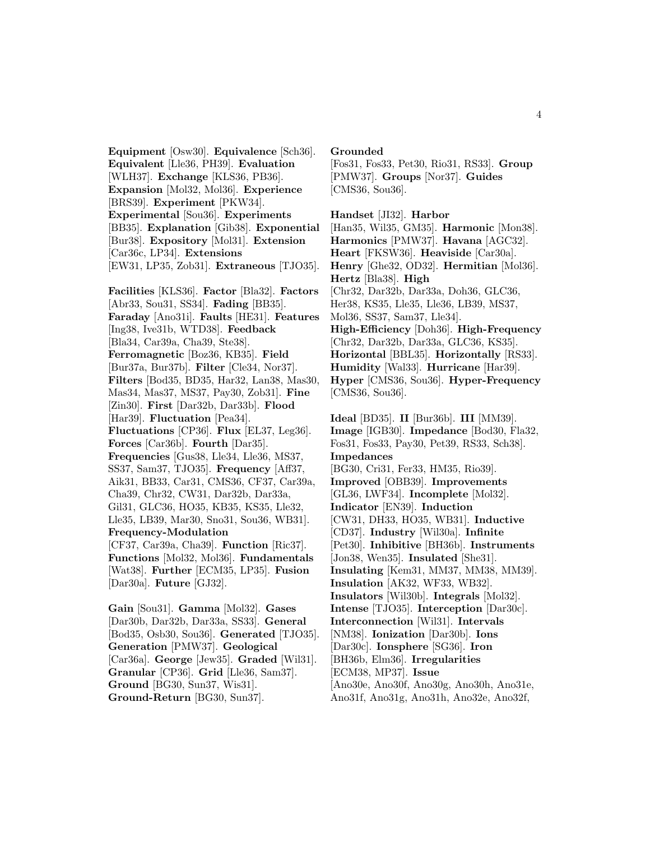**Equipment** [Osw30]. **Equivalence** [Sch36]. **Equivalent** [Lle36, PH39]. **Evaluation** [WLH37]. **Exchange** [KLS36, PB36]. **Expansion** [Mol32, Mol36]. **Experience** [BRS39]. **Experiment** [PKW34]. **Experimental** [Sou36]. **Experiments** [BB35]. **Explanation** [Gib38]. **Exponential** [Bur38]. **Expository** [Mol31]. **Extension** [Car36c, LP34]. **Extensions** [EW31, LP35, Zob31]. **Extraneous** [TJO35].

**Facilities** [KLS36]. **Factor** [Bla32]. **Factors** [Abr33, Sou31, SS34]. **Fading** [BB35]. **Faraday** [Ano31i]. **Faults** [HE31]. **Features** [Ing38, Ive31b, WTD38]. **Feedback** [Bla34, Car39a, Cha39, Ste38]. **Ferromagnetic** [Boz36, KB35]. **Field** [Bur37a, Bur37b]. **Filter** [Cle34, Nor37]. **Filters** [Bod35, BD35, Har32, Lan38, Mas30, Mas34, Mas37, MS37, Pay30, Zob31]. **Fine** [Zin30]. **First** [Dar32b, Dar33b]. **Flood** [Har39]. **Fluctuation** [Pea34]. **Fluctuations** [CP36]. **Flux** [EL37, Leg36]. **Forces** [Car36b]. **Fourth** [Dar35]. **Frequencies** [Gus38, Lle34, Lle36, MS37, SS37, Sam37, TJO35]. **Frequency** [Aff37, Aik31, BB33, Car31, CMS36, CF37, Car39a, Cha39, Chr32, CW31, Dar32b, Dar33a, Gil31, GLC36, HO35, KB35, KS35, Lle32, Lle35, LB39, Mar30, Sno31, Sou36, WB31]. **Frequency-Modulation** [CF37, Car39a, Cha39]. **Function** [Ric37]. **Functions** [Mol32, Mol36]. **Fundamentals** [Wat38]. **Further** [ECM35, LP35]. **Fusion** [Dar30a]. **Future** [GJ32].

**Gain** [Sou31]. **Gamma** [Mol32]. **Gases** [Dar30b, Dar32b, Dar33a, SS33]. **General** [Bod35, Osb30, Sou36]. **Generated** [TJO35]. **Generation** [PMW37]. **Geological** [Car36a]. **George** [Jew35]. **Graded** [Wil31]. **Granular** [CP36]. **Grid** [Lle36, Sam37]. **Ground** [BG30, Sun37, Wis31]. **Ground-Return** [BG30, Sun37].

**Grounded**

[Fos31, Fos33, Pet30, Rio31, RS33]. **Group** [PMW37]. **Groups** [Nor37]. **Guides** [CMS36, Sou36].

**Handset** [JI32]. **Harbor** [Han35, Wil35, GM35]. **Harmonic** [Mon38]. **Harmonics** [PMW37]. **Havana** [AGC32]. **Heart** [FKSW36]. **Heaviside** [Car30a]. **Henry** [Ghe32, OD32]. **Hermitian** [Mol36]. **Hertz** [Bla38]. **High** [Chr32, Dar32b, Dar33a, Doh36, GLC36, Her38, KS35, Lle35, Lle36, LB39, MS37, Mol36, SS37, Sam37, Lle34]. **High-Efficiency** [Doh36]. **High-Frequency** [Chr32, Dar32b, Dar33a, GLC36, KS35]. **Horizontal** [BBL35]. **Horizontally** [RS33]. **Humidity** [Wal33]. **Hurricane** [Har39]. **Hyper** [CMS36, Sou36]. **Hyper-Frequency** [CMS36, Sou36].

**Ideal** [BD35]. **II** [Bur36b]. **III** [MM39]. **Image** [IGB30]. **Impedance** [Bod30, Fla32, Fos31, Fos33, Pay30, Pet39, RS33, Sch38]. **Impedances** [BG30, Cri31, Fer33, HM35, Rio39]. **Improved** [OBB39]. **Improvements** [GL36, LWF34]. **Incomplete** [Mol32]. **Indicator** [EN39]. **Induction** [CW31, DH33, HO35, WB31]. **Inductive** [CD37]. **Industry** [Wil30a]. **Infinite** [Pet30]. **Inhibitive** [BH36b]. **Instruments** [Jon38, Wen35]. **Insulated** [She31]. **Insulating** [Kem31, MM37, MM38, MM39]. **Insulation** [AK32, WF33, WB32]. **Insulators** [Wil30b]. **Integrals** [Mol32]. **Intense** [TJO35]. **Interception** [Dar30c]. **Interconnection** [Wil31]. **Intervals** [NM38]. **Ionization** [Dar30b]. **Ions** [Dar30c]. **Ionsphere** [SG36]. **Iron** [BH36b, Elm36]. **Irregularities** [ECM38, MP37]. **Issue** [Ano30e, Ano30f, Ano30g, Ano30h, Ano31e, Ano31f, Ano31g, Ano31h, Ano32e, Ano32f,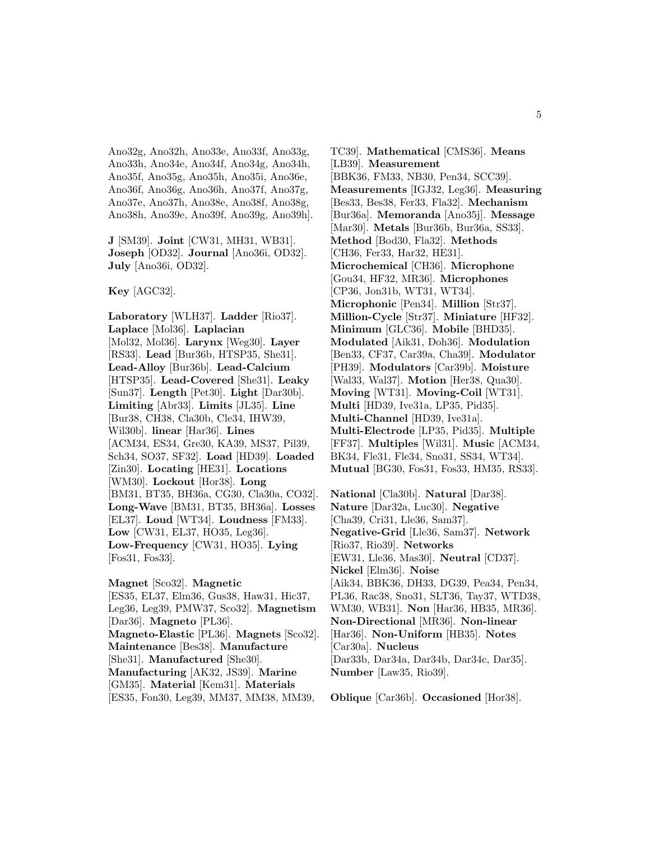Ano32g, Ano32h, Ano33e, Ano33f, Ano33g, Ano33h, Ano34e, Ano34f, Ano34g, Ano34h, Ano35f, Ano35g, Ano35h, Ano35i, Ano36e, Ano36f, Ano36g, Ano36h, Ano37f, Ano37g, Ano37e, Ano37h, Ano38e, Ano38f, Ano38g, Ano38h, Ano39e, Ano39f, Ano39g, Ano39h].

**J** [SM39]. **Joint** [CW31, MH31, WB31]. **Joseph** [OD32]. **Journal** [Ano36i, OD32]. **July** [Ano36i, OD32].

**Key** [AGC32].

**Laboratory** [WLH37]. **Ladder** [Rio37]. **Laplace** [Mol36]. **Laplacian** [Mol32, Mol36]. **Larynx** [Weg30]. **Layer** [RS33]. **Lead** [Bur36b, HTSP35, She31]. **Lead-Alloy** [Bur36b]. **Lead-Calcium** [HTSP35]. **Lead-Covered** [She31]. **Leaky** [Sun37]. **Length** [Pet30]. **Light** [Dar30b]. **Limiting** [Abr33]. **Limits** [JL35]. **Line** [Bur38, CH38, Cla30b, Cle34, IHW39, Wil30b]. **linear** [Har36]. **Lines** [ACM34, ES34, Gre30, KA39, MS37, Pil39, Sch34, SO37, SF32]. **Load** [HD39]. **Loaded** [Zin30]. **Locating** [HE31]. **Locations** [WM30]. **Lockout** [Hor38]. **Long** [BM31, BT35, BH36a, CG30, Cla30a, CO32]. **Long-Wave** [BM31, BT35, BH36a]. **Losses** [EL37]. **Loud** [WT34]. **Loudness** [FM33]. **Low** [CW31, EL37, HO35, Leg36]. **Low-Frequency** [CW31, HO35]. **Lying** [Fos31, Fos33].

**Magnet** [Sco32]. **Magnetic** [ES35, EL37, Elm36, Gus38, Haw31, Hic37, Leg36, Leg39, PMW37, Sco32]. **Magnetism** [Dar36]. **Magneto** [PL36]. **Magneto-Elastic** [PL36]. **Magnets** [Sco32]. **Maintenance** [Bes38]. **Manufacture** [She31]. **Manufactured** [She30]. **Manufacturing** [AK32, JS39]. **Marine** [GM35]. **Material** [Kem31]. **Materials** [ES35, Fon30, Leg39, MM37, MM38, MM39,

TC39]. **Mathematical** [CMS36]. **Means** [LB39]. **Measurement** [BBK36, FM33, NB30, Pen34, SCC39]. **Measurements** [IGJ32, Leg36]. **Measuring** [Bes33, Bes38, Fer33, Fla32]. **Mechanism** [Bur36a]. **Memoranda** [Ano35j]. **Message** [Mar30]. **Metals** [Bur36b, Bur36a, SS33]. **Method** [Bod30, Fla32]. **Methods** [CH36, Fer33, Har32, HE31]. **Microchemical** [CH36]. **Microphone** [Gou34, HF32, MR36]. **Microphones** [CP36, Jon31b, WT31, WT34]. **Microphonic** [Pen34]. **Million** [Str37]. **Million-Cycle** [Str37]. **Miniature** [HF32]. **Minimum** [GLC36]. **Mobile** [BHD35]. **Modulated** [Aik31, Doh36]. **Modulation** [Ben33, CF37, Car39a, Cha39]. **Modulator** [PH39]. **Modulators** [Car39b]. **Moisture** [Wal33, Wal37]. **Motion** [Her38, Qua30]. **Moving** [WT31]. **Moving-Coil** [WT31]. **Multi** [HD39, Ive31a, LP35, Pid35]. **Multi-Channel** [HD39, Ive31a]. **Multi-Electrode** [LP35, Pid35]. **Multiple** [FF37]. **Multiples** [Wil31]. **Music** [ACM34, BK34, Fle31, Fle34, Sno31, SS34, WT34]. **Mutual** [BG30, Fos31, Fos33, HM35, RS33].

**National** [Cla30b]. **Natural** [Dar38]. **Nature** [Dar32a, Luc30]. **Negative** [Cha39, Cri31, Lle36, Sam37]. **Negative-Grid** [Lle36, Sam37]. **Network** [Rio37, Rio39]. **Networks** [EW31, Lle36, Mas30]. **Neutral** [CD37]. **Nickel** [Elm36]. **Noise** [Aik34, BBK36, DH33, DG39, Pea34, Pen34, PL36, Rac38, Sno31, SLT36, Tay37, WTD38, WM30, WB31]. **Non** [Har36, HB35, MR36]. **Non-Directional** [MR36]. **Non-linear** [Har36]. **Non-Uniform** [HB35]. **Notes** [Car30a]. **Nucleus** [Dar33b, Dar34a, Dar34b, Dar34c, Dar35]. **Number** [Law35, Rio39].

**Oblique** [Car36b]. **Occasioned** [Hor38].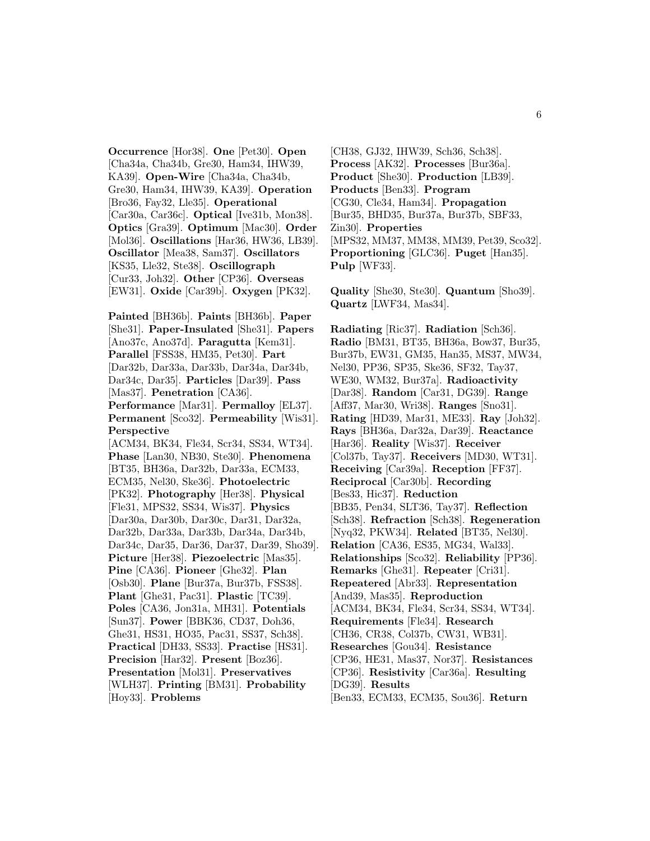**Occurrence** [Hor38]. **One** [Pet30]. **Open** [Cha34a, Cha34b, Gre30, Ham34, IHW39, KA39]. **Open-Wire** [Cha34a, Cha34b, Gre30, Ham34, IHW39, KA39]. **Operation** [Bro36, Fay32, Lle35]. **Operational** [Car30a, Car36c]. **Optical** [Ive31b, Mon38]. **Optics** [Gra39]. **Optimum** [Mac30]. **Order** [Mol36]. **Oscillations** [Har36, HW36, LB39]. **Oscillator** [Mea38, Sam37]. **Oscillators** [KS35, Lle32, Ste38]. **Oscillograph** [Cur33, Joh32]. **Other** [CP36]. **Overseas** [EW31]. **Oxide** [Car39b]. **Oxygen** [PK32].

**Painted** [BH36b]. **Paints** [BH36b]. **Paper** [She31]. **Paper-Insulated** [She31]. **Papers** [Ano37c, Ano37d]. **Paragutta** [Kem31]. **Parallel** [FSS38, HM35, Pet30]. **Part** [Dar32b, Dar33a, Dar33b, Dar34a, Dar34b, Dar34c, Dar35]. **Particles** [Dar39]. **Pass** [Mas37]. **Penetration** [CA36]. **Performance** [Mar31]. **Permalloy** [EL37]. **Permanent** [Sco32]. **Permeability** [Wis31]. **Perspective** [ACM34, BK34, Fle34, Scr34, SS34, WT34]. **Phase** [Lan30, NB30, Ste30]. **Phenomena** [BT35, BH36a, Dar32b, Dar33a, ECM33, ECM35, Nel30, Ske36]. **Photoelectric** [PK32]. **Photography** [Her38]. **Physical** [Fle31, MPS32, SS34, Wis37]. **Physics** [Dar30a, Dar30b, Dar30c, Dar31, Dar32a, Dar32b, Dar33a, Dar33b, Dar34a, Dar34b, Dar34c, Dar35, Dar36, Dar37, Dar39, Sho39]. **Picture** [Her38]. **Piezoelectric** [Mas35]. **Pine** [CA36]. **Pioneer** [Ghe32]. **Plan** [Osb30]. **Plane** [Bur37a, Bur37b, FSS38]. **Plant** [Ghe31, Pac31]. **Plastic** [TC39]. **Poles** [CA36, Jon31a, MH31]. **Potentials** [Sun37]. **Power** [BBK36, CD37, Doh36, Ghe31, HS31, HO35, Pac31, SS37, Sch38]. **Practical** [DH33, SS33]. **Practise** [HS31]. **Precision** [Har32]. **Present** [Boz36]. **Presentation** [Mol31]. **Preservatives** [WLH37]. **Printing** [BM31]. **Probability** [Hoy33]. **Problems**

[CH38, GJ32, IHW39, Sch36, Sch38]. **Process** [AK32]. **Processes** [Bur36a]. **Product** [She30]. **Production** [LB39]. **Products** [Ben33]. **Program** [CG30, Cle34, Ham34]. **Propagation** [Bur35, BHD35, Bur37a, Bur37b, SBF33, Zin30]. **Properties** [MPS32, MM37, MM38, MM39, Pet39, Sco32]. **Proportioning** [GLC36]. **Puget** [Han35]. **Pulp** [WF33].

**Quality** [She30, Ste30]. **Quantum** [Sho39]. **Quartz** [LWF34, Mas34].

**Radiating** [Ric37]. **Radiation** [Sch36]. **Radio** [BM31, BT35, BH36a, Bow37, Bur35, Bur37b, EW31, GM35, Han35, MS37, MW34, Nel30, PP36, SP35, Ske36, SF32, Tay37, WE30, WM32, Bur37a]. **Radioactivity** [Dar38]. **Random** [Car31, DG39]. **Range** [Aff37, Mar30, Wri38]. **Ranges** [Sno31]. **Rating** [HD39, Mar31, ME33]. **Ray** [Joh32]. **Rays** [BH36a, Dar32a, Dar39]. **Reactance** [Har36]. **Reality** [Wis37]. **Receiver** [Col37b, Tay37]. **Receivers** [MD30, WT31]. **Receiving** [Car39a]. **Reception** [FF37]. **Reciprocal** [Car30b]. **Recording** [Bes33, Hic37]. **Reduction** [BB35, Pen34, SLT36, Tay37]. **Reflection** [Sch38]. **Refraction** [Sch38]. **Regeneration** [Nyq32, PKW34]. **Related** [BT35, Nel30]. **Relation** [CA36, ES35, MG34, Wal33]. **Relationships** [Sco32]. **Reliability** [PP36]. **Remarks** [Ghe31]. **Repeater** [Cri31]. **Repeatered** [Abr33]. **Representation** [And39, Mas35]. **Reproduction** [ACM34, BK34, Fle34, Scr34, SS34, WT34]. **Requirements** [Fle34]. **Research** [CH36, CR38, Col37b, CW31, WB31]. **Researches** [Gou34]. **Resistance** [CP36, HE31, Mas37, Nor37]. **Resistances** [CP36]. **Resistivity** [Car36a]. **Resulting** [DG39]. **Results** [Ben33, ECM33, ECM35, Sou36]. **Return**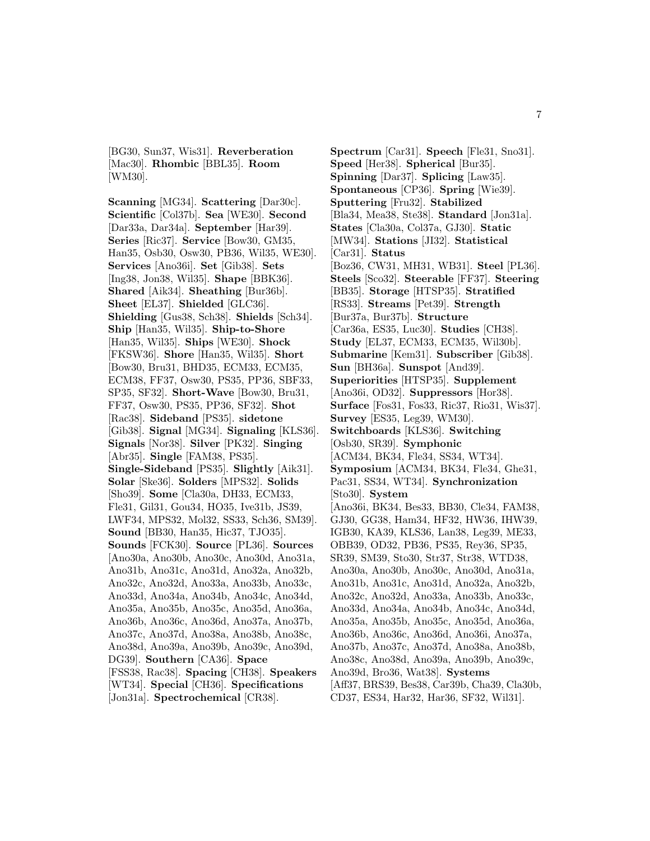[BG30, Sun37, Wis31]. **Reverberation** [Mac30]. **Rhombic** [BBL35]. **Room** [WM30].

**Scanning** [MG34]. **Scattering** [Dar30c]. **Scientific** [Col37b]. **Sea** [WE30]. **Second** [Dar33a, Dar34a]. **September** [Har39]. **Series** [Ric37]. **Service** [Bow30, GM35, Han35, Osb30, Osw30, PB36, Wil35, WE30]. **Services** [Ano36i]. **Set** [Gib38]. **Sets** [Ing38, Jon38, Wil35]. **Shape** [BBK36]. **Shared** [Aik34]. **Sheathing** [Bur36b]. **Sheet** [EL37]. **Shielded** [GLC36]. **Shielding** [Gus38, Sch38]. **Shields** [Sch34]. **Ship** [Han35, Wil35]. **Ship-to-Shore** [Han35, Wil35]. **Ships** [WE30]. **Shock** [FKSW36]. **Shore** [Han35, Wil35]. **Short** [Bow30, Bru31, BHD35, ECM33, ECM35, ECM38, FF37, Osw30, PS35, PP36, SBF33, SP35, SF32]. **Short-Wave** [Bow30, Bru31, FF37, Osw30, PS35, PP36, SF32]. **Shot** [Rac38]. **Sideband** [PS35]. **sidetone** [Gib38]. **Signal** [MG34]. **Signaling** [KLS36]. **Signals** [Nor38]. **Silver** [PK32]. **Singing** [Abr35]. **Single** [FAM38, PS35]. **Single-Sideband** [PS35]. **Slightly** [Aik31]. **Solar** [Ske36]. **Solders** [MPS32]. **Solids** [Sho39]. **Some** [Cla30a, DH33, ECM33, Fle31, Gil31, Gou34, HO35, Ive31b, JS39, LWF34, MPS32, Mol32, SS33, Sch36, SM39]. **Sound** [BB30, Han35, Hic37, TJO35]. **Sounds** [FCK30]. **Source** [PL36]. **Sources** [Ano30a, Ano30b, Ano30c, Ano30d, Ano31a, Ano31b, Ano31c, Ano31d, Ano32a, Ano32b, Ano32c, Ano32d, Ano33a, Ano33b, Ano33c, Ano33d, Ano34a, Ano34b, Ano34c, Ano34d, Ano35a, Ano35b, Ano35c, Ano35d, Ano36a, Ano36b, Ano36c, Ano36d, Ano37a, Ano37b, Ano37c, Ano37d, Ano38a, Ano38b, Ano38c, Ano38d, Ano39a, Ano39b, Ano39c, Ano39d, DG39]. **Southern** [CA36]. **Space** [FSS38, Rac38]. **Spacing** [CH38]. **Speakers** [WT34]. **Special** [CH36]. **Specifications**

[Jon31a]. **Spectrochemical** [CR38].

**Spectrum** [Car31]. **Speech** [Fle31, Sno31]. **Speed** [Her38]. **Spherical** [Bur35]. **Spinning** [Dar37]. **Splicing** [Law35]. **Spontaneous** [CP36]. **Spring** [Wie39]. **Sputtering** [Fru32]. **Stabilized** [Bla34, Mea38, Ste38]. **Standard** [Jon31a]. **States** [Cla30a, Col37a, GJ30]. **Static** [MW34]. **Stations** [JI32]. **Statistical** [Car31]. **Status** [Boz36, CW31, MH31, WB31]. **Steel** [PL36]. **Steels** [Sco32]. **Steerable** [FF37]. **Steering** [BB35]. **Storage** [HTSP35]. **Stratified** [RS33]. **Streams** [Pet39]. **Strength** [Bur37a, Bur37b]. **Structure** [Car36a, ES35, Luc30]. **Studies** [CH38]. **Study** [EL37, ECM33, ECM35, Wil30b]. **Submarine** [Kem31]. **Subscriber** [Gib38]. **Sun** [BH36a]. **Sunspot** [And39]. **Superiorities** [HTSP35]. **Supplement** [Ano36i, OD32]. **Suppressors** [Hor38]. **Surface** [Fos31, Fos33, Ric37, Rio31, Wis37]. **Survey** [ES35, Leg39, WM30]. **Switchboards** [KLS36]. **Switching** [Osb30, SR39]. **Symphonic** [ACM34, BK34, Fle34, SS34, WT34]. **Symposium** [ACM34, BK34, Fle34, Ghe31, Pac31, SS34, WT34]. **Synchronization** [Sto30]. **System** [Ano36i, BK34, Bes33, BB30, Cle34, FAM38, GJ30, GG38, Ham34, HF32, HW36, IHW39, IGB30, KA39, KLS36, Lan38, Leg39, ME33, OBB39, OD32, PB36, PS35, Rey36, SP35, SR39, SM39, Sto30, Str37, Str38, WTD38, Ano30a, Ano30b, Ano30c, Ano30d, Ano31a, Ano31b, Ano31c, Ano31d, Ano32a, Ano32b, Ano32c, Ano32d, Ano33a, Ano33b, Ano33c, Ano33d, Ano34a, Ano34b, Ano34c, Ano34d, Ano35a, Ano35b, Ano35c, Ano35d, Ano36a, Ano36b, Ano36c, Ano36d, Ano36i, Ano37a, Ano37b, Ano37c, Ano37d, Ano38a, Ano38b, Ano38c, Ano38d, Ano39a, Ano39b, Ano39c, Ano39d, Bro36, Wat38]. **Systems** [Aff37, BRS39, Bes38, Car39b, Cha39, Cla30b, CD37, ES34, Har32, Har36, SF32, Wil31].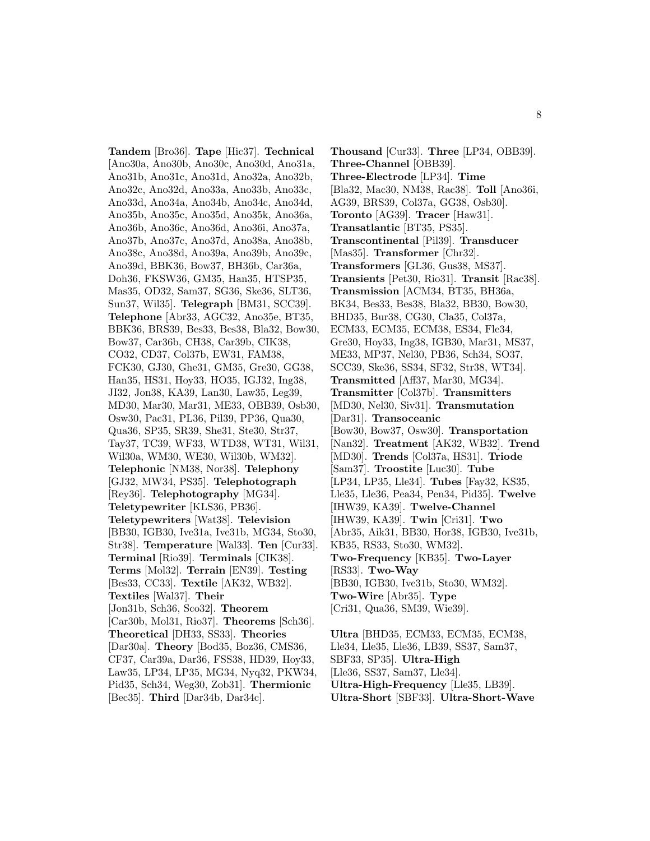**Tandem** [Bro36]. **Tape** [Hic37]. **Technical** [Ano30a, Ano30b, Ano30c, Ano30d, Ano31a, Ano31b, Ano31c, Ano31d, Ano32a, Ano32b, Ano32c, Ano32d, Ano33a, Ano33b, Ano33c, Ano33d, Ano34a, Ano34b, Ano34c, Ano34d, Ano35b, Ano35c, Ano35d, Ano35k, Ano36a, Ano36b, Ano36c, Ano36d, Ano36i, Ano37a, Ano37b, Ano37c, Ano37d, Ano38a, Ano38b, Ano38c, Ano38d, Ano39a, Ano39b, Ano39c, Ano39d, BBK36, Bow37, BH36b, Car36a, Doh36, FKSW36, GM35, Han35, HTSP35, Mas35, OD32, Sam37, SG36, Ske36, SLT36, Sun37, Wil35]. **Telegraph** [BM31, SCC39]. **Telephone** [Abr33, AGC32, Ano35e, BT35, BBK36, BRS39, Bes33, Bes38, Bla32, Bow30, Bow37, Car36b, CH38, Car39b, CIK38, CO32, CD37, Col37b, EW31, FAM38, FCK30, GJ30, Ghe31, GM35, Gre30, GG38, Han35, HS31, Hoy33, HO35, IGJ32, Ing38, JI32, Jon38, KA39, Lan30, Law35, Leg39, MD30, Mar30, Mar31, ME33, OBB39, Osb30, Osw30, Pac31, PL36, Pil39, PP36, Qua30, Qua36, SP35, SR39, She31, Ste30, Str37, Tay37, TC39, WF33, WTD38, WT31, Wil31, Wil30a, WM30, WE30, Wil30b, WM32]. **Telephonic** [NM38, Nor38]. **Telephony** [GJ32, MW34, PS35]. **Telephotograph** [Rey36]. **Telephotography** [MG34]. **Teletypewriter** [KLS36, PB36]. **Teletypewriters** [Wat38]. **Television** [BB30, IGB30, Ive31a, Ive31b, MG34, Sto30, Str38]. **Temperature** [Wal33]. **Ten** [Cur33]. **Terminal** [Rio39]. **Terminals** [CIK38]. **Terms** [Mol32]. **Terrain** [EN39]. **Testing** [Bes33, CC33]. **Textile** [AK32, WB32]. **Textiles** [Wal37]. **Their** [Jon31b, Sch36, Sco32]. **Theorem** [Car30b, Mol31, Rio37]. **Theorems** [Sch36]. **Theoretical** [DH33, SS33]. **Theories** [Dar30a]. **Theory** [Bod35, Boz36, CMS36, CF37, Car39a, Dar36, FSS38, HD39, Hoy33, Law35, LP34, LP35, MG34, Nyq32, PKW34, Pid35, Sch34, Weg30, Zob31]. **Thermionic** [Bec35]. **Third** [Dar34b, Dar34c].

**Thousand** [Cur33]. **Three** [LP34, OBB39]. **Three-Channel** [OBB39]. **Three-Electrode** [LP34]. **Time** [Bla32, Mac30, NM38, Rac38]. **Toll** [Ano36i, AG39, BRS39, Col37a, GG38, Osb30]. **Toronto** [AG39]. **Tracer** [Haw31]. **Transatlantic** [BT35, PS35]. **Transcontinental** [Pil39]. **Transducer** [Mas35]. **Transformer** [Chr32]. **Transformers** [GL36, Gus38, MS37]. **Transients** [Pet30, Rio31]. **Transit** [Rac38]. **Transmission** [ACM34, BT35, BH36a, BK34, Bes33, Bes38, Bla32, BB30, Bow30, BHD35, Bur38, CG30, Cla35, Col37a, ECM33, ECM35, ECM38, ES34, Fle34, Gre30, Hoy33, Ing38, IGB30, Mar31, MS37, ME33, MP37, Nel30, PB36, Sch34, SO37, SCC39, Ske36, SS34, SF32, Str38, WT34]. **Transmitted** [Aff37, Mar30, MG34]. **Transmitter** [Col37b]. **Transmitters** [MD30, Nel30, Siv31]. **Transmutation** [Dar31]. **Transoceanic** [Bow30, Bow37, Osw30]. **Transportation** [Nan32]. **Treatment** [AK32, WB32]. **Trend** [MD30]. **Trends** [Col37a, HS31]. **Triode** [Sam37]. **Troostite** [Luc30]. **Tube** [LP34, LP35, Lle34]. **Tubes** [Fay32, KS35, Lle35, Lle36, Pea34, Pen34, Pid35]. **Twelve** [IHW39, KA39]. **Twelve-Channel** [IHW39, KA39]. **Twin** [Cri31]. **Two** [Abr35, Aik31, BB30, Hor38, IGB30, Ive31b, KB35, RS33, Sto30, WM32]. **Two-Frequency** [KB35]. **Two-Layer** [RS33]. **Two-Way** [BB30, IGB30, Ive31b, Sto30, WM32]. **Two-Wire** [Abr35]. **Type** [Cri31, Qua36, SM39, Wie39]. **Ultra** [BHD35, ECM33, ECM35, ECM38,

Lle34, Lle35, Lle36, LB39, SS37, Sam37, SBF33, SP35]. **Ultra-High** [Lle36, SS37, Sam37, Lle34]. **Ultra-High-Frequency** [Lle35, LB39]. **Ultra-Short** [SBF33]. **Ultra-Short-Wave**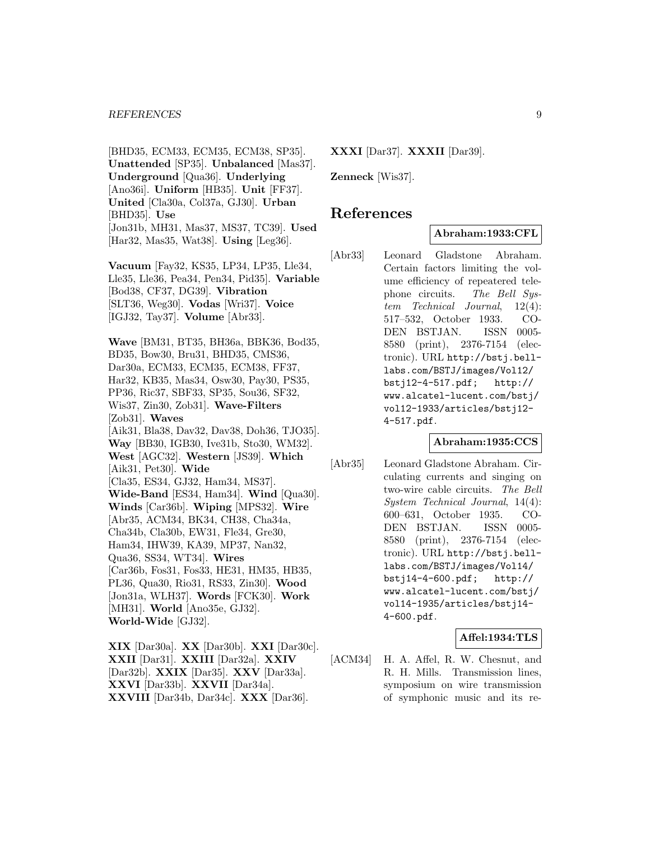[BHD35, ECM33, ECM35, ECM38, SP35]. **Unattended** [SP35]. **Unbalanced** [Mas37]. **Underground** [Qua36]. **Underlying** [Ano36i]. **Uniform** [HB35]. **Unit** [FF37]. **United** [Cla30a, Col37a, GJ30]. **Urban** [BHD35]. **Use** [Jon31b, MH31, Mas37, MS37, TC39]. **Used** [Har32, Mas35, Wat38]. **Using** [Leg36].

**Vacuum** [Fay32, KS35, LP34, LP35, Lle34, Lle35, Lle36, Pea34, Pen34, Pid35]. **Variable** [Bod38, CF37, DG39]. **Vibration** [SLT36, Weg30]. **Vodas** [Wri37]. **Voice** [IGJ32, Tay37]. **Volume** [Abr33].

**Wave** [BM31, BT35, BH36a, BBK36, Bod35, BD35, Bow30, Bru31, BHD35, CMS36, Dar30a, ECM33, ECM35, ECM38, FF37, Har32, KB35, Mas34, Osw30, Pay30, PS35, PP36, Ric37, SBF33, SP35, Sou36, SF32, Wis37, Zin30, Zob31]. **Wave-Filters** [Zob31]. **Waves** [Aik31, Bla38, Dav32, Dav38, Doh36, TJO35]. **Way** [BB30, IGB30, Ive31b, Sto30, WM32]. **West** [AGC32]. **Western** [JS39]. **Which** [Aik31, Pet30]. **Wide** [Cla35, ES34, GJ32, Ham34, MS37]. **Wide-Band** [ES34, Ham34]. **Wind** [Qua30]. **Winds** [Car36b]. **Wiping** [MPS32]. **Wire** [Abr35, ACM34, BK34, CH38, Cha34a, Cha34b, Cla30b, EW31, Fle34, Gre30, Ham34, IHW39, KA39, MP37, Nan32, Qua36, SS34, WT34]. **Wires** [Car36b, Fos31, Fos33, HE31, HM35, HB35, PL36, Qua30, Rio31, RS33, Zin30]. **Wood** [Jon31a, WLH37]. **Words** [FCK30]. **Work** [MH31]. **World** [Ano35e, GJ32]. **World-Wide** [GJ32].

**XIX** [Dar30a]. **XX** [Dar30b]. **XXI** [Dar30c]. **XXII** [Dar31]. **XXIII** [Dar32a]. **XXIV** [Dar32b]. **XXIX** [Dar35]. **XXV** [Dar33a]. **XXVI** [Dar33b]. **XXVII** [Dar34a]. **XXVIII** [Dar34b, Dar34c]. **XXX** [Dar36].

**XXXI** [Dar37]. **XXXII** [Dar39].

**Zenneck** [Wis37].

# **References**

#### **Abraham:1933:CFL**

[Abr33] Leonard Gladstone Abraham. Certain factors limiting the volume efficiency of repeatered telephone circuits. The Bell System Technical Journal, 12(4): 517–532, October 1933. CO-DEN BSTJAN. ISSN 0005- 8580 (print), 2376-7154 (electronic). URL http://bstj.belllabs.com/BSTJ/images/Vol12/ bstj12-4-517.pdf; http:// www.alcatel-lucent.com/bstj/ vol12-1933/articles/bstj12- 4-517.pdf.

#### **Abraham:1935:CCS**

[Abr35] Leonard Gladstone Abraham. Circulating currents and singing on two-wire cable circuits. The Bell System Technical Journal, 14(4): 600–631, October 1935. CO-DEN BSTJAN. ISSN 0005- 8580 (print), 2376-7154 (electronic). URL http://bstj.belllabs.com/BSTJ/images/Vol14/ bstj14-4-600.pdf; http:// www.alcatel-lucent.com/bstj/ vol14-1935/articles/bstj14- 4-600.pdf.

**Affel:1934:TLS**

[ACM34] H. A. Affel, R. W. Chesnut, and R. H. Mills. Transmission lines, symposium on wire transmission of symphonic music and its re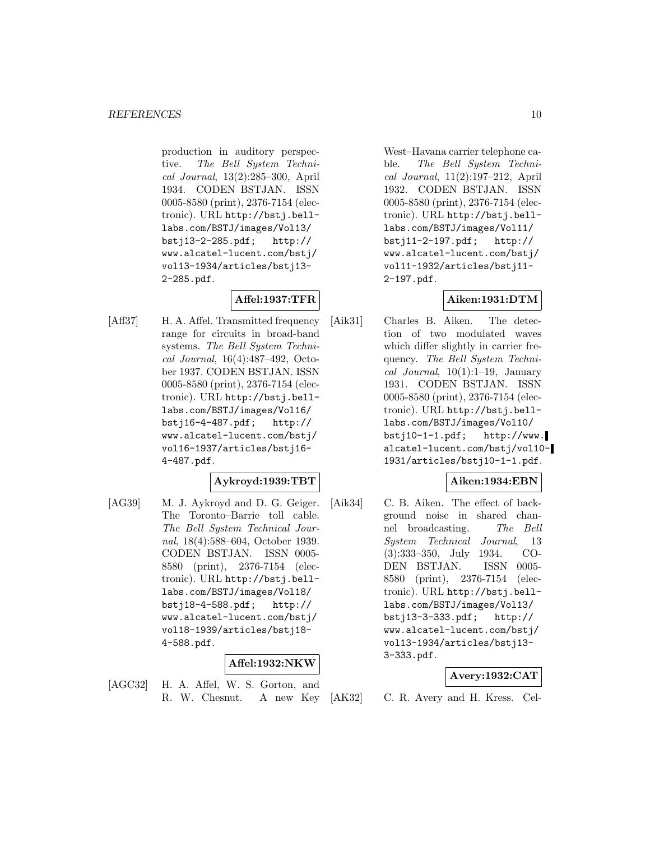production in auditory perspective. The Bell System Technical Journal, 13(2):285–300, April 1934. CODEN BSTJAN. ISSN 0005-8580 (print), 2376-7154 (electronic). URL http://bstj.belllabs.com/BSTJ/images/Vol13/ bstj13-2-285.pdf; http:// www.alcatel-lucent.com/bstj/ vol13-1934/articles/bstj13- 2-285.pdf.

# **Affel:1937:TFR**

[Aff37] H. A. Affel. Transmitted frequency range for circuits in broad-band systems. The Bell System Technical Journal, 16(4):487–492, October 1937. CODEN BSTJAN. ISSN 0005-8580 (print), 2376-7154 (electronic). URL http://bstj.belllabs.com/BSTJ/images/Vol16/ bstj16-4-487.pdf; http:// www.alcatel-lucent.com/bstj/ vol16-1937/articles/bstj16- 4-487.pdf.

# **Aykroyd:1939:TBT**

[AG39] M. J. Aykroyd and D. G. Geiger. The Toronto–Barrie toll cable. The Bell System Technical Journal, 18(4):588–604, October 1939. CODEN BSTJAN. ISSN 0005- 8580 (print), 2376-7154 (electronic). URL http://bstj.belllabs.com/BSTJ/images/Vol18/ bstj18-4-588.pdf; http:// www.alcatel-lucent.com/bstj/ vol18-1939/articles/bstj18- 4-588.pdf.

# **Affel:1932:NKW**

[AGC32] H. A. Affel, W. S. Gorton, and R. W. Chesnut. A new Key

West–Havana carrier telephone cable. The Bell System Technical Journal, 11(2):197–212, April 1932. CODEN BSTJAN. ISSN 0005-8580 (print), 2376-7154 (electronic). URL http://bstj.belllabs.com/BSTJ/images/Vol11/ bstj11-2-197.pdf; http:// www.alcatel-lucent.com/bstj/ vol11-1932/articles/bstj11- 2-197.pdf.

# **Aiken:1931:DTM**

[Aik31] Charles B. Aiken. The detection of two modulated waves which differ slightly in carrier frequency. The Bell System Technical Journal,  $10(1):1-19$ , January 1931. CODEN BSTJAN. ISSN 0005-8580 (print), 2376-7154 (electronic). URL http://bstj.belllabs.com/BSTJ/images/Vol10/ bstj10-1-1.pdf; http://www. alcatel-lucent.com/bstj/vol10- 1931/articles/bstj10-1-1.pdf.

# **Aiken:1934:EBN**

[Aik34] C. B. Aiken. The effect of background noise in shared channel broadcasting. The Bell System Technical Journal, 13 (3):333–350, July 1934. CO-DEN BSTJAN. ISSN 0005- 8580 (print), 2376-7154 (electronic). URL http://bstj.belllabs.com/BSTJ/images/Vol13/ bstj13-3-333.pdf; http:// www.alcatel-lucent.com/bstj/ vol13-1934/articles/bstj13- 3-333.pdf.

# **Avery:1932:CAT**

[AK32] C. R. Avery and H. Kress. Cel-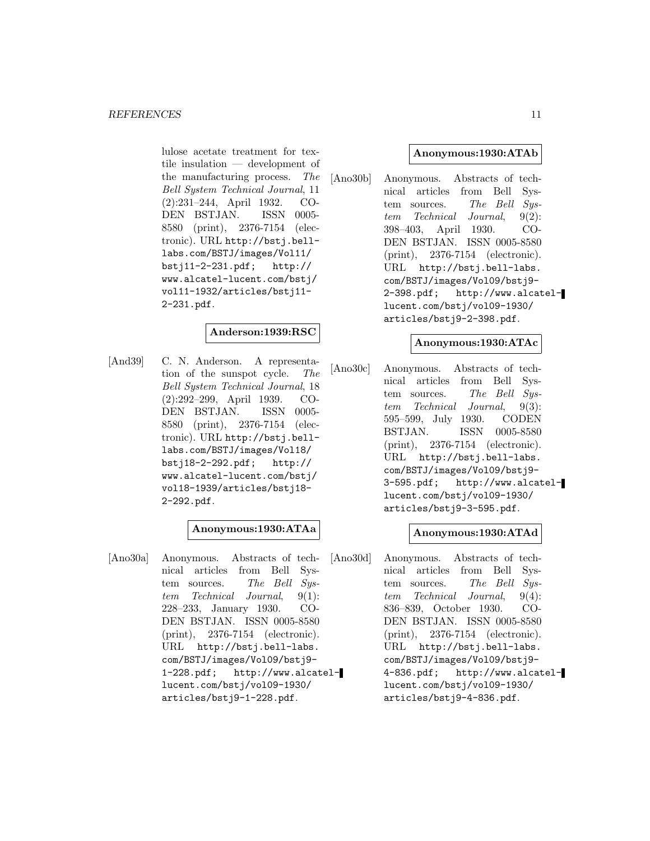lulose acetate treatment for textile insulation — development of the manufacturing process. The Bell System Technical Journal, 11 (2):231–244, April 1932. CO-DEN BSTJAN. ISSN 0005- 8580 (print), 2376-7154 (electronic). URL http://bstj.belllabs.com/BSTJ/images/Vol11/ bstj11-2-231.pdf; http:// www.alcatel-lucent.com/bstj/ vol11-1932/articles/bstj11- 2-231.pdf.

# **Anderson:1939:RSC**

[And39] C. N. Anderson. A representation of the sunspot cycle. The Bell System Technical Journal, 18 (2):292–299, April 1939. CO-DEN BSTJAN. ISSN 0005- 8580 (print), 2376-7154 (electronic). URL http://bstj.belllabs.com/BSTJ/images/Vol18/ bstj18-2-292.pdf; http:// www.alcatel-lucent.com/bstj/ vol18-1939/articles/bstj18- 2-292.pdf.

# **Anonymous:1930:ATAa**

[Ano30a] Anonymous. Abstracts of technical articles from Bell System sources. The Bell System Technical Journal, 9(1): 228–233, January 1930. CO-DEN BSTJAN. ISSN 0005-8580 (print), 2376-7154 (electronic). URL http://bstj.bell-labs. com/BSTJ/images/Vol09/bstj9- 1-228.pdf; http://www.alcatellucent.com/bstj/vol09-1930/ articles/bstj9-1-228.pdf.

#### **Anonymous:1930:ATAb**

[Ano30b] Anonymous. Abstracts of technical articles from Bell System sources. The Bell Sustem Technical Journal, 9(2): 398–403, April 1930. CO-DEN BSTJAN. ISSN 0005-8580 (print), 2376-7154 (electronic). URL http://bstj.bell-labs. com/BSTJ/images/Vol09/bstj9- 2-398.pdf; http://www.alcatellucent.com/bstj/vol09-1930/ articles/bstj9-2-398.pdf.

#### **Anonymous:1930:ATAc**

[Ano30c] Anonymous. Abstracts of technical articles from Bell System sources. The Bell System Technical Journal, 9(3): 595–599, July 1930. CODEN BSTJAN. ISSN 0005-8580 (print), 2376-7154 (electronic). URL http://bstj.bell-labs. com/BSTJ/images/Vol09/bstj9- 3-595.pdf; http://www.alcatellucent.com/bstj/vol09-1930/ articles/bstj9-3-595.pdf.

# **Anonymous:1930:ATAd**

[Ano30d] Anonymous. Abstracts of technical articles from Bell System sources. The Bell System Technical Journal, 9(4): 836–839, October 1930. CO-DEN BSTJAN. ISSN 0005-8580 (print), 2376-7154 (electronic). URL http://bstj.bell-labs. com/BSTJ/images/Vol09/bstj9- 4-836.pdf; http://www.alcatellucent.com/bstj/vol09-1930/ articles/bstj9-4-836.pdf.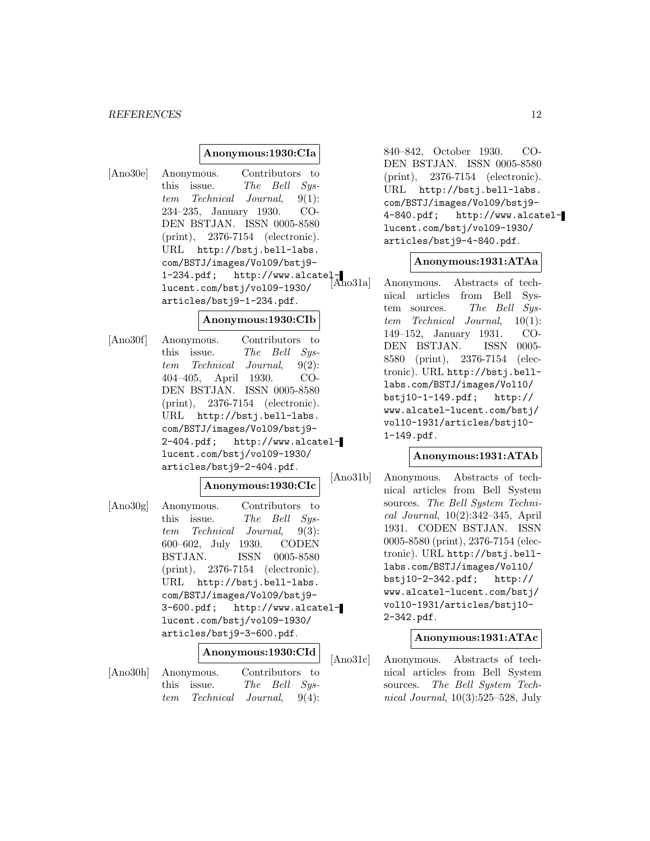#### *REFERENCES* 12

#### **Anonymous:1930:CIa**

[Ano30e] Anonymous. Contributors to this issue. The Bell System Technical Journal, 9(1): 234–235, January 1930. CO-DEN BSTJAN. ISSN 0005-8580 (print), 2376-7154 (electronic). URL http://bstj.bell-labs. com/BSTJ/images/Vol09/bstj9- COM/BO10/1mdo-2.<br>1-234.pdf; http://www.alcatellucent.com/bstj/vol09-1930/ articles/bstj9-1-234.pdf.

#### **Anonymous:1930:CIb**

[Ano30f] Anonymous. Contributors to this issue. The Bell System Technical Journal, 9(2): 404–405, April 1930. CO-DEN BSTJAN. ISSN 0005-8580 (print), 2376-7154 (electronic). URL http://bstj.bell-labs. com/BSTJ/images/Vol09/bstj9- 2-404.pdf; http://www.alcatellucent.com/bstj/vol09-1930/ articles/bstj9-2-404.pdf.

# **Anonymous:1930:CIc**

[Ano30g] Anonymous. Contributors to this issue. The Bell System Technical Journal, 9(3): 600–602, July 1930. CODEN BSTJAN. ISSN 0005-8580 (print), 2376-7154 (electronic). URL http://bstj.bell-labs. com/BSTJ/images/Vol09/bstj9- 3-600.pdf; http://www.alcatellucent.com/bstj/vol09-1930/ articles/bstj9-3-600.pdf.

# **Anonymous:1930:CId**

[Ano30h] Anonymous. Contributors to this issue. The Bell System Technical Journal, 9(4): 840–842, October 1930. CO-DEN BSTJAN. ISSN 0005-8580 (print), 2376-7154 (electronic). URL http://bstj.bell-labs. com/BSTJ/images/Vol09/bstj9- 4-840.pdf; http://www.alcatellucent.com/bstj/vol09-1930/ articles/bstj9-4-840.pdf.

# **Anonymous:1931:ATAa**

Anonymous. Abstracts of technical articles from Bell System sources. The Bell System Technical Journal, 10(1): 149–152, January 1931. CO-DEN BSTJAN. ISSN 0005- 8580 (print), 2376-7154 (electronic). URL http://bstj.belllabs.com/BSTJ/images/Vol10/ bstj10-1-149.pdf; http:// www.alcatel-lucent.com/bstj/ vol10-1931/articles/bstj10- 1-149.pdf.

# **Anonymous:1931:ATAb**

[Ano31b] Anonymous. Abstracts of technical articles from Bell System sources. The Bell System Technical Journal, 10(2):342–345, April 1931. CODEN BSTJAN. ISSN 0005-8580 (print), 2376-7154 (electronic). URL http://bstj.belllabs.com/BSTJ/images/Vol10/ bstj10-2-342.pdf; http:// www.alcatel-lucent.com/bstj/ vol10-1931/articles/bstj10- 2-342.pdf.

# **Anonymous:1931:ATAc**

[Ano31c] Anonymous. Abstracts of technical articles from Bell System sources. The Bell System Technical Journal, 10(3):525–528, July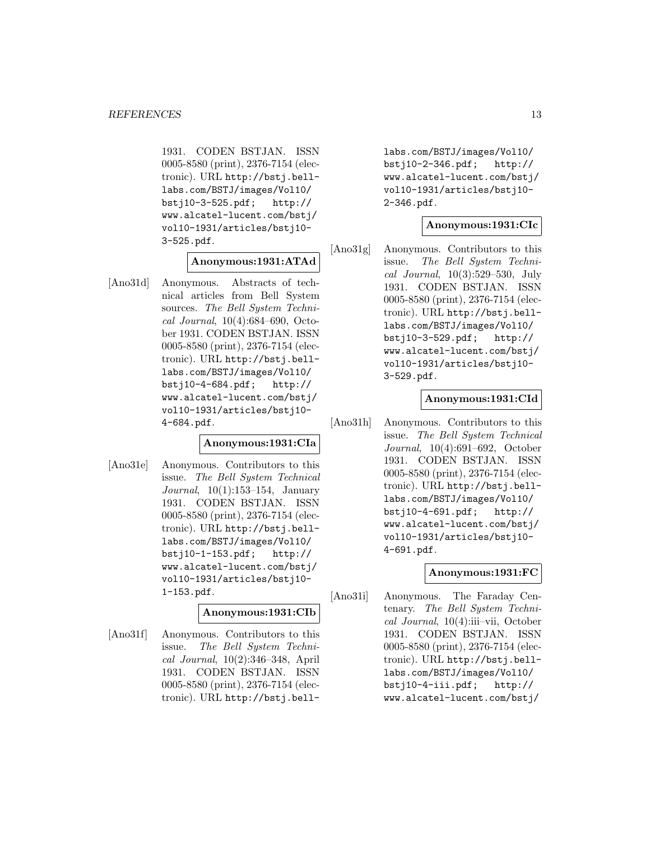1931. CODEN BSTJAN. ISSN 0005-8580 (print), 2376-7154 (electronic). URL http://bstj.belllabs.com/BSTJ/images/Vol10/ bstj10-3-525.pdf; http:// www.alcatel-lucent.com/bstj/ vol10-1931/articles/bstj10- 3-525.pdf.

#### **Anonymous:1931:ATAd**

[Ano31d] Anonymous. Abstracts of technical articles from Bell System sources. The Bell System Technical Journal, 10(4):684–690, October 1931. CODEN BSTJAN. ISSN 0005-8580 (print), 2376-7154 (electronic). URL http://bstj.belllabs.com/BSTJ/images/Vol10/ bstj10-4-684.pdf; http:// www.alcatel-lucent.com/bstj/ vol10-1931/articles/bstj10- 4-684.pdf.

#### **Anonymous:1931:CIa**

[Ano31e] Anonymous. Contributors to this issue. The Bell System Technical Journal, 10(1):153–154, January 1931. CODEN BSTJAN. ISSN 0005-8580 (print), 2376-7154 (electronic). URL http://bstj.belllabs.com/BSTJ/images/Vol10/ bstj10-1-153.pdf; http:// www.alcatel-lucent.com/bstj/ vol10-1931/articles/bstj10- 1-153.pdf.

# **Anonymous:1931:CIb**

[Ano31f] Anonymous. Contributors to this issue. The Bell System Technical Journal, 10(2):346–348, April 1931. CODEN BSTJAN. ISSN 0005-8580 (print), 2376-7154 (electronic). URL http://bstj.belllabs.com/BSTJ/images/Vol10/ bstj10-2-346.pdf; http:// www.alcatel-lucent.com/bstj/ vol10-1931/articles/bstj10- 2-346.pdf.

# **Anonymous:1931:CIc**

[Ano31g] Anonymous. Contributors to this issue. The Bell System Technical Journal, 10(3):529–530, July 1931. CODEN BSTJAN. ISSN 0005-8580 (print), 2376-7154 (electronic). URL http://bstj.belllabs.com/BSTJ/images/Vol10/ bstj10-3-529.pdf; http:// www.alcatel-lucent.com/bstj/ vol10-1931/articles/bstj10- 3-529.pdf.

# **Anonymous:1931:CId**

[Ano31h] Anonymous. Contributors to this issue. The Bell System Technical Journal, 10(4):691–692, October 1931. CODEN BSTJAN. ISSN 0005-8580 (print), 2376-7154 (electronic). URL http://bstj.belllabs.com/BSTJ/images/Vol10/ bstj10-4-691.pdf; http:// www.alcatel-lucent.com/bstj/ vol10-1931/articles/bstj10- 4-691.pdf.

# **Anonymous:1931:FC**

[Ano31i] Anonymous. The Faraday Centenary. The Bell System Technical Journal, 10(4):iii–vii, October 1931. CODEN BSTJAN. ISSN 0005-8580 (print), 2376-7154 (electronic). URL http://bstj.belllabs.com/BSTJ/images/Vol10/ bstj10-4-iii.pdf; http:// www.alcatel-lucent.com/bstj/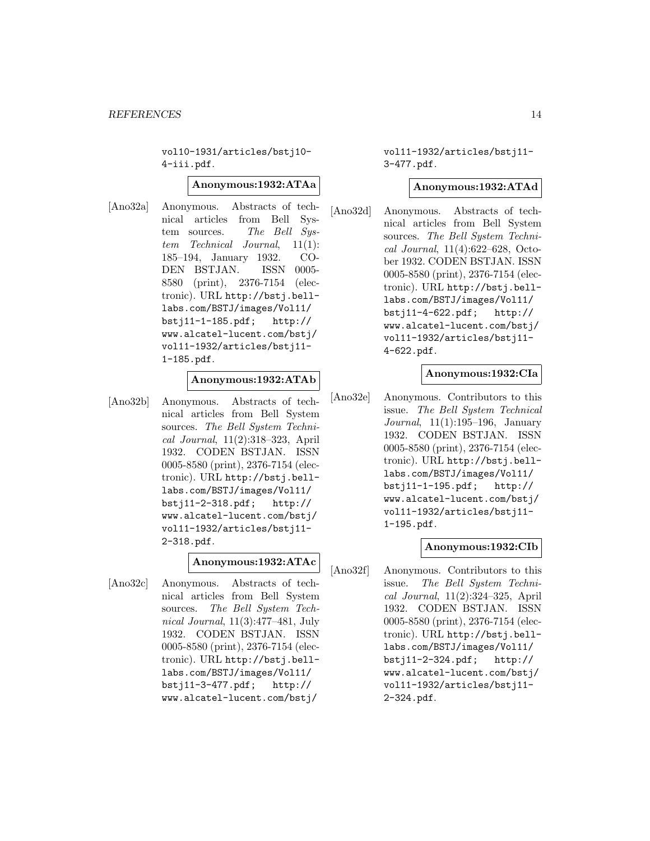vol10-1931/articles/bstj10- 4-iii.pdf.

#### **Anonymous:1932:ATAa**

[Ano32a] Anonymous. Abstracts of technical articles from Bell System sources. The Bell System Technical Journal, 11(1): 185–194, January 1932. CO-DEN BSTJAN. ISSN 0005- 8580 (print), 2376-7154 (electronic). URL http://bstj.belllabs.com/BSTJ/images/Vol11/ bstj11-1-185.pdf; http:// www.alcatel-lucent.com/bstj/ vol11-1932/articles/bstj11- 1-185.pdf.

#### **Anonymous:1932:ATAb**

[Ano32b] Anonymous. Abstracts of technical articles from Bell System sources. The Bell System Technical Journal, 11(2):318–323, April 1932. CODEN BSTJAN. ISSN 0005-8580 (print), 2376-7154 (electronic). URL http://bstj.belllabs.com/BSTJ/images/Vol11/ bstj11-2-318.pdf; http:// www.alcatel-lucent.com/bstj/ vol11-1932/articles/bstj11- 2-318.pdf.

#### **Anonymous:1932:ATAc**

[Ano32c] Anonymous. Abstracts of technical articles from Bell System sources. The Bell System Technical Journal, 11(3):477–481, July 1932. CODEN BSTJAN. ISSN 0005-8580 (print), 2376-7154 (electronic). URL http://bstj.belllabs.com/BSTJ/images/Vol11/ bstj11-3-477.pdf; http:// www.alcatel-lucent.com/bstj/

vol11-1932/articles/bstj11- 3-477.pdf.

#### **Anonymous:1932:ATAd**

[Ano32d] Anonymous. Abstracts of technical articles from Bell System sources. The Bell System Technical Journal, 11(4):622–628, October 1932. CODEN BSTJAN. ISSN 0005-8580 (print), 2376-7154 (electronic). URL http://bstj.belllabs.com/BSTJ/images/Vol11/ bstj11-4-622.pdf; http:// www.alcatel-lucent.com/bstj/ vol11-1932/articles/bstj11- 4-622.pdf.

#### **Anonymous:1932:CIa**

[Ano32e] Anonymous. Contributors to this issue. The Bell System Technical Journal, 11(1):195–196, January 1932. CODEN BSTJAN. ISSN 0005-8580 (print), 2376-7154 (electronic). URL http://bstj.belllabs.com/BSTJ/images/Vol11/ bstj11-1-195.pdf; http:// www.alcatel-lucent.com/bstj/ vol11-1932/articles/bstj11- 1-195.pdf.

#### **Anonymous:1932:CIb**

[Ano32f] Anonymous. Contributors to this issue. The Bell System Technical Journal, 11(2):324–325, April 1932. CODEN BSTJAN. ISSN 0005-8580 (print), 2376-7154 (electronic). URL http://bstj.belllabs.com/BSTJ/images/Vol11/<br>bstj11-2-324.pdf; http://  $bstj11-2-324.pdf;$ www.alcatel-lucent.com/bstj/ vol11-1932/articles/bstj11- 2-324.pdf.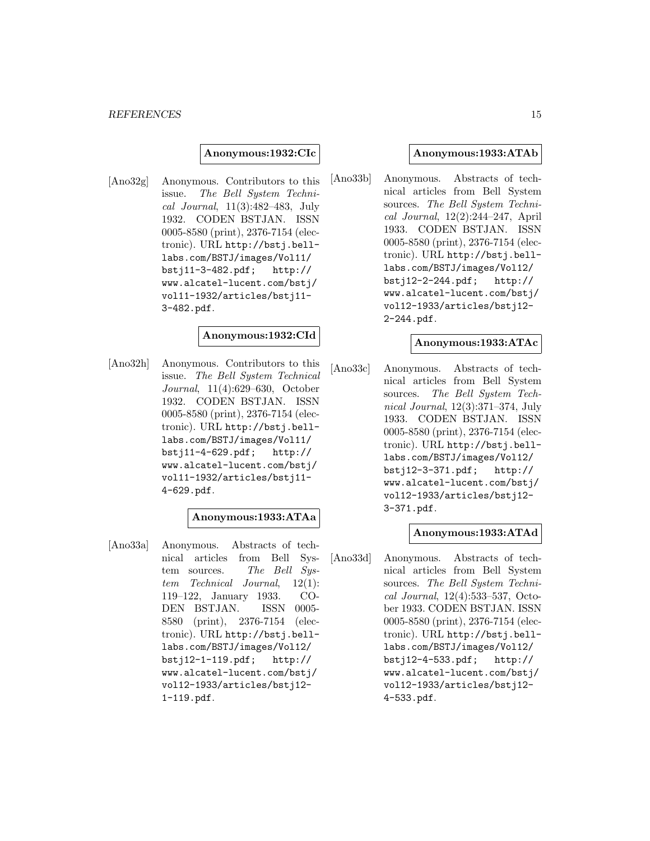#### **Anonymous:1932:CIc**

[Ano32g] Anonymous. Contributors to this issue. The Bell System Technical Journal, 11(3):482–483, July 1932. CODEN BSTJAN. ISSN 0005-8580 (print), 2376-7154 (electronic). URL http://bstj.belllabs.com/BSTJ/images/Vol11/ bstj11-3-482.pdf; http:// www.alcatel-lucent.com/bstj/ vol11-1932/articles/bstj11- 3-482.pdf.

#### **Anonymous:1932:CId**

[Ano32h] Anonymous. Contributors to this issue. The Bell System Technical Journal, 11(4):629–630, October 1932. CODEN BSTJAN. ISSN 0005-8580 (print), 2376-7154 (electronic). URL http://bstj.belllabs.com/BSTJ/images/Vol11/ bstj11-4-629.pdf; http:// www.alcatel-lucent.com/bstj/ vol11-1932/articles/bstj11- 4-629.pdf.

# **Anonymous:1933:ATAa**

[Ano33a] Anonymous. Abstracts of technical articles from Bell System sources. The Bell System Technical Journal, 12(1): 119–122, January 1933. CO-DEN BSTJAN. ISSN 0005- 8580 (print), 2376-7154 (electronic). URL http://bstj.belllabs.com/BSTJ/images/Vol12/ bstj12-1-119.pdf; http:// www.alcatel-lucent.com/bstj/ vol12-1933/articles/bstj12- 1-119.pdf.

#### **Anonymous:1933:ATAb**

[Ano33b] Anonymous. Abstracts of technical articles from Bell System sources. The Bell System Technical Journal, 12(2):244–247, April 1933. CODEN BSTJAN. ISSN 0005-8580 (print), 2376-7154 (electronic). URL http://bstj.belllabs.com/BSTJ/images/Vol12/ bstj12-2-244.pdf; http:// www.alcatel-lucent.com/bstj/ vol12-1933/articles/bstj12- 2-244.pdf.

# **Anonymous:1933:ATAc**

[Ano33c] Anonymous. Abstracts of technical articles from Bell System sources. The Bell System Technical Journal, 12(3):371–374, July 1933. CODEN BSTJAN. ISSN 0005-8580 (print), 2376-7154 (electronic). URL http://bstj.belllabs.com/BSTJ/images/Vol12/ bstj12-3-371.pdf; http:// www.alcatel-lucent.com/bstj/ vol12-1933/articles/bstj12- 3-371.pdf.

#### **Anonymous:1933:ATAd**

[Ano33d] Anonymous. Abstracts of technical articles from Bell System sources. The Bell System Technical Journal, 12(4):533–537, October 1933. CODEN BSTJAN. ISSN 0005-8580 (print), 2376-7154 (electronic). URL http://bstj.belllabs.com/BSTJ/images/Vol12/<br>bstj12-4-533.pdf; http://  $bstj12-4-533.pdf;$ www.alcatel-lucent.com/bstj/ vol12-1933/articles/bstj12- 4-533.pdf.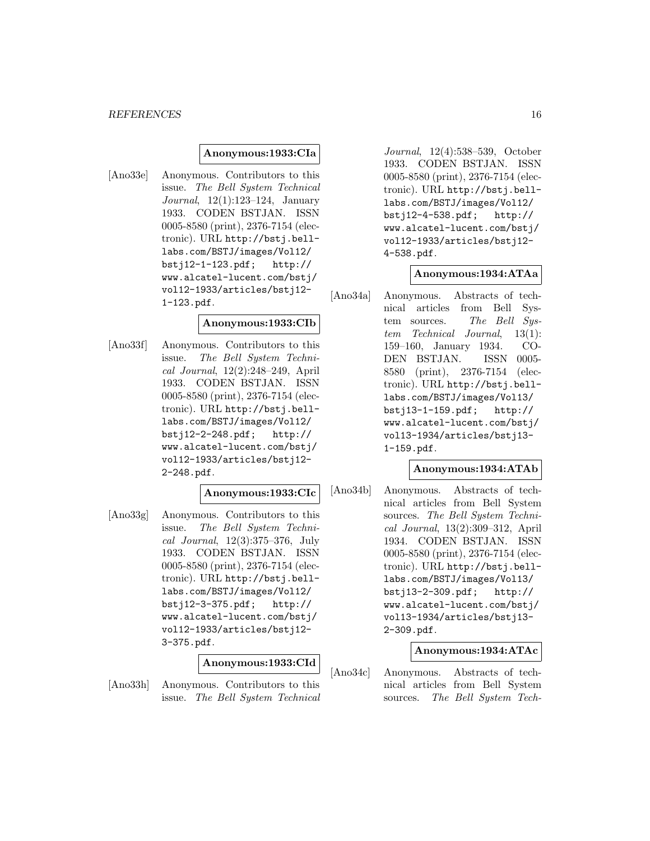#### *REFERENCES* 16

#### **Anonymous:1933:CIa**

[Ano33e] Anonymous. Contributors to this issue. The Bell System Technical Journal, 12(1):123–124, January 1933. CODEN BSTJAN. ISSN 0005-8580 (print), 2376-7154 (electronic). URL http://bstj.belllabs.com/BSTJ/images/Vol12/ bstj12-1-123.pdf; http:// www.alcatel-lucent.com/bstj/ vol12-1933/articles/bstj12- 1-123.pdf.

#### **Anonymous:1933:CIb**

[Ano33f] Anonymous. Contributors to this issue. The Bell System Technical Journal, 12(2):248–249, April 1933. CODEN BSTJAN. ISSN 0005-8580 (print), 2376-7154 (electronic). URL http://bstj.belllabs.com/BSTJ/images/Vol12/ bstj12-2-248.pdf; http:// www.alcatel-lucent.com/bstj/ vol12-1933/articles/bstj12- 2-248.pdf.

# **Anonymous:1933:CIc**

[Ano33g] Anonymous. Contributors to this issue. The Bell System Technical Journal, 12(3):375–376, July 1933. CODEN BSTJAN. ISSN 0005-8580 (print), 2376-7154 (electronic). URL http://bstj.belllabs.com/BSTJ/images/Vol12/ bstj12-3-375.pdf; http:// www.alcatel-lucent.com/bstj/ vol12-1933/articles/bstj12- 3-375.pdf.

#### **Anonymous:1933:CId**

[Ano33h] Anonymous. Contributors to this issue. The Bell System Technical

Journal, 12(4):538–539, October 1933. CODEN BSTJAN. ISSN 0005-8580 (print), 2376-7154 (electronic). URL http://bstj.belllabs.com/BSTJ/images/Vol12/ bstj12-4-538.pdf; http:// www.alcatel-lucent.com/bstj/ vol12-1933/articles/bstj12- 4-538.pdf.

#### **Anonymous:1934:ATAa**

[Ano34a] Anonymous. Abstracts of technical articles from Bell System sources. The Bell System Technical Journal, 13(1): 159–160, January 1934. CO-DEN BSTJAN. ISSN 0005- 8580 (print), 2376-7154 (electronic). URL http://bstj.belllabs.com/BSTJ/images/Vol13/ bstj13-1-159.pdf; http:// www.alcatel-lucent.com/bstj/ vol13-1934/articles/bstj13- 1-159.pdf.

# **Anonymous:1934:ATAb**

[Ano34b] Anonymous. Abstracts of technical articles from Bell System sources. The Bell System Technical Journal, 13(2):309–312, April 1934. CODEN BSTJAN. ISSN 0005-8580 (print), 2376-7154 (electronic). URL http://bstj.belllabs.com/BSTJ/images/Vol13/ bstj13-2-309.pdf; http:// www.alcatel-lucent.com/bstj/ vol13-1934/articles/bstj13- 2-309.pdf.

# **Anonymous:1934:ATAc**

[Ano34c] Anonymous. Abstracts of technical articles from Bell System sources. The Bell System Tech-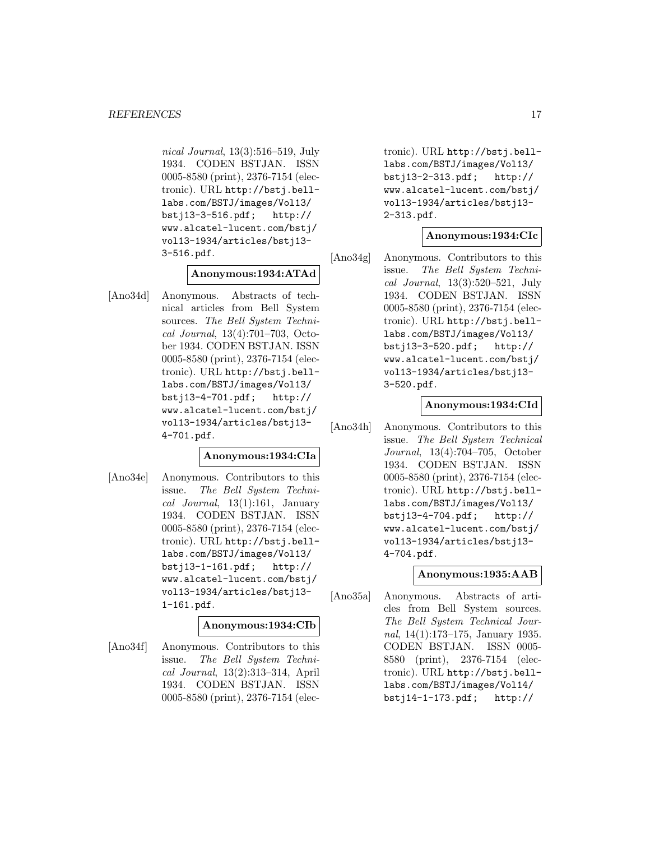nical Journal, 13(3):516–519, July 1934. CODEN BSTJAN. ISSN 0005-8580 (print), 2376-7154 (electronic). URL http://bstj.belllabs.com/BSTJ/images/Vol13/ bstj13-3-516.pdf; http:// www.alcatel-lucent.com/bstj/ vol13-1934/articles/bstj13- 3-516.pdf.

# **Anonymous:1934:ATAd**

[Ano34d] Anonymous. Abstracts of technical articles from Bell System sources. The Bell System Technical Journal, 13(4):701–703, October 1934. CODEN BSTJAN. ISSN 0005-8580 (print), 2376-7154 (electronic). URL http://bstj.belllabs.com/BSTJ/images/Vol13/ bstj13-4-701.pdf; http:// www.alcatel-lucent.com/bstj/ vol13-1934/articles/bstj13- 4-701.pdf.

# **Anonymous:1934:CIa**

[Ano34e] Anonymous. Contributors to this issue. The Bell System Technical Journal,  $13(1):161$ , January 1934. CODEN BSTJAN. ISSN 0005-8580 (print), 2376-7154 (electronic). URL http://bstj.belllabs.com/BSTJ/images/Vol13/ bstj13-1-161.pdf; http:// www.alcatel-lucent.com/bstj/ vol13-1934/articles/bstj13- 1-161.pdf.

# **Anonymous:1934:CIb**

[Ano34f] Anonymous. Contributors to this issue. The Bell System Technical Journal, 13(2):313–314, April 1934. CODEN BSTJAN. ISSN 0005-8580 (print), 2376-7154 (electronic). URL http://bstj.belllabs.com/BSTJ/images/Vol13/ bstj13-2-313.pdf; http:// www.alcatel-lucent.com/bstj/ vol13-1934/articles/bstj13- 2-313.pdf.

# **Anonymous:1934:CIc**

[Ano34g] Anonymous. Contributors to this issue. The Bell System Technical Journal, 13(3):520–521, July 1934. CODEN BSTJAN. ISSN 0005-8580 (print), 2376-7154 (electronic). URL http://bstj.belllabs.com/BSTJ/images/Vol13/ bstj13-3-520.pdf; http:// www.alcatel-lucent.com/bstj/ vol13-1934/articles/bstj13- 3-520.pdf.

#### **Anonymous:1934:CId**

[Ano34h] Anonymous. Contributors to this issue. The Bell System Technical Journal, 13(4):704–705, October 1934. CODEN BSTJAN. ISSN 0005-8580 (print), 2376-7154 (electronic). URL http://bstj.belllabs.com/BSTJ/images/Vol13/ bstj13-4-704.pdf; http:// www.alcatel-lucent.com/bstj/ vol13-1934/articles/bstj13- 4-704.pdf.

# **Anonymous:1935:AAB**

[Ano35a] Anonymous. Abstracts of articles from Bell System sources. The Bell System Technical Journal, 14(1):173–175, January 1935. CODEN BSTJAN. ISSN 0005- 8580 (print), 2376-7154 (electronic). URL http://bstj.belllabs.com/BSTJ/images/Vol14/ bstj14-1-173.pdf; http://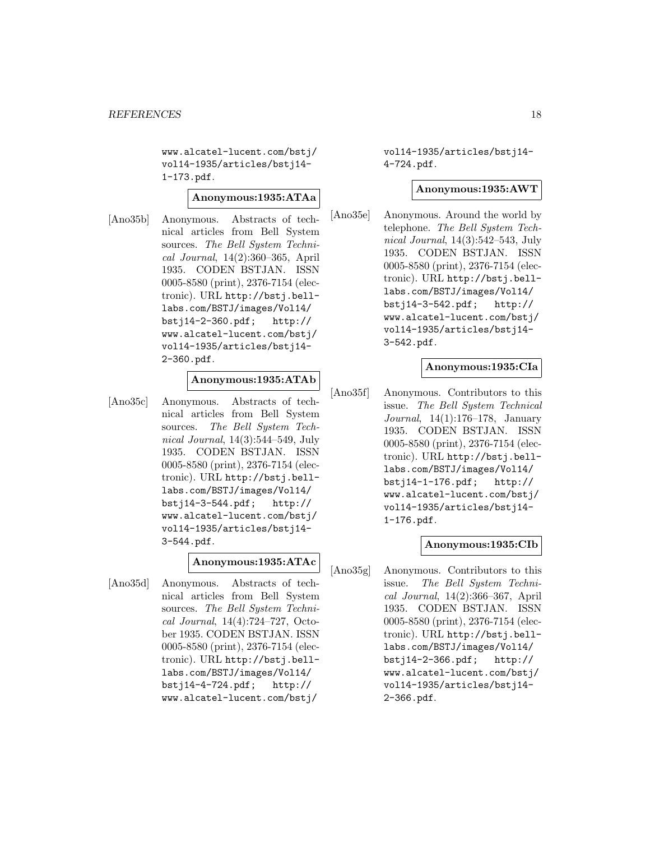www.alcatel-lucent.com/bstj/ vol14-1935/articles/bstj14- 1-173.pdf.

#### **Anonymous:1935:ATAa**

[Ano35b] Anonymous. Abstracts of technical articles from Bell System sources. The Bell System Technical Journal, 14(2):360–365, April 1935. CODEN BSTJAN. ISSN 0005-8580 (print), 2376-7154 (electronic). URL http://bstj.belllabs.com/BSTJ/images/Vol14/ bstj14-2-360.pdf; http:// www.alcatel-lucent.com/bstj/ vol14-1935/articles/bstj14- 2-360.pdf.

# **Anonymous:1935:ATAb**

[Ano35c] Anonymous. Abstracts of technical articles from Bell System sources. The Bell System Technical Journal, 14(3):544–549, July 1935. CODEN BSTJAN. ISSN 0005-8580 (print), 2376-7154 (electronic). URL http://bstj.belllabs.com/BSTJ/images/Vol14/ bstj14-3-544.pdf; http:// www.alcatel-lucent.com/bstj/ vol14-1935/articles/bstj14- 3-544.pdf.

#### **Anonymous:1935:ATAc**

[Ano35d] Anonymous. Abstracts of technical articles from Bell System sources. The Bell System Technical Journal, 14(4):724–727, October 1935. CODEN BSTJAN. ISSN 0005-8580 (print), 2376-7154 (electronic). URL http://bstj.belllabs.com/BSTJ/images/Vol14/ bstj14-4-724.pdf; http:// www.alcatel-lucent.com/bstj/

vol14-1935/articles/bstj14- 4-724.pdf.

#### **Anonymous:1935:AWT**

[Ano35e] Anonymous. Around the world by telephone. The Bell System Technical Journal, 14(3):542–543, July 1935. CODEN BSTJAN. ISSN 0005-8580 (print), 2376-7154 (electronic). URL http://bstj.belllabs.com/BSTJ/images/Vol14/ bstj14-3-542.pdf; http:// www.alcatel-lucent.com/bstj/ vol14-1935/articles/bstj14- 3-542.pdf.

# **Anonymous:1935:CIa**

[Ano35f] Anonymous. Contributors to this issue. The Bell System Technical Journal, 14(1):176–178, January 1935. CODEN BSTJAN. ISSN 0005-8580 (print), 2376-7154 (electronic). URL http://bstj.belllabs.com/BSTJ/images/Vol14/ bstj14-1-176.pdf; http:// www.alcatel-lucent.com/bstj/ vol14-1935/articles/bstj14- 1-176.pdf.

# **Anonymous:1935:CIb**

[Ano35g] Anonymous. Contributors to this issue. The Bell System Technical Journal, 14(2):366–367, April 1935. CODEN BSTJAN. ISSN 0005-8580 (print), 2376-7154 (electronic). URL http://bstj.belllabs.com/BSTJ/images/Vol14/<br>bstj14-2-366.pdf; http://  $bstj14-2-366.pdf;$ www.alcatel-lucent.com/bstj/ vol14-1935/articles/bstj14- 2-366.pdf.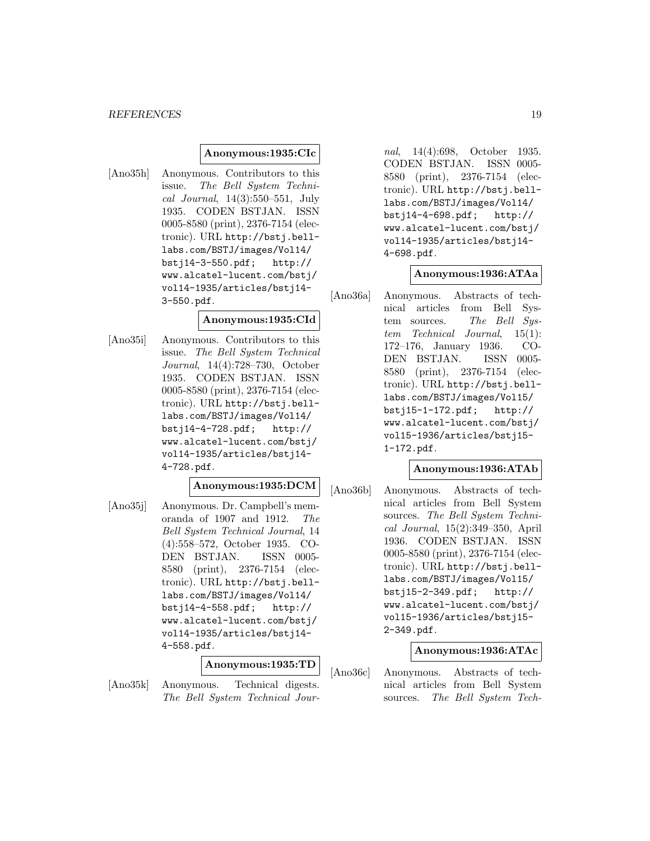#### *REFERENCES* 19

#### **Anonymous:1935:CIc**

[Ano35h] Anonymous. Contributors to this issue. The Bell System Technical Journal, 14(3):550–551, July 1935. CODEN BSTJAN. ISSN 0005-8580 (print), 2376-7154 (electronic). URL http://bstj.belllabs.com/BSTJ/images/Vol14/ bstj14-3-550.pdf; http:// www.alcatel-lucent.com/bstj/ vol14-1935/articles/bstj14- 3-550.pdf.

#### **Anonymous:1935:CId**

[Ano35i] Anonymous. Contributors to this issue. The Bell System Technical Journal, 14(4):728–730, October 1935. CODEN BSTJAN. ISSN 0005-8580 (print), 2376-7154 (electronic). URL http://bstj.belllabs.com/BSTJ/images/Vol14/ bstj14-4-728.pdf; http:// www.alcatel-lucent.com/bstj/ vol14-1935/articles/bstj14- 4-728.pdf.

# **Anonymous:1935:DCM**

[Ano35j] Anonymous. Dr. Campbell's memoranda of 1907 and 1912. The Bell System Technical Journal, 14 (4):558–572, October 1935. CO-DEN BSTJAN. ISSN 0005- 8580 (print), 2376-7154 (electronic). URL http://bstj.belllabs.com/BSTJ/images/Vol14/ bstj14-4-558.pdf; http:// www.alcatel-lucent.com/bstj/ vol14-1935/articles/bstj14- 4-558.pdf.

#### **Anonymous:1935:TD**

[Ano35k] Anonymous. Technical digests. The Bell System Technical Journal, 14(4):698, October 1935. CODEN BSTJAN. ISSN 0005- 8580 (print), 2376-7154 (electronic). URL http://bstj.belllabs.com/BSTJ/images/Vol14/ bstj14-4-698.pdf; http:// www.alcatel-lucent.com/bstj/ vol14-1935/articles/bstj14- 4-698.pdf.

#### **Anonymous:1936:ATAa**

[Ano36a] Anonymous. Abstracts of technical articles from Bell System sources. The Bell System Technical Journal, 15(1): 172–176, January 1936. CO-DEN BSTJAN. ISSN 0005- 8580 (print), 2376-7154 (electronic). URL http://bstj.belllabs.com/BSTJ/images/Vol15/ bstj15-1-172.pdf; http:// www.alcatel-lucent.com/bstj/ vol15-1936/articles/bstj15- 1-172.pdf.

# **Anonymous:1936:ATAb**

[Ano36b] Anonymous. Abstracts of technical articles from Bell System sources. The Bell System Technical Journal, 15(2):349–350, April 1936. CODEN BSTJAN. ISSN 0005-8580 (print), 2376-7154 (electronic). URL http://bstj.belllabs.com/BSTJ/images/Vol15/ bstj15-2-349.pdf; http:// www.alcatel-lucent.com/bstj/ vol15-1936/articles/bstj15- 2-349.pdf.

# **Anonymous:1936:ATAc**

[Ano36c] Anonymous. Abstracts of technical articles from Bell System sources. The Bell System Tech-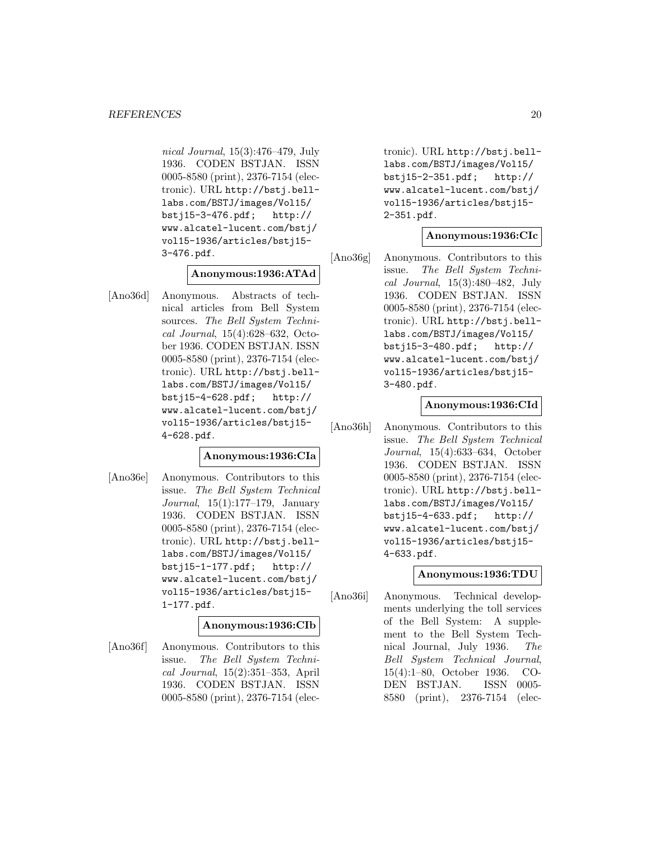nical Journal, 15(3):476–479, July 1936. CODEN BSTJAN. ISSN 0005-8580 (print), 2376-7154 (electronic). URL http://bstj.belllabs.com/BSTJ/images/Vol15/ bstj15-3-476.pdf; http:// www.alcatel-lucent.com/bstj/ vol15-1936/articles/bstj15- 3-476.pdf.

# **Anonymous:1936:ATAd**

[Ano36d] Anonymous. Abstracts of technical articles from Bell System sources. The Bell System Technical Journal, 15(4):628–632, October 1936. CODEN BSTJAN. ISSN 0005-8580 (print), 2376-7154 (electronic). URL http://bstj.belllabs.com/BSTJ/images/Vol15/ bstj15-4-628.pdf; http:// www.alcatel-lucent.com/bstj/ vol15-1936/articles/bstj15- 4-628.pdf.

# **Anonymous:1936:CIa**

[Ano36e] Anonymous. Contributors to this issue. The Bell System Technical Journal, 15(1):177–179, January 1936. CODEN BSTJAN. ISSN 0005-8580 (print), 2376-7154 (electronic). URL http://bstj.belllabs.com/BSTJ/images/Vol15/ bstj15-1-177.pdf; http:// www.alcatel-lucent.com/bstj/ vol15-1936/articles/bstj15- 1-177.pdf.

# **Anonymous:1936:CIb**

[Ano36f] Anonymous. Contributors to this issue. The Bell System Technical Journal, 15(2):351–353, April 1936. CODEN BSTJAN. ISSN 0005-8580 (print), 2376-7154 (electronic). URL http://bstj.belllabs.com/BSTJ/images/Vol15/ bstj15-2-351.pdf; http:// www.alcatel-lucent.com/bstj/ vol15-1936/articles/bstj15- 2-351.pdf.

# **Anonymous:1936:CIc**

[Ano36g] Anonymous. Contributors to this issue. The Bell System Technical Journal, 15(3):480–482, July 1936. CODEN BSTJAN. ISSN 0005-8580 (print), 2376-7154 (electronic). URL http://bstj.belllabs.com/BSTJ/images/Vol15/ bstj15-3-480.pdf; http:// www.alcatel-lucent.com/bstj/ vol15-1936/articles/bstj15- 3-480.pdf.

#### **Anonymous:1936:CId**

[Ano36h] Anonymous. Contributors to this issue. The Bell System Technical Journal, 15(4):633–634, October 1936. CODEN BSTJAN. ISSN 0005-8580 (print), 2376-7154 (electronic). URL http://bstj.belllabs.com/BSTJ/images/Vol15/ bstj15-4-633.pdf; http:// www.alcatel-lucent.com/bstj/ vol15-1936/articles/bstj15- 4-633.pdf.

# **Anonymous:1936:TDU**

[Ano36i] Anonymous. Technical developments underlying the toll services of the Bell System: A supplement to the Bell System Technical Journal, July 1936. The Bell System Technical Journal, 15(4):1–80, October 1936. CO-DEN BSTJAN. ISSN 0005- 8580 (print), 2376-7154 (elec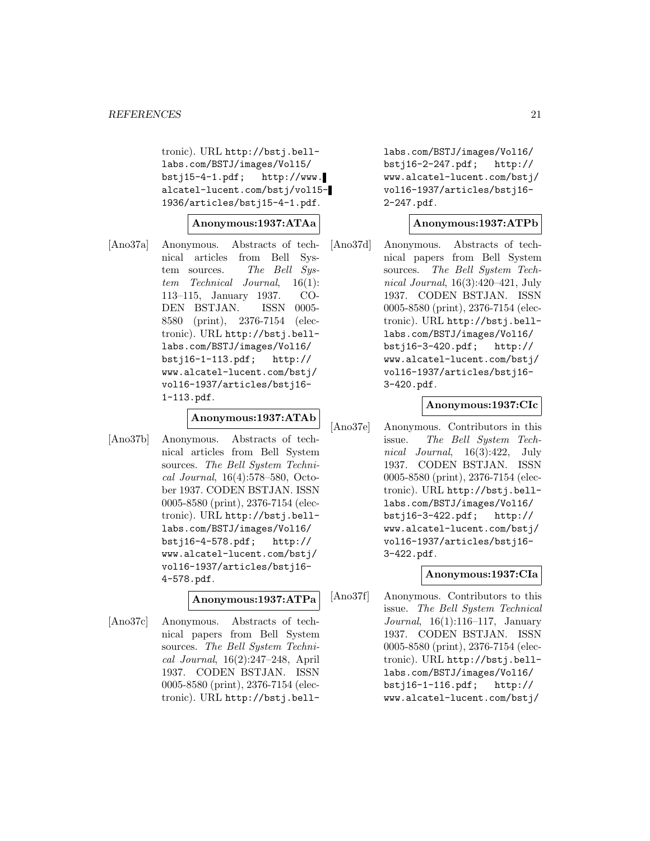tronic). URL http://bstj.belllabs.com/BSTJ/images/Vol15/  $bsti15-4-1.pdf;$  http://www. alcatel-lucent.com/bstj/vol15- 1936/articles/bstj15-4-1.pdf.

# **Anonymous:1937:ATAa**

[Ano37a] Anonymous. Abstracts of technical articles from Bell System sources. The Bell System Technical Journal, 16(1): 113–115, January 1937. CO-DEN BSTJAN. ISSN 0005- 8580 (print), 2376-7154 (electronic). URL http://bstj.belllabs.com/BSTJ/images/Vol16/ bstj16-1-113.pdf; http:// www.alcatel-lucent.com/bstj/ vol16-1937/articles/bstj16- 1-113.pdf.

#### **Anonymous:1937:ATAb**

[Ano37b] Anonymous. Abstracts of technical articles from Bell System sources. The Bell System Technical Journal, 16(4):578–580, October 1937. CODEN BSTJAN. ISSN 0005-8580 (print), 2376-7154 (electronic). URL http://bstj.belllabs.com/BSTJ/images/Vol16/ bstj16-4-578.pdf; http:// www.alcatel-lucent.com/bstj/ vol16-1937/articles/bstj16- 4-578.pdf.

#### **Anonymous:1937:ATPa**

[Ano37c] Anonymous. Abstracts of technical papers from Bell System sources. The Bell System Technical Journal, 16(2):247–248, April 1937. CODEN BSTJAN. ISSN 0005-8580 (print), 2376-7154 (electronic). URL http://bstj.belllabs.com/BSTJ/images/Vol16/ bstj16-2-247.pdf; http:// www.alcatel-lucent.com/bstj/ vol16-1937/articles/bstj16- 2-247.pdf.

# **Anonymous:1937:ATPb**

[Ano37d] Anonymous. Abstracts of technical papers from Bell System sources. The Bell System Technical Journal, 16(3):420–421, July 1937. CODEN BSTJAN. ISSN 0005-8580 (print), 2376-7154 (electronic). URL http://bstj.belllabs.com/BSTJ/images/Vol16/ bstj16-3-420.pdf; http:// www.alcatel-lucent.com/bstj/ vol16-1937/articles/bstj16- 3-420.pdf.

#### **Anonymous:1937:CIc**

[Ano37e] Anonymous. Contributors in this issue. The Bell System Technical Journal, 16(3):422, July 1937. CODEN BSTJAN. ISSN 0005-8580 (print), 2376-7154 (electronic). URL http://bstj.belllabs.com/BSTJ/images/Vol16/ bstj16-3-422.pdf; http:// www.alcatel-lucent.com/bstj/ vol16-1937/articles/bstj16- 3-422.pdf.

# **Anonymous:1937:CIa**

[Ano37f] Anonymous. Contributors to this issue. The Bell System Technical Journal, 16(1):116–117, January 1937. CODEN BSTJAN. ISSN 0005-8580 (print), 2376-7154 (electronic). URL http://bstj.belllabs.com/BSTJ/images/Vol16/ bstj16-1-116.pdf; http:// www.alcatel-lucent.com/bstj/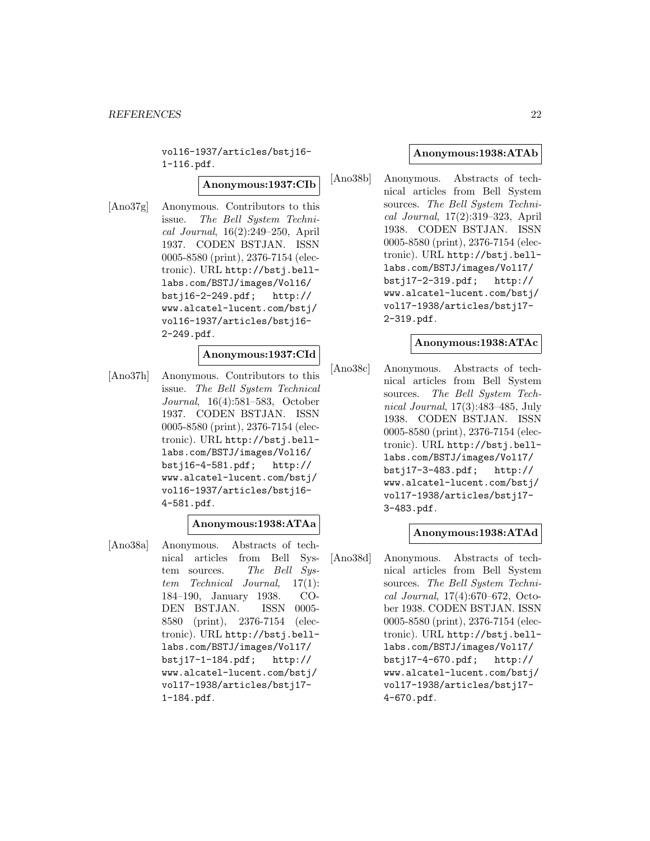vol16-1937/articles/bstj16- 1-116.pdf.

#### **Anonymous:1937:CIb**

[Ano37g] Anonymous. Contributors to this issue. The Bell System Technical Journal, 16(2):249–250, April 1937. CODEN BSTJAN. ISSN 0005-8580 (print), 2376-7154 (electronic). URL http://bstj.belllabs.com/BSTJ/images/Vol16/ bstj16-2-249.pdf; http:// www.alcatel-lucent.com/bstj/ vol16-1937/articles/bstj16- 2-249.pdf.

# **Anonymous:1937:CId**

[Ano37h] Anonymous. Contributors to this issue. The Bell System Technical Journal, 16(4):581–583, October 1937. CODEN BSTJAN. ISSN 0005-8580 (print), 2376-7154 (electronic). URL http://bstj.belllabs.com/BSTJ/images/Vol16/ bstj16-4-581.pdf; http:// www.alcatel-lucent.com/bstj/ vol16-1937/articles/bstj16- 4-581.pdf.

#### **Anonymous:1938:ATAa**

[Ano38a] Anonymous. Abstracts of technical articles from Bell System sources. The Bell System Technical Journal, 17(1): 184–190, January 1938. CO-DEN BSTJAN. ISSN 0005- 8580 (print), 2376-7154 (electronic). URL http://bstj.belllabs.com/BSTJ/images/Vol17/ bstj17-1-184.pdf; http:// www.alcatel-lucent.com/bstj/ vol17-1938/articles/bstj17- 1-184.pdf.

#### **Anonymous:1938:ATAb**

[Ano38b] Anonymous. Abstracts of technical articles from Bell System sources. The Bell System Technical Journal, 17(2):319–323, April 1938. CODEN BSTJAN. ISSN 0005-8580 (print), 2376-7154 (electronic). URL http://bstj.belllabs.com/BSTJ/images/Vol17/ bstj17-2-319.pdf; http:// www.alcatel-lucent.com/bstj/ vol17-1938/articles/bstj17- 2-319.pdf.

# **Anonymous:1938:ATAc**

[Ano38c] Anonymous. Abstracts of technical articles from Bell System sources. The Bell System Technical Journal, 17(3):483–485, July 1938. CODEN BSTJAN. ISSN 0005-8580 (print), 2376-7154 (electronic). URL http://bstj.belllabs.com/BSTJ/images/Vol17/ bstj17-3-483.pdf; http:// www.alcatel-lucent.com/bstj/ vol17-1938/articles/bstj17- 3-483.pdf.

# **Anonymous:1938:ATAd**

[Ano38d] Anonymous. Abstracts of technical articles from Bell System sources. The Bell System Technical Journal, 17(4):670–672, October 1938. CODEN BSTJAN. ISSN 0005-8580 (print), 2376-7154 (electronic). URL http://bstj.belllabs.com/BSTJ/images/Vol17/<br>bstj17-4-670.pdf; http://  $bstj17-4-670.pdf;$ www.alcatel-lucent.com/bstj/ vol17-1938/articles/bstj17- 4-670.pdf.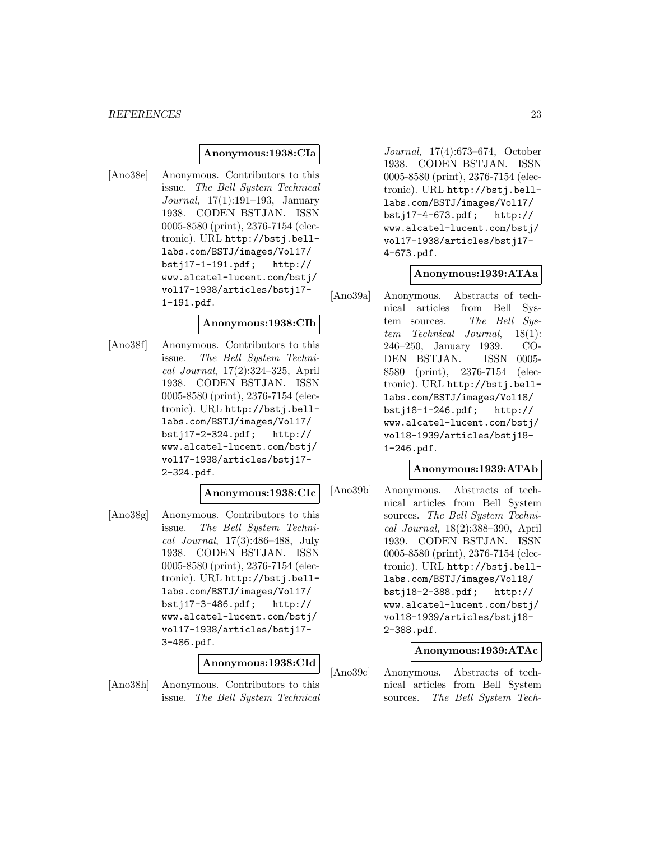#### *REFERENCES* 23

#### **Anonymous:1938:CIa**

[Ano38e] Anonymous. Contributors to this issue. The Bell System Technical Journal, 17(1):191–193, January 1938. CODEN BSTJAN. ISSN 0005-8580 (print), 2376-7154 (electronic). URL http://bstj.belllabs.com/BSTJ/images/Vol17/ bstj17-1-191.pdf; http:// www.alcatel-lucent.com/bstj/ vol17-1938/articles/bstj17- 1-191.pdf.

#### **Anonymous:1938:CIb**

[Ano38f] Anonymous. Contributors to this issue. The Bell System Technical Journal, 17(2):324–325, April 1938. CODEN BSTJAN. ISSN 0005-8580 (print), 2376-7154 (electronic). URL http://bstj.belllabs.com/BSTJ/images/Vol17/ bstj17-2-324.pdf; http:// www.alcatel-lucent.com/bstj/ vol17-1938/articles/bstj17- 2-324.pdf.

# **Anonymous:1938:CIc**

[Ano38g] Anonymous. Contributors to this issue. The Bell System Technical Journal, 17(3):486–488, July 1938. CODEN BSTJAN. ISSN 0005-8580 (print), 2376-7154 (electronic). URL http://bstj.belllabs.com/BSTJ/images/Vol17/ bstj17-3-486.pdf; http:// www.alcatel-lucent.com/bstj/ vol17-1938/articles/bstj17- 3-486.pdf.

#### **Anonymous:1938:CId**

[Ano38h] Anonymous. Contributors to this issue. The Bell System Technical

Journal, 17(4):673–674, October 1938. CODEN BSTJAN. ISSN 0005-8580 (print), 2376-7154 (electronic). URL http://bstj.belllabs.com/BSTJ/images/Vol17/ bstj17-4-673.pdf; http:// www.alcatel-lucent.com/bstj/ vol17-1938/articles/bstj17- 4-673.pdf.

#### **Anonymous:1939:ATAa**

[Ano39a] Anonymous. Abstracts of technical articles from Bell System sources. The Bell System Technical Journal, 18(1): 246–250, January 1939. CO-DEN BSTJAN. ISSN 0005- 8580 (print), 2376-7154 (electronic). URL http://bstj.belllabs.com/BSTJ/images/Vol18/ bstj18-1-246.pdf; http:// www.alcatel-lucent.com/bstj/ vol18-1939/articles/bstj18- 1-246.pdf.

# **Anonymous:1939:ATAb**

[Ano39b] Anonymous. Abstracts of technical articles from Bell System sources. The Bell System Technical Journal, 18(2):388–390, April 1939. CODEN BSTJAN. ISSN 0005-8580 (print), 2376-7154 (electronic). URL http://bstj.belllabs.com/BSTJ/images/Vol18/ bstj18-2-388.pdf; http:// www.alcatel-lucent.com/bstj/ vol18-1939/articles/bstj18- 2-388.pdf.

# **Anonymous:1939:ATAc**

[Ano39c] Anonymous. Abstracts of technical articles from Bell System sources. The Bell System Tech-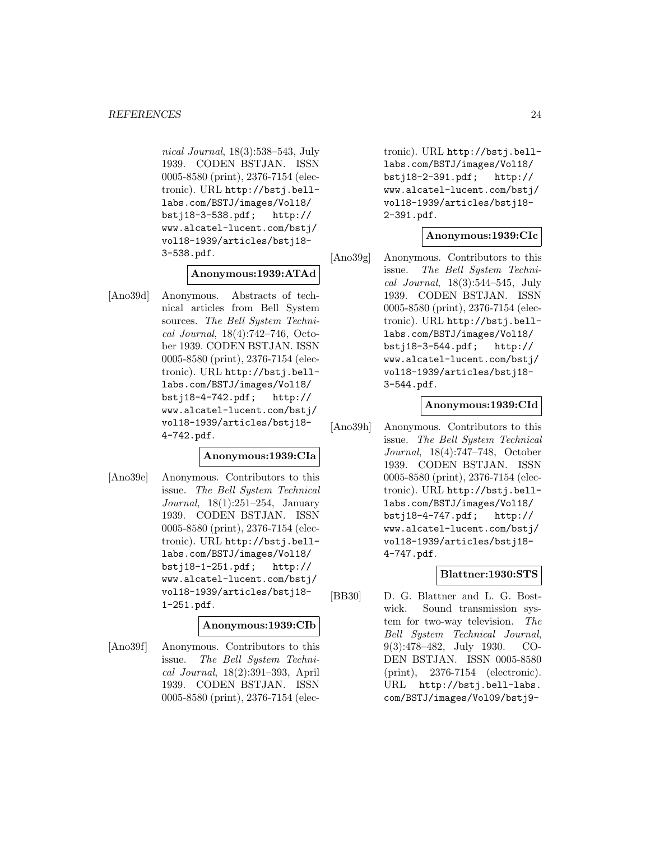nical Journal, 18(3):538–543, July 1939. CODEN BSTJAN. ISSN 0005-8580 (print), 2376-7154 (electronic). URL http://bstj.belllabs.com/BSTJ/images/Vol18/ bstj18-3-538.pdf; http:// www.alcatel-lucent.com/bstj/ vol18-1939/articles/bstj18- 3-538.pdf.

# **Anonymous:1939:ATAd**

[Ano39d] Anonymous. Abstracts of technical articles from Bell System sources. The Bell System Technical Journal, 18(4):742–746, October 1939. CODEN BSTJAN. ISSN 0005-8580 (print), 2376-7154 (electronic). URL http://bstj.belllabs.com/BSTJ/images/Vol18/ bstj18-4-742.pdf; http:// www.alcatel-lucent.com/bstj/ vol18-1939/articles/bstj18- 4-742.pdf.

# **Anonymous:1939:CIa**

[Ano39e] Anonymous. Contributors to this issue. The Bell System Technical Journal, 18(1):251–254, January 1939. CODEN BSTJAN. ISSN 0005-8580 (print), 2376-7154 (electronic). URL http://bstj.belllabs.com/BSTJ/images/Vol18/ bstj18-1-251.pdf; http:// www.alcatel-lucent.com/bstj/ vol18-1939/articles/bstj18- 1-251.pdf.

# **Anonymous:1939:CIb**

[Ano39f] Anonymous. Contributors to this issue. The Bell System Technical Journal, 18(2):391–393, April 1939. CODEN BSTJAN. ISSN 0005-8580 (print), 2376-7154 (electronic). URL http://bstj.belllabs.com/BSTJ/images/Vol18/ bstj18-2-391.pdf; http:// www.alcatel-lucent.com/bstj/ vol18-1939/articles/bstj18- 2-391.pdf.

# **Anonymous:1939:CIc**

[Ano39g] Anonymous. Contributors to this issue. The Bell System Technical Journal, 18(3):544–545, July 1939. CODEN BSTJAN. ISSN 0005-8580 (print), 2376-7154 (electronic). URL http://bstj.belllabs.com/BSTJ/images/Vol18/ bstj18-3-544.pdf; http:// www.alcatel-lucent.com/bstj/ vol18-1939/articles/bstj18- 3-544.pdf.

#### **Anonymous:1939:CId**

[Ano39h] Anonymous. Contributors to this issue. The Bell System Technical Journal, 18(4):747–748, October 1939. CODEN BSTJAN. ISSN 0005-8580 (print), 2376-7154 (electronic). URL http://bstj.belllabs.com/BSTJ/images/Vol18/ bstj18-4-747.pdf; http:// www.alcatel-lucent.com/bstj/ vol18-1939/articles/bstj18- 4-747.pdf.

# **Blattner:1930:STS**

[BB30] D. G. Blattner and L. G. Bostwick. Sound transmission system for two-way television. The Bell System Technical Journal, 9(3):478–482, July 1930. CO-DEN BSTJAN. ISSN 0005-8580 (print), 2376-7154 (electronic). URL http://bstj.bell-labs. com/BSTJ/images/Vol09/bstj9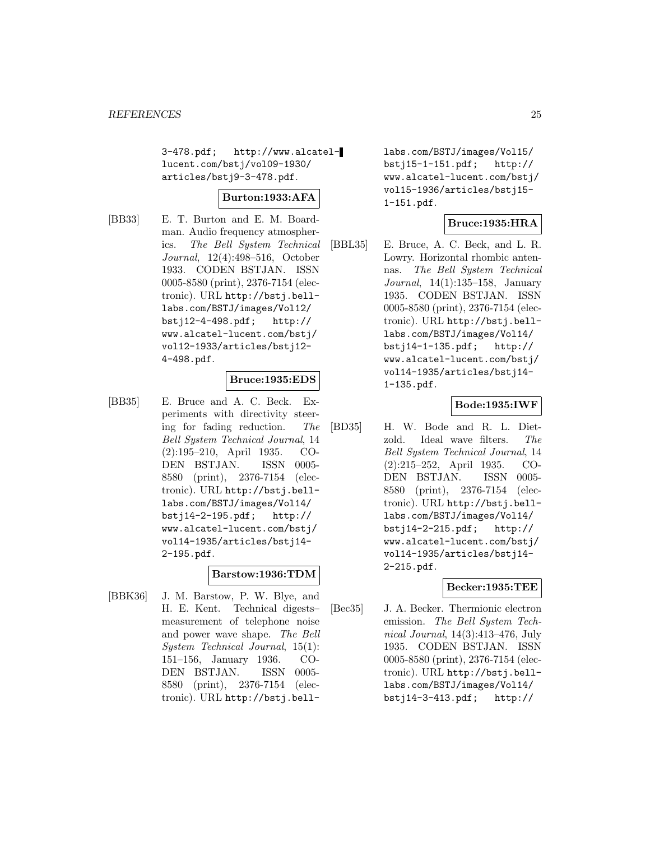3-478.pdf; http://www.alcatellucent.com/bstj/vol09-1930/ articles/bstj9-3-478.pdf.

# **Burton:1933:AFA**

[BB33] E. T. Burton and E. M. Boardman. Audio frequency atmospherics. The Bell System Technical Journal, 12(4):498–516, October 1933. CODEN BSTJAN. ISSN 0005-8580 (print), 2376-7154 (electronic). URL http://bstj.belllabs.com/BSTJ/images/Vol12/ bstj12-4-498.pdf; http:// www.alcatel-lucent.com/bstj/ vol12-1933/articles/bstj12- 4-498.pdf.

# **Bruce:1935:EDS**

[BB35] E. Bruce and A. C. Beck. Experiments with directivity steering for fading reduction. The Bell System Technical Journal, 14 (2):195–210, April 1935. CO-DEN BSTJAN. ISSN 0005- 8580 (print), 2376-7154 (electronic). URL http://bstj.belllabs.com/BSTJ/images/Vol14/ bstj14-2-195.pdf; http:// www.alcatel-lucent.com/bstj/ vol14-1935/articles/bstj14- 2-195.pdf.

#### **Barstow:1936:TDM**

[BBK36] J. M. Barstow, P. W. Blye, and H. E. Kent. Technical digests– measurement of telephone noise and power wave shape. The Bell System Technical Journal, 15(1): 151–156, January 1936. CO-DEN BSTJAN. ISSN 0005- 8580 (print), 2376-7154 (electronic). URL http://bstj.belllabs.com/BSTJ/images/Vol15/ bstj15-1-151.pdf; http:// www.alcatel-lucent.com/bstj/ vol15-1936/articles/bstj15- 1-151.pdf.

# **Bruce:1935:HRA**

[BBL35] E. Bruce, A. C. Beck, and L. R. Lowry. Horizontal rhombic antennas. The Bell System Technical Journal, 14(1):135–158, January 1935. CODEN BSTJAN. ISSN 0005-8580 (print), 2376-7154 (electronic). URL http://bstj.belllabs.com/BSTJ/images/Vol14/ bstj14-1-135.pdf; http:// www.alcatel-lucent.com/bstj/ vol14-1935/articles/bstj14- 1-135.pdf.

# **Bode:1935:IWF**

[BD35] H. W. Bode and R. L. Dietzold. Ideal wave filters. The Bell System Technical Journal, 14 (2):215–252, April 1935. CO-DEN BSTJAN. ISSN 0005- 8580 (print), 2376-7154 (electronic). URL http://bstj.belllabs.com/BSTJ/images/Vol14/ bstj14-2-215.pdf; http:// www.alcatel-lucent.com/bstj/ vol14-1935/articles/bstj14- 2-215.pdf.

# **Becker:1935:TEE**

[Bec35] J. A. Becker. Thermionic electron emission. The Bell System Technical Journal, 14(3):413–476, July 1935. CODEN BSTJAN. ISSN 0005-8580 (print), 2376-7154 (electronic). URL http://bstj.belllabs.com/BSTJ/images/Vol14/ bstj14-3-413.pdf; http://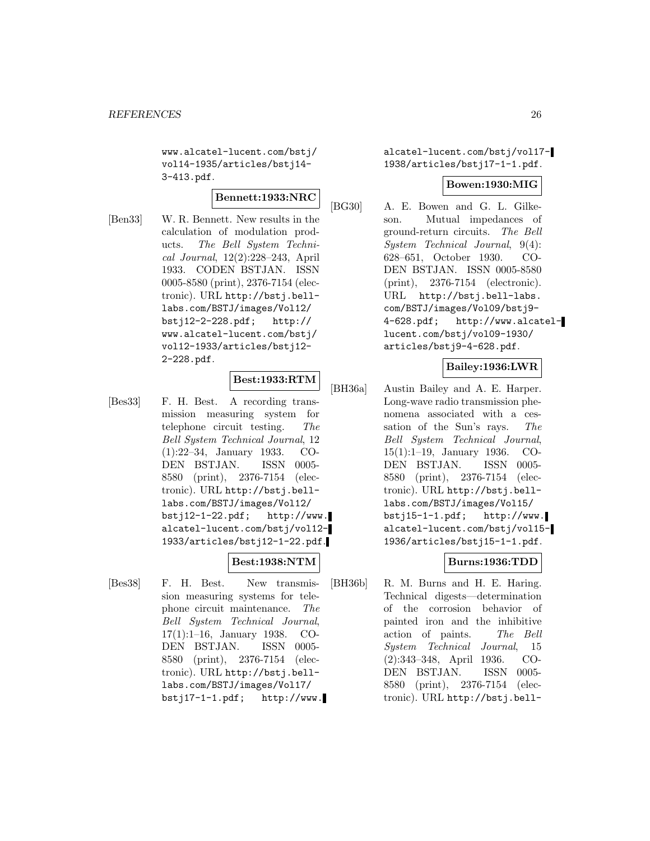www.alcatel-lucent.com/bstj/ vol14-1935/articles/bstj14- 3-413.pdf.

# **Bennett:1933:NRC**

[Ben33] W. R. Bennett. New results in the calculation of modulation products. The Bell System Technical Journal, 12(2):228–243, April 1933. CODEN BSTJAN. ISSN 0005-8580 (print), 2376-7154 (electronic). URL http://bstj.belllabs.com/BSTJ/images/Vol12/ bstj12-2-228.pdf; http:// www.alcatel-lucent.com/bstj/ vol12-1933/articles/bstj12- 2-228.pdf.

# **Best:1933:RTM**

[Bes33] F. H. Best. A recording transmission measuring system for telephone circuit testing. The Bell System Technical Journal, 12 (1):22–34, January 1933. CO-DEN BSTJAN. ISSN 0005- 8580 (print), 2376-7154 (electronic). URL http://bstj.belllabs.com/BSTJ/images/Vol12/ bstj12-1-22.pdf; http://www. alcatel-lucent.com/bstj/vol12- 1933/articles/bstj12-1-22.pdf.

# **Best:1938:NTM**

[Bes38] F. H. Best. New transmission measuring systems for telephone circuit maintenance. The Bell System Technical Journal, 17(1):1–16, January 1938. CO-DEN BSTJAN. ISSN 0005- 8580 (print), 2376-7154 (electronic). URL http://bstj.belllabs.com/BSTJ/images/Vol17/  $bstj17-1-1.pdf;$  http://www. alcatel-lucent.com/bstj/vol17- 1938/articles/bstj17-1-1.pdf.

# **Bowen:1930:MIG**

[BG30] A. E. Bowen and G. L. Gilkeson. Mutual impedances of ground-return circuits. The Bell System Technical Journal, 9(4): 628–651, October 1930. CO-DEN BSTJAN. ISSN 0005-8580 (print), 2376-7154 (electronic). URL http://bstj.bell-labs. com/BSTJ/images/Vol09/bstj9- 4-628.pdf; http://www.alcatellucent.com/bstj/vol09-1930/ articles/bstj9-4-628.pdf.

# **Bailey:1936:LWR**

[BH36a] Austin Bailey and A. E. Harper. Long-wave radio transmission phenomena associated with a cessation of the Sun's rays. The Bell System Technical Journal, 15(1):1–19, January 1936. CO-DEN BSTJAN. ISSN 0005- 8580 (print), 2376-7154 (electronic). URL http://bstj.belllabs.com/BSTJ/images/Vol15/ bstj15-1-1.pdf; http://www. alcatel-lucent.com/bstj/vol15- 1936/articles/bstj15-1-1.pdf.

# **Burns:1936:TDD**

[BH36b] R. M. Burns and H. E. Haring. Technical digests—determination of the corrosion behavior of painted iron and the inhibitive action of paints. The Bell System Technical Journal, 15 (2):343–348, April 1936. CO-DEN BSTJAN. ISSN 0005- 8580 (print), 2376-7154 (electronic). URL http://bstj.bell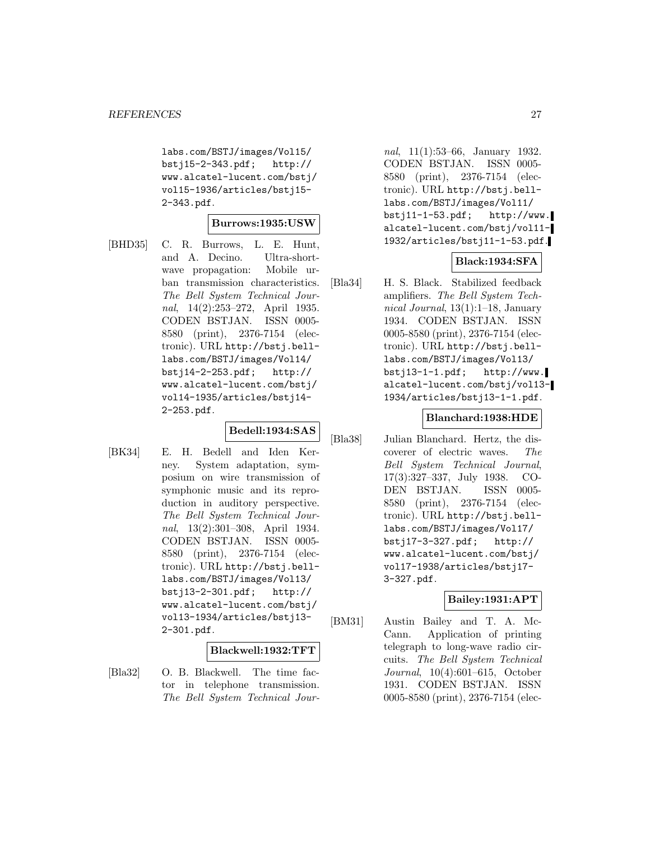labs.com/BSTJ/images/Vol15/ bstj15-2-343.pdf; http:// www.alcatel-lucent.com/bstj/ vol15-1936/articles/bstj15- 2-343.pdf.

#### **Burrows:1935:USW**

[BHD35] C. R. Burrows, L. E. Hunt, and A. Decino. Ultra-shortwave propagation: Mobile urban transmission characteristics. The Bell System Technical Journal, 14(2):253–272, April 1935. CODEN BSTJAN. ISSN 0005- 8580 (print), 2376-7154 (electronic). URL http://bstj.belllabs.com/BSTJ/images/Vol14/ bstj14-2-253.pdf; http:// www.alcatel-lucent.com/bstj/ vol14-1935/articles/bstj14- 2-253.pdf.

# **Bedell:1934:SAS**

[BK34] E. H. Bedell and Iden Kerney. System adaptation, symposium on wire transmission of symphonic music and its reproduction in auditory perspective. The Bell System Technical Journal, 13(2):301–308, April 1934. CODEN BSTJAN. ISSN 0005- 8580 (print), 2376-7154 (electronic). URL http://bstj.belllabs.com/BSTJ/images/Vol13/ bstj13-2-301.pdf; http:// www.alcatel-lucent.com/bstj/ vol13-1934/articles/bstj13- 2-301.pdf.

# **Blackwell:1932:TFT**

[Bla32] O. B. Blackwell. The time factor in telephone transmission. The Bell System Technical Journal, 11(1):53–66, January 1932. CODEN BSTJAN. ISSN 0005- 8580 (print), 2376-7154 (electronic). URL http://bstj.belllabs.com/BSTJ/images/Vol11/ bstj11-1-53.pdf; http://www. alcatel-lucent.com/bstj/vol11- 1932/articles/bstj11-1-53.pdf.

# **Black:1934:SFA**

[Bla34] H. S. Black. Stabilized feedback amplifiers. The Bell System Technical Journal, 13(1):1–18, January 1934. CODEN BSTJAN. ISSN 0005-8580 (print), 2376-7154 (electronic). URL http://bstj.belllabs.com/BSTJ/images/Vol13/ bstj13-1-1.pdf; http://www. alcatel-lucent.com/bstj/vol13- 1934/articles/bstj13-1-1.pdf.

# **Blanchard:1938:HDE**

[Bla38] Julian Blanchard. Hertz, the discoverer of electric waves. The Bell System Technical Journal, 17(3):327–337, July 1938. CO-DEN BSTJAN. ISSN 0005- 8580 (print), 2376-7154 (electronic). URL http://bstj.belllabs.com/BSTJ/images/Vol17/ bstj17-3-327.pdf; http:// www.alcatel-lucent.com/bstj/ vol17-1938/articles/bstj17- 3-327.pdf.

# **Bailey:1931:APT**

[BM31] Austin Bailey and T. A. Mc-Cann. Application of printing telegraph to long-wave radio circuits. The Bell System Technical Journal, 10(4):601–615, October 1931. CODEN BSTJAN. ISSN 0005-8580 (print), 2376-7154 (elec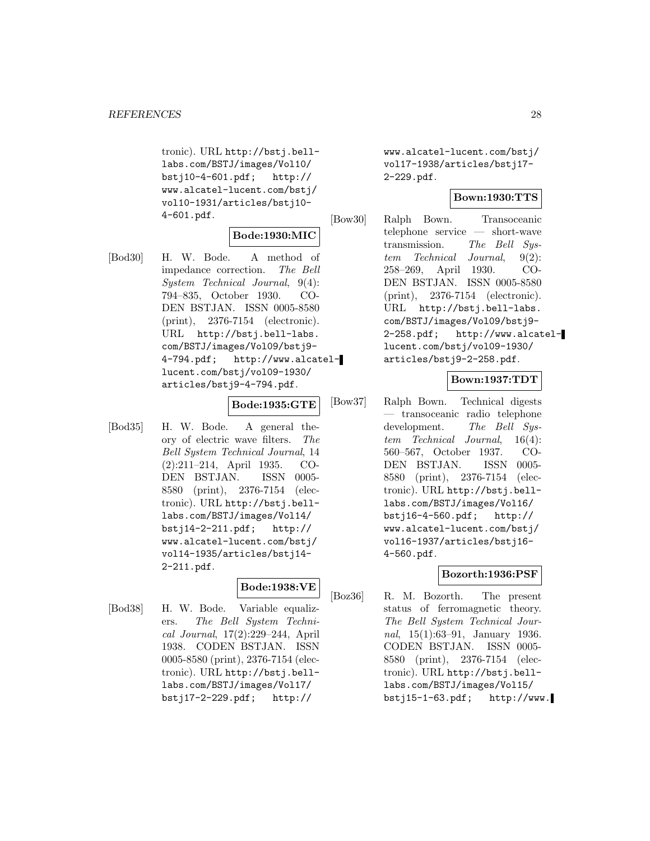tronic). URL http://bstj.belllabs.com/BSTJ/images/Vol10/ bstj10-4-601.pdf; http:// www.alcatel-lucent.com/bstj/ vol10-1931/articles/bstj10- 4-601.pdf.

# **Bode:1930:MIC**

[Bod30] H. W. Bode. A method of impedance correction. The Bell System Technical Journal, 9(4): 794–835, October 1930. CO-DEN BSTJAN. ISSN 0005-8580 (print), 2376-7154 (electronic). URL http://bstj.bell-labs. com/BSTJ/images/Vol09/bstj9- 4-794.pdf; http://www.alcatellucent.com/bstj/vol09-1930/ articles/bstj9-4-794.pdf.

# **Bode:1935:GTE**

[Bod35] H. W. Bode. A general theory of electric wave filters. The Bell System Technical Journal, 14 (2):211–214, April 1935. CO-DEN BSTJAN. ISSN 0005- 8580 (print), 2376-7154 (electronic). URL http://bstj.belllabs.com/BSTJ/images/Vol14/ bstj14-2-211.pdf; http:// www.alcatel-lucent.com/bstj/ vol14-1935/articles/bstj14- 2-211.pdf.

# **Bode:1938:VE**

[Bod38] H. W. Bode. Variable equalizers. The Bell System Technical Journal, 17(2):229–244, April 1938. CODEN BSTJAN. ISSN 0005-8580 (print), 2376-7154 (electronic). URL http://bstj.belllabs.com/BSTJ/images/Vol17/ bstj17-2-229.pdf; http://

www.alcatel-lucent.com/bstj/ vol17-1938/articles/bstj17- 2-229.pdf.

# **Bown:1930:TTS**

[Bow30] Ralph Bown. Transoceanic telephone service — short-wave transmission. The Bell System Technical Journal, 9(2): 258–269, April 1930. CO-DEN BSTJAN. ISSN 0005-8580 (print), 2376-7154 (electronic). URL http://bstj.bell-labs. com/BSTJ/images/Vol09/bstj9- 2-258.pdf; http://www.alcatellucent.com/bstj/vol09-1930/ articles/bstj9-2-258.pdf.

# **Bown:1937:TDT**

[Bow37] Ralph Bown. Technical digests — transoceanic radio telephone development. The Bell System Technical Journal, 16(4): 560–567, October 1937. CO-DEN BSTJAN. ISSN 0005- 8580 (print), 2376-7154 (electronic). URL http://bstj.belllabs.com/BSTJ/images/Vol16/ bstj16-4-560.pdf; http:// www.alcatel-lucent.com/bstj/ vol16-1937/articles/bstj16- 4-560.pdf.

# **Bozorth:1936:PSF**

[Boz36] R. M. Bozorth. The present status of ferromagnetic theory. The Bell System Technical Journal, 15(1):63–91, January 1936. CODEN BSTJAN. ISSN 0005- 8580 (print), 2376-7154 (electronic). URL http://bstj.belllabs.com/BSTJ/images/Vol15/  $bst$ <sup>15-1-63.pdf; http://www.</sup>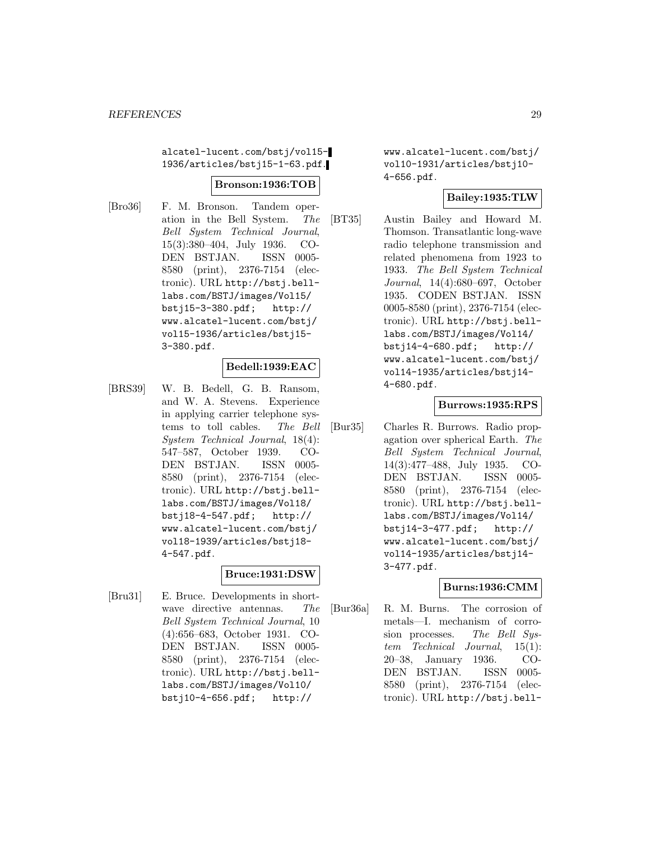alcatel-lucent.com/bstj/vol15- 1936/articles/bstj15-1-63.pdf.

#### **Bronson:1936:TOB**

[Bro36] F. M. Bronson. Tandem operation in the Bell System. The Bell System Technical Journal, 15(3):380–404, July 1936. CO-DEN BSTJAN. ISSN 0005- 8580 (print), 2376-7154 (electronic). URL http://bstj.belllabs.com/BSTJ/images/Vol15/ bstj15-3-380.pdf; http:// www.alcatel-lucent.com/bstj/ vol15-1936/articles/bstj15- 3-380.pdf.

# **Bedell:1939:EAC**

[BRS39] W. B. Bedell, G. B. Ransom, and W. A. Stevens. Experience in applying carrier telephone systems to toll cables. The Bell System Technical Journal, 18(4): 547–587, October 1939. CO-DEN BSTJAN. ISSN 0005- 8580 (print), 2376-7154 (electronic). URL http://bstj.belllabs.com/BSTJ/images/Vol18/ bstj18-4-547.pdf; http:// www.alcatel-lucent.com/bstj/ vol18-1939/articles/bstj18- 4-547.pdf.

# **Bruce:1931:DSW**

[Bru31] E. Bruce. Developments in shortwave directive antennas. The Bell System Technical Journal, 10 (4):656–683, October 1931. CO-DEN BSTJAN. ISSN 0005- 8580 (print), 2376-7154 (electronic). URL http://bstj.belllabs.com/BSTJ/images/Vol10/ bstj10-4-656.pdf; http://

www.alcatel-lucent.com/bstj/ vol10-1931/articles/bstj10- 4-656.pdf.

# **Bailey:1935:TLW**

[BT35] Austin Bailey and Howard M. Thomson. Transatlantic long-wave radio telephone transmission and related phenomena from 1923 to 1933. The Bell System Technical Journal, 14(4):680–697, October 1935. CODEN BSTJAN. ISSN 0005-8580 (print), 2376-7154 (electronic). URL http://bstj.belllabs.com/BSTJ/images/Vol14/ bstj14-4-680.pdf; http:// www.alcatel-lucent.com/bstj/ vol14-1935/articles/bstj14- 4-680.pdf.

#### **Burrows:1935:RPS**

[Bur35] Charles R. Burrows. Radio propagation over spherical Earth. The Bell System Technical Journal, 14(3):477–488, July 1935. CO-DEN BSTJAN. ISSN 0005- 8580 (print), 2376-7154 (electronic). URL http://bstj.belllabs.com/BSTJ/images/Vol14/ bstj14-3-477.pdf; http:// www.alcatel-lucent.com/bstj/ vol14-1935/articles/bstj14- 3-477.pdf.

# **Burns:1936:CMM**

[Bur36a] R. M. Burns. The corrosion of metals—I. mechanism of corrosion processes. The Bell System Technical Journal, 15(1): 20–38, January 1936. CO-DEN BSTJAN. ISSN 0005- 8580 (print), 2376-7154 (electronic). URL http://bstj.bell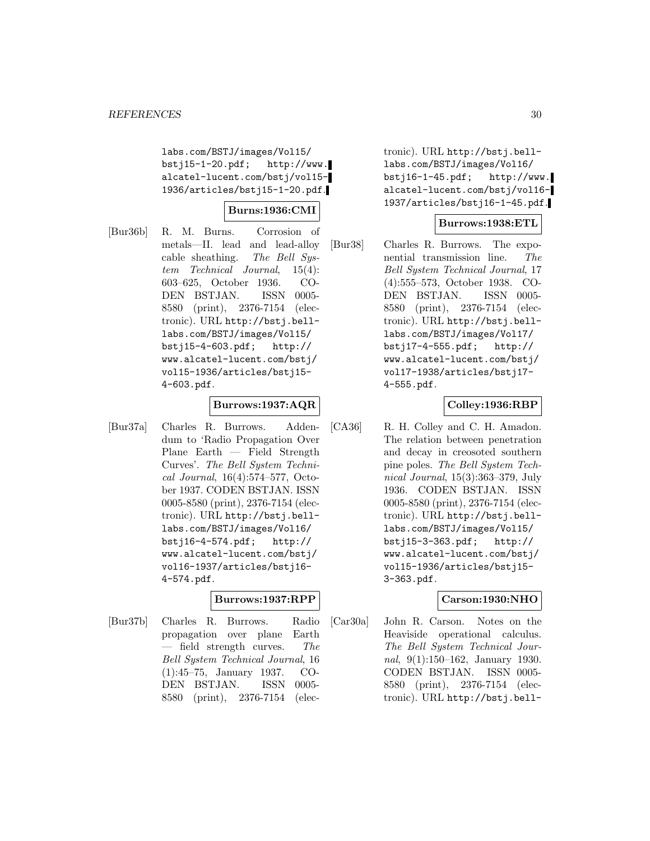labs.com/BSTJ/images/Vol15/ bstj15-1-20.pdf; http://www. alcatel-lucent.com/bstj/vol15- 1936/articles/bstj15-1-20.pdf.

# **Burns:1936:CMI**

[Bur36b] R. M. Burns. Corrosion of metals—II. lead and lead-alloy cable sheathing. The Bell System Technical Journal, 15(4): 603–625, October 1936. CO-DEN BSTJAN. ISSN 0005- 8580 (print), 2376-7154 (electronic). URL http://bstj.belllabs.com/BSTJ/images/Vol15/ bstj15-4-603.pdf; http:// www.alcatel-lucent.com/bstj/ vol15-1936/articles/bstj15- 4-603.pdf.

# **Burrows:1937:AQR**

[Bur37a] Charles R. Burrows. Addendum to 'Radio Propagation Over Plane Earth — Field Strength Curves'. The Bell System Technical Journal, 16(4):574–577, October 1937. CODEN BSTJAN. ISSN 0005-8580 (print), 2376-7154 (electronic). URL http://bstj.belllabs.com/BSTJ/images/Vol16/ bstj16-4-574.pdf; http:// www.alcatel-lucent.com/bstj/ vol16-1937/articles/bstj16- 4-574.pdf.

# **Burrows:1937:RPP**

[Bur37b] Charles R. Burrows. Radio propagation over plane Earth  $-$  field strength curves. The Bell System Technical Journal, 16 (1):45–75, January 1937. CO-DEN BSTJAN. ISSN 0005- 8580 (print), 2376-7154 (elec-

tronic). URL http://bstj.belllabs.com/BSTJ/images/Vol16/ bstj16-1-45.pdf; http://www. alcatel-lucent.com/bstj/vol16- 1937/articles/bstj16-1-45.pdf.

# **Burrows:1938:ETL**

[Bur38] Charles R. Burrows. The exponential transmission line. The Bell System Technical Journal, 17 (4):555–573, October 1938. CO-DEN BSTJAN. ISSN 0005- 8580 (print), 2376-7154 (electronic). URL http://bstj.belllabs.com/BSTJ/images/Vol17/ bstj17-4-555.pdf; http:// www.alcatel-lucent.com/bstj/ vol17-1938/articles/bstj17- 4-555.pdf.

# **Colley:1936:RBP**

[CA36] R. H. Colley and C. H. Amadon. The relation between penetration and decay in creosoted southern pine poles. The Bell System Technical Journal, 15(3):363–379, July 1936. CODEN BSTJAN. ISSN 0005-8580 (print), 2376-7154 (electronic). URL http://bstj.belllabs.com/BSTJ/images/Vol15/ bstj15-3-363.pdf; http:// www.alcatel-lucent.com/bstj/ vol15-1936/articles/bstj15- 3-363.pdf.

# **Carson:1930:NHO**

[Car30a] John R. Carson. Notes on the Heaviside operational calculus. The Bell System Technical Journal, 9(1):150–162, January 1930. CODEN BSTJAN. ISSN 0005- 8580 (print), 2376-7154 (electronic). URL http://bstj.bell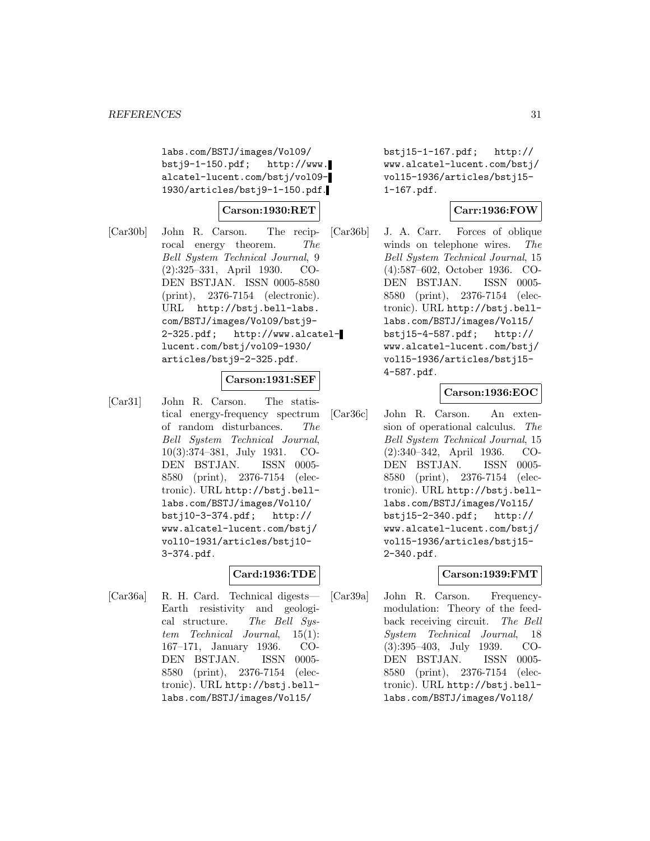labs.com/BSTJ/images/Vol09/ bstj9-1-150.pdf; http://www. alcatel-lucent.com/bstj/vol09- 1930/articles/bstj9-1-150.pdf.

## **Carson:1930:RET**

[Car30b] John R. Carson. The reciprocal energy theorem. The Bell System Technical Journal, 9 (2):325–331, April 1930. CO-DEN BSTJAN. ISSN 0005-8580 (print), 2376-7154 (electronic). URL http://bstj.bell-labs. com/BSTJ/images/Vol09/bstj9- 2-325.pdf; http://www.alcatellucent.com/bstj/vol09-1930/ articles/bstj9-2-325.pdf.

# **Carson:1931:SEF**

[Car31] John R. Carson. The statistical energy-frequency spectrum of random disturbances. The Bell System Technical Journal, 10(3):374–381, July 1931. CO-DEN BSTJAN. ISSN 0005- 8580 (print), 2376-7154 (electronic). URL http://bstj.belllabs.com/BSTJ/images/Vol10/ bstj10-3-374.pdf; http:// www.alcatel-lucent.com/bstj/ vol10-1931/articles/bstj10- 3-374.pdf.

# **Card:1936:TDE**

[Car36a] R. H. Card. Technical digests— Earth resistivity and geological structure. The Bell System Technical Journal, 15(1): 167–171, January 1936. CO-DEN BSTJAN. ISSN 0005- 8580 (print), 2376-7154 (electronic). URL http://bstj.belllabs.com/BSTJ/images/Vol15/

bstj15-1-167.pdf; http:// www.alcatel-lucent.com/bstj/ vol15-1936/articles/bstj15- 1-167.pdf.

# **Carr:1936:FOW**

[Car36b] J. A. Carr. Forces of oblique winds on telephone wires. The Bell System Technical Journal, 15 (4):587–602, October 1936. CO-DEN BSTJAN. ISSN 0005- 8580 (print), 2376-7154 (electronic). URL http://bstj.belllabs.com/BSTJ/images/Vol15/ bstj15-4-587.pdf; http:// www.alcatel-lucent.com/bstj/ vol15-1936/articles/bstj15- 4-587.pdf.

# **Carson:1936:EOC**

[Car36c] John R. Carson. An extension of operational calculus. The Bell System Technical Journal, 15 (2):340–342, April 1936. CO-DEN BSTJAN. ISSN 0005- 8580 (print), 2376-7154 (electronic). URL http://bstj.belllabs.com/BSTJ/images/Vol15/ bstj15-2-340.pdf; http:// www.alcatel-lucent.com/bstj/ vol15-1936/articles/bstj15- 2-340.pdf.

# **Carson:1939:FMT**

[Car39a] John R. Carson. Frequencymodulation: Theory of the feedback receiving circuit. The Bell System Technical Journal, 18 (3):395–403, July 1939. CO-DEN BSTJAN. ISSN 0005- 8580 (print), 2376-7154 (electronic). URL http://bstj.belllabs.com/BSTJ/images/Vol18/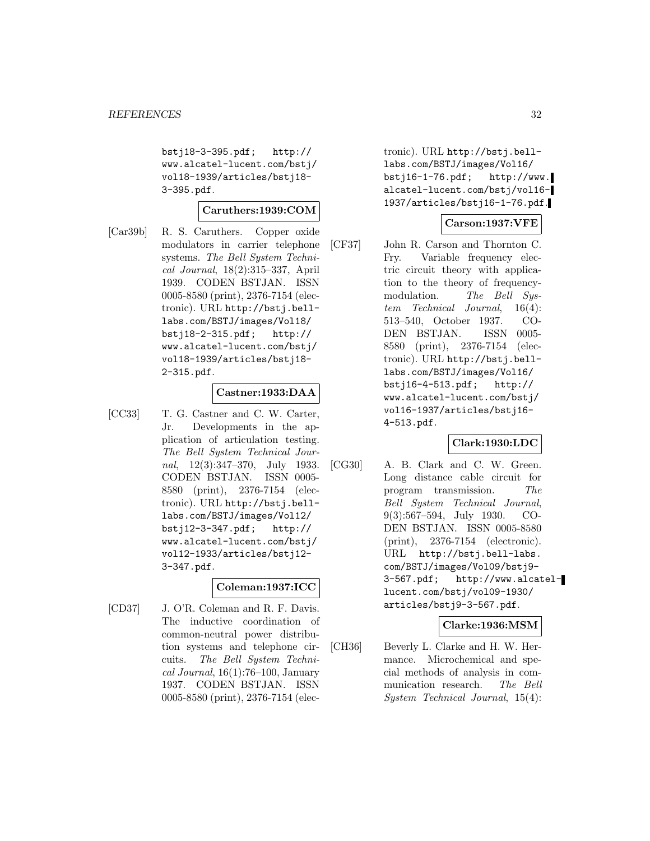bstj18-3-395.pdf; http:// www.alcatel-lucent.com/bstj/ vol18-1939/articles/bstj18- 3-395.pdf.

#### **Caruthers:1939:COM**

[Car39b] R. S. Caruthers. Copper oxide modulators in carrier telephone systems. The Bell System Technical Journal, 18(2):315–337, April 1939. CODEN BSTJAN. ISSN 0005-8580 (print), 2376-7154 (electronic). URL http://bstj.belllabs.com/BSTJ/images/Vol18/ bstj18-2-315.pdf; http:// www.alcatel-lucent.com/bstj/ vol18-1939/articles/bstj18- 2-315.pdf.

#### **Castner:1933:DAA**

[CC33] T. G. Castner and C. W. Carter, Jr. Developments in the application of articulation testing. The Bell System Technical Journal,  $12(3):347-370$ , July 1933. CODEN BSTJAN. ISSN 0005- 8580 (print), 2376-7154 (electronic). URL http://bstj.belllabs.com/BSTJ/images/Vol12/ bstj12-3-347.pdf; http:// www.alcatel-lucent.com/bstj/ vol12-1933/articles/bstj12- 3-347.pdf.

# **Coleman:1937:ICC**

[CD37] J. O'R. Coleman and R. F. Davis. The inductive coordination of common-neutral power distribution systems and telephone circuits. The Bell System Techni $cal Journal$ , 16(1):76-100, January 1937. CODEN BSTJAN. ISSN 0005-8580 (print), 2376-7154 (electronic). URL http://bstj.belllabs.com/BSTJ/images/Vol16/ bstj16-1-76.pdf; http://www. alcatel-lucent.com/bstj/vol16- 1937/articles/bstj16-1-76.pdf.

# **Carson:1937:VFE**

[CF37] John R. Carson and Thornton C. Fry. Variable frequency electric circuit theory with application to the theory of frequencymodulation. The Bell System Technical Journal, 16(4): 513–540, October 1937. CO-DEN BSTJAN. ISSN 0005- 8580 (print), 2376-7154 (electronic). URL http://bstj.belllabs.com/BSTJ/images/Vol16/ bstj16-4-513.pdf; http:// www.alcatel-lucent.com/bstj/ vol16-1937/articles/bstj16- 4-513.pdf.

# **Clark:1930:LDC**

[CG30] A. B. Clark and C. W. Green. Long distance cable circuit for program transmission. The Bell System Technical Journal, 9(3):567–594, July 1930. CO-DEN BSTJAN. ISSN 0005-8580 (print), 2376-7154 (electronic). URL http://bstj.bell-labs. com/BSTJ/images/Vol09/bstj9- 3-567.pdf; http://www.alcatellucent.com/bstj/vol09-1930/ articles/bstj9-3-567.pdf.

# **Clarke:1936:MSM**

[CH36] Beverly L. Clarke and H. W. Hermance. Microchemical and special methods of analysis in communication research. The Bell System Technical Journal, 15(4):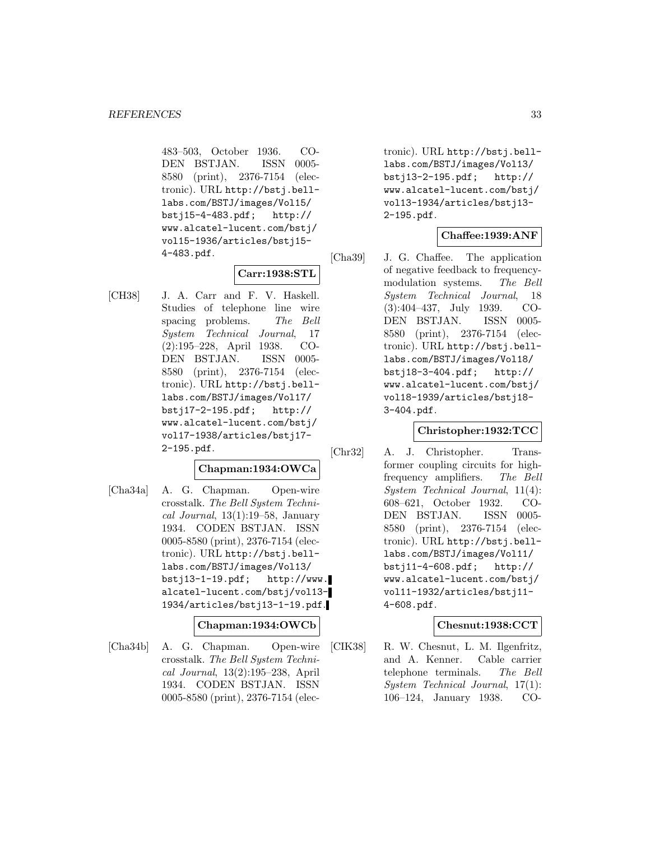483–503, October 1936. CO-DEN BSTJAN. ISSN 0005- 8580 (print), 2376-7154 (electronic). URL http://bstj.belllabs.com/BSTJ/images/Vol15/ bstj15-4-483.pdf; http:// www.alcatel-lucent.com/bstj/ vol15-1936/articles/bstj15- 4-483.pdf.

# **Carr:1938:STL**

[CH38] J. A. Carr and F. V. Haskell. Studies of telephone line wire spacing problems. The Bell System Technical Journal, 17 (2):195–228, April 1938. CO-DEN BSTJAN. ISSN 0005- 8580 (print), 2376-7154 (electronic). URL http://bstj.belllabs.com/BSTJ/images/Vol17/ bstj17-2-195.pdf; http:// www.alcatel-lucent.com/bstj/ vol17-1938/articles/bstj17- 2-195.pdf.

# **Chapman:1934:OWCa**

[Cha34a] A. G. Chapman. Open-wire crosstalk. The Bell System Technical Journal,  $13(1):19-58$ , January 1934. CODEN BSTJAN. ISSN 0005-8580 (print), 2376-7154 (electronic). URL http://bstj.belllabs.com/BSTJ/images/Vol13/ bstj13-1-19.pdf; http://www. alcatel-lucent.com/bstj/vol13- 1934/articles/bstj13-1-19.pdf.

# **Chapman:1934:OWCb**

[Cha34b] A. G. Chapman. Open-wire crosstalk. The Bell System Technical Journal, 13(2):195–238, April 1934. CODEN BSTJAN. ISSN 0005-8580 (print), 2376-7154 (electronic). URL http://bstj.belllabs.com/BSTJ/images/Vol13/ bstj13-2-195.pdf; http:// www.alcatel-lucent.com/bstj/ vol13-1934/articles/bstj13- 2-195.pdf.

# **Chaffee:1939:ANF**

[Cha39] J. G. Chaffee. The application of negative feedback to frequencymodulation systems. The Bell System Technical Journal, 18 (3):404–437, July 1939. CO-DEN BSTJAN. ISSN 0005- 8580 (print), 2376-7154 (electronic). URL http://bstj.belllabs.com/BSTJ/images/Vol18/ bstj18-3-404.pdf; http:// www.alcatel-lucent.com/bstj/ vol18-1939/articles/bstj18- 3-404.pdf.

# **Christopher:1932:TCC**

[Chr32] A. J. Christopher. Transformer coupling circuits for highfrequency amplifiers. The Bell System Technical Journal, 11(4): 608–621, October 1932. CO-DEN BSTJAN. ISSN 0005- 8580 (print), 2376-7154 (electronic). URL http://bstj.belllabs.com/BSTJ/images/Vol11/ bstj11-4-608.pdf; http:// www.alcatel-lucent.com/bstj/ vol11-1932/articles/bstj11- 4-608.pdf.

# **Chesnut:1938:CCT**

[CIK38] R. W. Chesnut, L. M. Ilgenfritz, and A. Kenner. Cable carrier telephone terminals. The Bell System Technical Journal, 17(1): 106–124, January 1938. CO-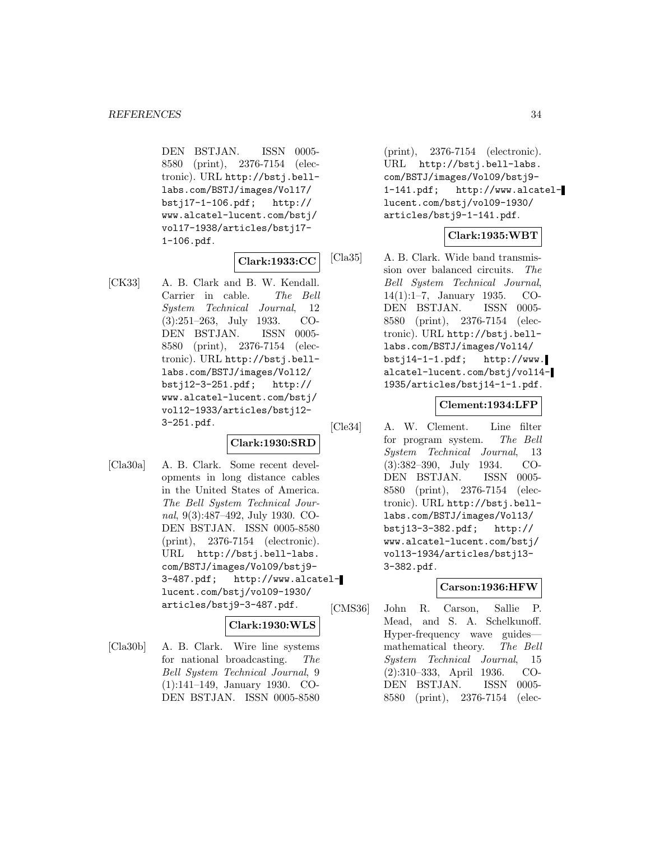DEN BSTJAN. ISSN 0005- 8580 (print), 2376-7154 (electronic). URL http://bstj.belllabs.com/BSTJ/images/Vol17/ bstj17-1-106.pdf; http:// www.alcatel-lucent.com/bstj/ vol17-1938/articles/bstj17- 1-106.pdf.

# **Clark:1933:CC**

[CK33] A. B. Clark and B. W. Kendall. Carrier in cable. The Bell System Technical Journal, 12 (3):251–263, July 1933. CO-DEN BSTJAN. ISSN 0005- 8580 (print), 2376-7154 (electronic). URL http://bstj.belllabs.com/BSTJ/images/Vol12/ bstj12-3-251.pdf; http:// www.alcatel-lucent.com/bstj/ vol12-1933/articles/bstj12- 3-251.pdf.

# **Clark:1930:SRD**

[Cla30a] A. B. Clark. Some recent developments in long distance cables in the United States of America. The Bell System Technical Journal, 9(3):487–492, July 1930. CO-DEN BSTJAN. ISSN 0005-8580 (print), 2376-7154 (electronic). URL http://bstj.bell-labs. com/BSTJ/images/Vol09/bstj9- 3-487.pdf; http://www.alcatellucent.com/bstj/vol09-1930/ articles/bstj9-3-487.pdf.

# **Clark:1930:WLS**

[Cla30b] A. B. Clark. Wire line systems for national broadcasting. The Bell System Technical Journal, 9 (1):141–149, January 1930. CO-DEN BSTJAN. ISSN 0005-8580

(print), 2376-7154 (electronic). URL http://bstj.bell-labs. com/BSTJ/images/Vol09/bstj9- 1-141.pdf; http://www.alcatellucent.com/bstj/vol09-1930/ articles/bstj9-1-141.pdf.

# **Clark:1935:WBT**

[Cla35] A. B. Clark. Wide band transmission over balanced circuits. The Bell System Technical Journal, 14(1):1–7, January 1935. CO-DEN BSTJAN. ISSN 0005- 8580 (print), 2376-7154 (electronic). URL http://bstj.belllabs.com/BSTJ/images/Vol14/  $bsti14-1-1.pdf;$  http://www. alcatel-lucent.com/bstj/vol14- 1935/articles/bstj14-1-1.pdf.

# **Clement:1934:LFP**

[Cle34] A. W. Clement. Line filter for program system. The Bell System Technical Journal, 13 (3):382–390, July 1934. CO-DEN BSTJAN. ISSN 0005- 8580 (print), 2376-7154 (electronic). URL http://bstj.belllabs.com/BSTJ/images/Vol13/ bstj13-3-382.pdf; http:// www.alcatel-lucent.com/bstj/ vol13-1934/articles/bstj13- 3-382.pdf.

# **Carson:1936:HFW**

[CMS36] John R. Carson, Sallie P. Mead, and S. A. Schelkunoff. Hyper-frequency wave guides mathematical theory. The Bell System Technical Journal, 15 (2):310–333, April 1936. CO-DEN BSTJAN. ISSN 0005- 8580 (print), 2376-7154 (elec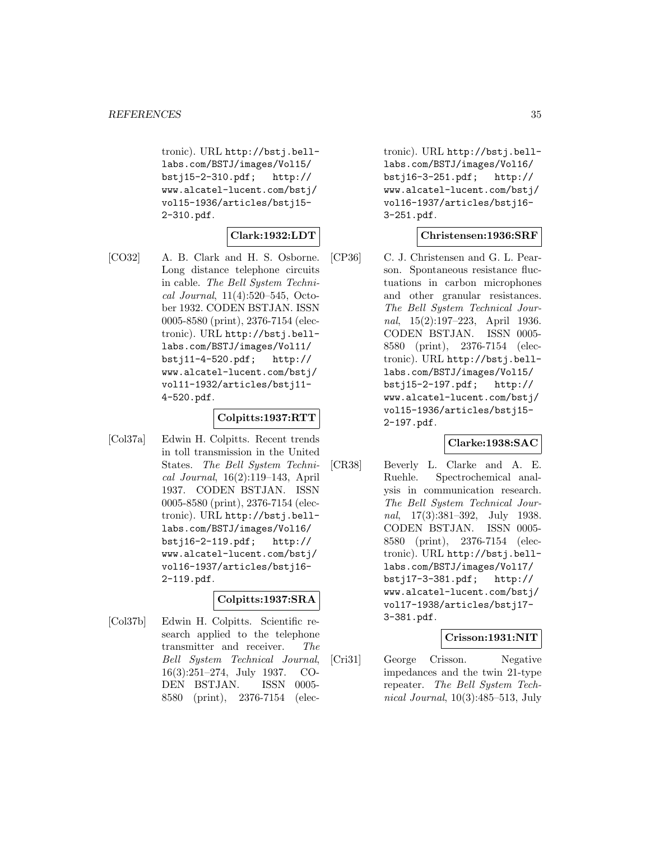tronic). URL http://bstj.belllabs.com/BSTJ/images/Vol15/ bstj15-2-310.pdf; http:// www.alcatel-lucent.com/bstj/ vol15-1936/articles/bstj15- 2-310.pdf.

# **Clark:1932:LDT**

[CO32] A. B. Clark and H. S. Osborne. Long distance telephone circuits in cable. The Bell System Technical Journal, 11(4):520–545, October 1932. CODEN BSTJAN. ISSN 0005-8580 (print), 2376-7154 (electronic). URL http://bstj.belllabs.com/BSTJ/images/Vol11/ bstj11-4-520.pdf; http:// www.alcatel-lucent.com/bstj/ vol11-1932/articles/bstj11- 4-520.pdf.

# **Colpitts:1937:RTT**

[Col37a] Edwin H. Colpitts. Recent trends in toll transmission in the United States. The Bell System Technical Journal, 16(2):119–143, April 1937. CODEN BSTJAN. ISSN 0005-8580 (print), 2376-7154 (electronic). URL http://bstj.belllabs.com/BSTJ/images/Vol16/ bstj16-2-119.pdf; http:// www.alcatel-lucent.com/bstj/ vol16-1937/articles/bstj16- 2-119.pdf.

# **Colpitts:1937:SRA**

[Col37b] Edwin H. Colpitts. Scientific research applied to the telephone transmitter and receiver. The Bell System Technical Journal, 16(3):251–274, July 1937. CO-DEN BSTJAN. ISSN 0005- 8580 (print), 2376-7154 (electronic). URL http://bstj.belllabs.com/BSTJ/images/Vol16/ bstj16-3-251.pdf; http:// www.alcatel-lucent.com/bstj/ vol16-1937/articles/bstj16- 3-251.pdf.

#### **Christensen:1936:SRF**

[CP36] C. J. Christensen and G. L. Pearson. Spontaneous resistance fluctuations in carbon microphones and other granular resistances. The Bell System Technical Journal, 15(2):197–223, April 1936. CODEN BSTJAN. ISSN 0005- 8580 (print), 2376-7154 (electronic). URL http://bstj.belllabs.com/BSTJ/images/Vol15/ bstj15-2-197.pdf; http:// www.alcatel-lucent.com/bstj/ vol15-1936/articles/bstj15- 2-197.pdf.

# **Clarke:1938:SAC**

[CR38] Beverly L. Clarke and A. E. Ruehle. Spectrochemical analysis in communication research. The Bell System Technical Journal, 17(3):381–392, July 1938. CODEN BSTJAN. ISSN 0005- 8580 (print), 2376-7154 (electronic). URL http://bstj.belllabs.com/BSTJ/images/Vol17/ bstj17-3-381.pdf; http:// www.alcatel-lucent.com/bstj/ vol17-1938/articles/bstj17- 3-381.pdf.

# **Crisson:1931:NIT**

[Cri31] George Crisson. Negative impedances and the twin 21-type repeater. The Bell System Technical Journal, 10(3):485–513, July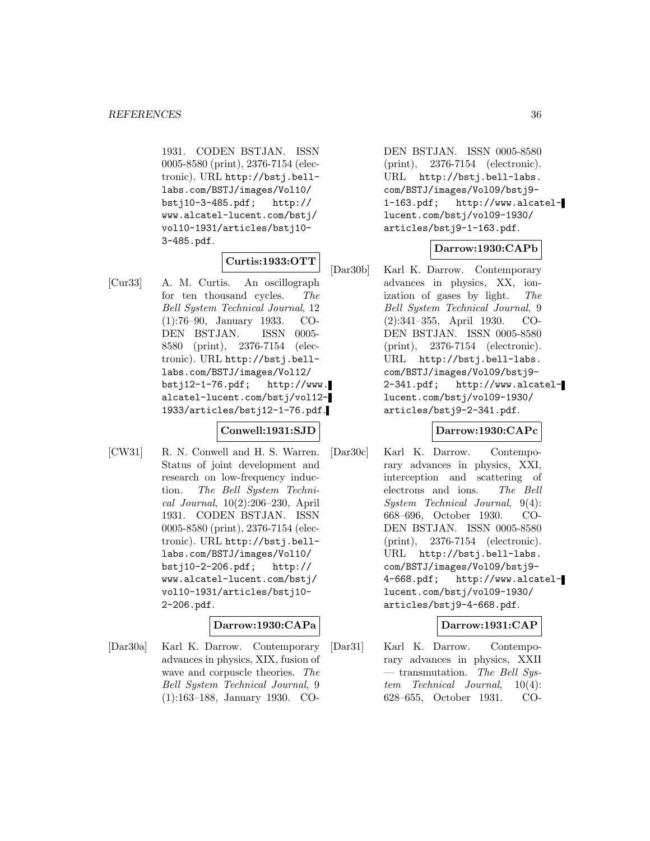1931. CODEN BSTJAN. ISSN 0005-8580 (print), 2376-7154 (electronic). URL http://bstj.belllabs.com/BSTJ/images/Vol10/ bstj10-3-485.pdf; http:// www.alcatel-lucent.com/bstj/ vol10-1931/articles/bstj10- 3-485.pdf.

# **Curtis:1933:OTT**

[Cur33] A. M. Curtis. An oscillograph for ten thousand cycles. The Bell System Technical Journal, 12 (1):76–90, January 1933. CO-DEN BSTJAN. ISSN 0005- 8580 (print), 2376-7154 (electronic). URL http://bstj.belllabs.com/BSTJ/images/Vol12/ bstj12-1-76.pdf; http://www. alcatel-lucent.com/bstj/vol12- 1933/articles/bstj12-1-76.pdf.

# **Conwell:1931:SJD**

[CW31] R. N. Conwell and H. S. Warren. Status of joint development and research on low-frequency induction. The Bell System Technical Journal, 10(2):206–230, April 1931. CODEN BSTJAN. ISSN 0005-8580 (print), 2376-7154 (electronic). URL http://bstj.belllabs.com/BSTJ/images/Vol10/ bstj10-2-206.pdf; http:// www.alcatel-lucent.com/bstj/ vol10-1931/articles/bstj10- 2-206.pdf.

# **Darrow:1930:CAPa**

[Dar30a] Karl K. Darrow. Contemporary advances in physics, XIX, fusion of wave and corpuscle theories. The Bell System Technical Journal, 9 (1):163–188, January 1930. CO-

DEN BSTJAN. ISSN 0005-8580 (print), 2376-7154 (electronic). URL http://bstj.bell-labs. com/BSTJ/images/Vol09/bstj9- 1-163.pdf; http://www.alcatellucent.com/bstj/vol09-1930/ articles/bstj9-1-163.pdf.

# **Darrow:1930:CAPb**

[Dar30b] Karl K. Darrow. Contemporary advances in physics, XX, ionization of gases by light. The Bell System Technical Journal, 9 (2):341–355, April 1930. CO-DEN BSTJAN. ISSN 0005-8580 (print), 2376-7154 (electronic). URL http://bstj.bell-labs. com/BSTJ/images/Vol09/bstj9- 2-341.pdf; http://www.alcatellucent.com/bstj/vol09-1930/ articles/bstj9-2-341.pdf.

# **Darrow:1930:CAPc**

[Dar30c] Karl K. Darrow. Contemporary advances in physics, XXI, interception and scattering of electrons and ions. The Bell System Technical Journal, 9(4): 668–696, October 1930. CO-DEN BSTJAN. ISSN 0005-8580 (print), 2376-7154 (electronic). URL http://bstj.bell-labs. com/BSTJ/images/Vol09/bstj9- 4-668.pdf; http://www.alcatellucent.com/bstj/vol09-1930/ articles/bstj9-4-668.pdf.

# **Darrow:1931:CAP**

[Dar31] Karl K. Darrow. Contemporary advances in physics, XXII — transmutation. The Bell System Technical Journal, 10(4): 628–655, October 1931. CO-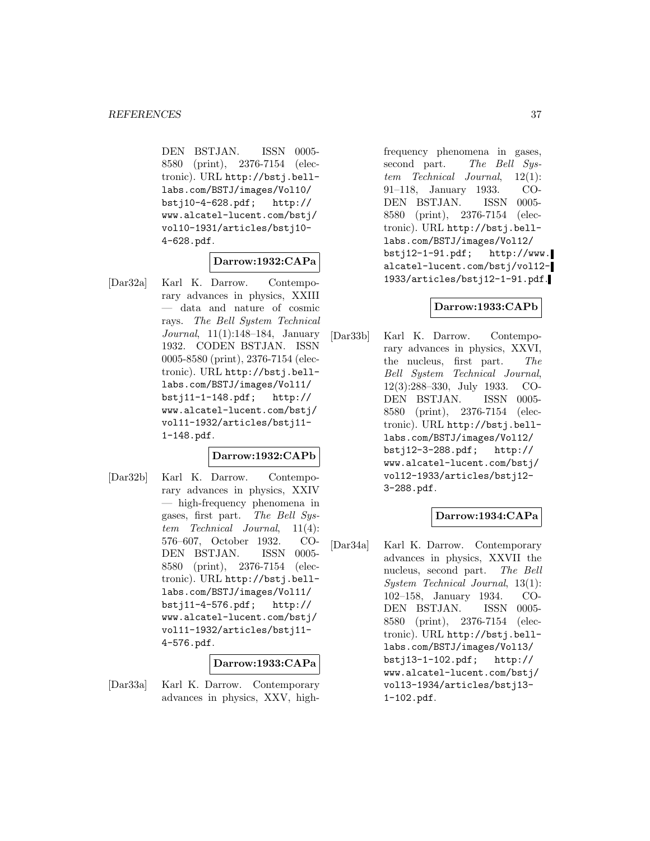DEN BSTJAN. ISSN 0005- 8580 (print), 2376-7154 (electronic). URL http://bstj.belllabs.com/BSTJ/images/Vol10/ bstj10-4-628.pdf; http:// www.alcatel-lucent.com/bstj/ vol10-1931/articles/bstj10- 4-628.pdf.

#### **Darrow:1932:CAPa**

[Dar32a] Karl K. Darrow. Contemporary advances in physics, XXIII — data and nature of cosmic rays. The Bell System Technical Journal, 11(1):148–184, January 1932. CODEN BSTJAN. ISSN 0005-8580 (print), 2376-7154 (electronic). URL http://bstj.belllabs.com/BSTJ/images/Vol11/ bstj11-1-148.pdf; http:// www.alcatel-lucent.com/bstj/ vol11-1932/articles/bstj11- 1-148.pdf.

#### **Darrow:1932:CAPb**

[Dar32b] Karl K. Darrow. Contemporary advances in physics, XXIV — high-frequency phenomena in gases, first part. The Bell System Technical Journal, 11(4): 576–607, October 1932. CO-DEN BSTJAN. ISSN 0005- 8580 (print), 2376-7154 (electronic). URL http://bstj.belllabs.com/BSTJ/images/Vol11/ bstj11-4-576.pdf; http:// www.alcatel-lucent.com/bstj/ vol11-1932/articles/bstj11- 4-576.pdf.

#### **Darrow:1933:CAPa**

[Dar33a] Karl K. Darrow. Contemporary advances in physics, XXV, highfrequency phenomena in gases, second part. The Bell System Technical Journal, 12(1): 91–118, January 1933. CO-DEN BSTJAN. ISSN 0005- 8580 (print), 2376-7154 (electronic). URL http://bstj.belllabs.com/BSTJ/images/Vol12/ bstj12-1-91.pdf; http://www. alcatel-lucent.com/bstj/vol12- 1933/articles/bstj12-1-91.pdf.

#### **Darrow:1933:CAPb**

[Dar33b] Karl K. Darrow. Contemporary advances in physics, XXVI, the nucleus, first part. The Bell System Technical Journal, 12(3):288–330, July 1933. CO-DEN BSTJAN. ISSN 0005- 8580 (print), 2376-7154 (electronic). URL http://bstj.belllabs.com/BSTJ/images/Vol12/ bstj12-3-288.pdf; http:// www.alcatel-lucent.com/bstj/ vol12-1933/articles/bstj12- 3-288.pdf.

### **Darrow:1934:CAPa**

[Dar34a] Karl K. Darrow. Contemporary advances in physics, XXVII the nucleus, second part. The Bell System Technical Journal, 13(1): 102–158, January 1934. CO-DEN BSTJAN. ISSN 0005- 8580 (print), 2376-7154 (electronic). URL http://bstj.belllabs.com/BSTJ/images/Vol13/ bstj13-1-102.pdf; http:// www.alcatel-lucent.com/bstj/ vol13-1934/articles/bstj13- 1-102.pdf.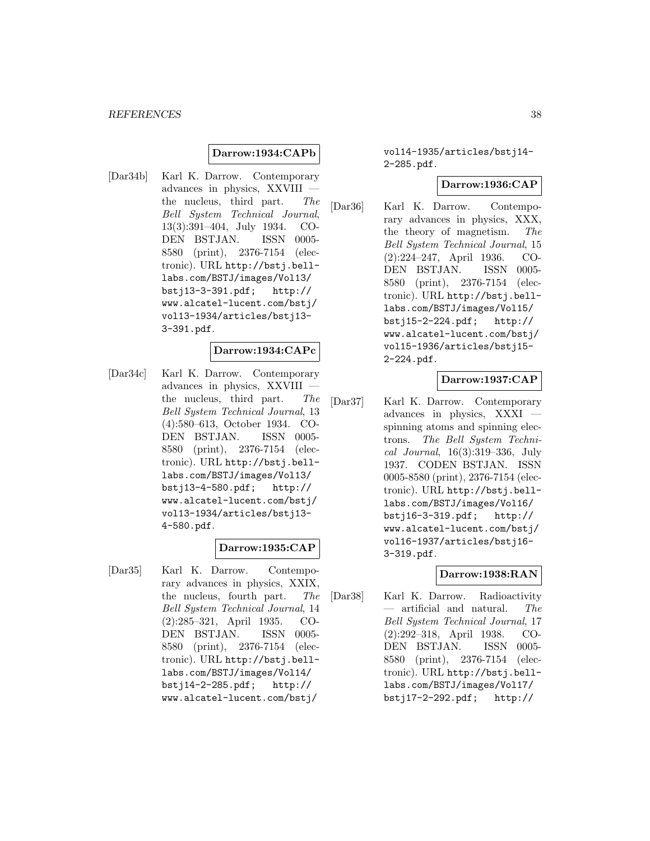#### *REFERENCES* 38

#### **Darrow:1934:CAPb**

[Dar34b] Karl K. Darrow. Contemporary advances in physics, XXVIII the nucleus, third part. The Bell System Technical Journal, 13(3):391–404, July 1934. CO-DEN BSTJAN. ISSN 0005- 8580 (print), 2376-7154 (electronic). URL http://bstj.belllabs.com/BSTJ/images/Vol13/ bstj13-3-391.pdf; http:// www.alcatel-lucent.com/bstj/ vol13-1934/articles/bstj13- 3-391.pdf.

### **Darrow:1934:CAPc**

[Dar34c] Karl K. Darrow. Contemporary advances in physics, XXVIII the nucleus, third part. The Bell System Technical Journal, 13 (4):580–613, October 1934. CO-DEN BSTJAN. ISSN 0005- 8580 (print), 2376-7154 (electronic). URL http://bstj.belllabs.com/BSTJ/images/Vol13/ bstj13-4-580.pdf; http:// www.alcatel-lucent.com/bstj/ vol13-1934/articles/bstj13- 4-580.pdf.

#### **Darrow:1935:CAP**

[Dar35] Karl K. Darrow. Contemporary advances in physics, XXIX, the nucleus, fourth part. The Bell System Technical Journal, 14 (2):285–321, April 1935. CO-DEN BSTJAN. ISSN 0005- 8580 (print), 2376-7154 (electronic). URL http://bstj.belllabs.com/BSTJ/images/Vol14/ bstj14-2-285.pdf; http:// www.alcatel-lucent.com/bstj/

vol14-1935/articles/bstj14- 2-285.pdf.

#### **Darrow:1936:CAP**

[Dar36] Karl K. Darrow. Contemporary advances in physics, XXX, the theory of magnetism. The Bell System Technical Journal, 15 (2):224–247, April 1936. CO-DEN BSTJAN. ISSN 0005- 8580 (print), 2376-7154 (electronic). URL http://bstj.belllabs.com/BSTJ/images/Vol15/ bstj15-2-224.pdf; http:// www.alcatel-lucent.com/bstj/ vol15-1936/articles/bstj15- 2-224.pdf.

#### **Darrow:1937:CAP**

[Dar37] Karl K. Darrow. Contemporary advances in physics, XXXI spinning atoms and spinning electrons. The Bell System Technical Journal, 16(3):319–336, July 1937. CODEN BSTJAN. ISSN 0005-8580 (print), 2376-7154 (electronic). URL http://bstj.belllabs.com/BSTJ/images/Vol16/ bstj16-3-319.pdf; http:// www.alcatel-lucent.com/bstj/ vol16-1937/articles/bstj16- 3-319.pdf.

## **Darrow:1938:RAN**

[Dar38] Karl K. Darrow. Radioactivity — artificial and natural. The Bell System Technical Journal, 17 (2):292–318, April 1938. CO-DEN BSTJAN. ISSN 0005- 8580 (print), 2376-7154 (electronic). URL http://bstj.belllabs.com/BSTJ/images/Vol17/ bstj17-2-292.pdf; http://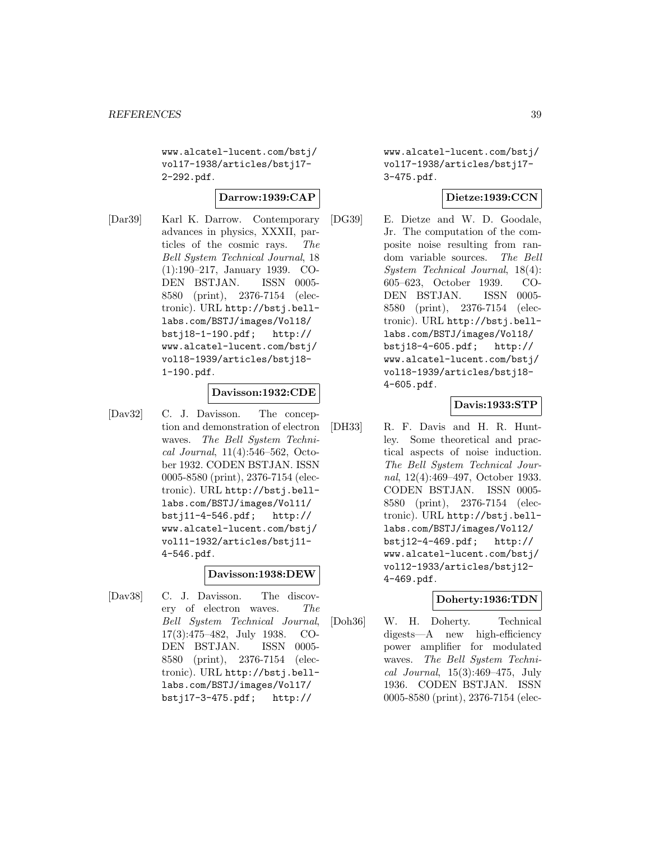www.alcatel-lucent.com/bstj/ vol17-1938/articles/bstj17- 2-292.pdf.

#### **Darrow:1939:CAP**

[Dar39] Karl K. Darrow. Contemporary advances in physics, XXXII, particles of the cosmic rays. The Bell System Technical Journal, 18 (1):190–217, January 1939. CO-DEN BSTJAN. ISSN 0005- 8580 (print), 2376-7154 (electronic). URL http://bstj.belllabs.com/BSTJ/images/Vol18/ bstj18-1-190.pdf; http:// www.alcatel-lucent.com/bstj/ vol18-1939/articles/bstj18- 1-190.pdf.

#### **Davisson:1932:CDE**

[Dav32] C. J. Davisson. The conception and demonstration of electron waves. The Bell System Technical Journal, 11(4):546–562, October 1932. CODEN BSTJAN. ISSN 0005-8580 (print), 2376-7154 (electronic). URL http://bstj.belllabs.com/BSTJ/images/Vol11/ bstj11-4-546.pdf; http:// www.alcatel-lucent.com/bstj/ vol11-1932/articles/bstj11- 4-546.pdf.

#### **Davisson:1938:DEW**

[Dav38] C. J. Davisson. The discovery of electron waves. The Bell System Technical Journal, 17(3):475–482, July 1938. CO-DEN BSTJAN. ISSN 0005- 8580 (print), 2376-7154 (electronic). URL http://bstj.belllabs.com/BSTJ/images/Vol17/ bstj17-3-475.pdf; http://

www.alcatel-lucent.com/bstj/ vol17-1938/articles/bstj17- 3-475.pdf.

### **Dietze:1939:CCN**

[DG39] E. Dietze and W. D. Goodale, Jr. The computation of the composite noise resulting from random variable sources. The Bell System Technical Journal, 18(4): 605–623, October 1939. CO-DEN BSTJAN. ISSN 0005- 8580 (print), 2376-7154 (electronic). URL http://bstj.belllabs.com/BSTJ/images/Vol18/ bstj18-4-605.pdf; http:// www.alcatel-lucent.com/bstj/ vol18-1939/articles/bstj18- 4-605.pdf.

#### **Davis:1933:STP**

[DH33] R. F. Davis and H. R. Huntley. Some theoretical and practical aspects of noise induction. The Bell System Technical Journal, 12(4):469–497, October 1933. CODEN BSTJAN. ISSN 0005- 8580 (print), 2376-7154 (electronic). URL http://bstj.belllabs.com/BSTJ/images/Vol12/ bstj12-4-469.pdf; http:// www.alcatel-lucent.com/bstj/ vol12-1933/articles/bstj12- 4-469.pdf.

#### **Doherty:1936:TDN**

[Doh36] W. H. Doherty. Technical digests—A new high-efficiency power amplifier for modulated waves. The Bell System Technical Journal, 15(3):469–475, July 1936. CODEN BSTJAN. ISSN 0005-8580 (print), 2376-7154 (elec-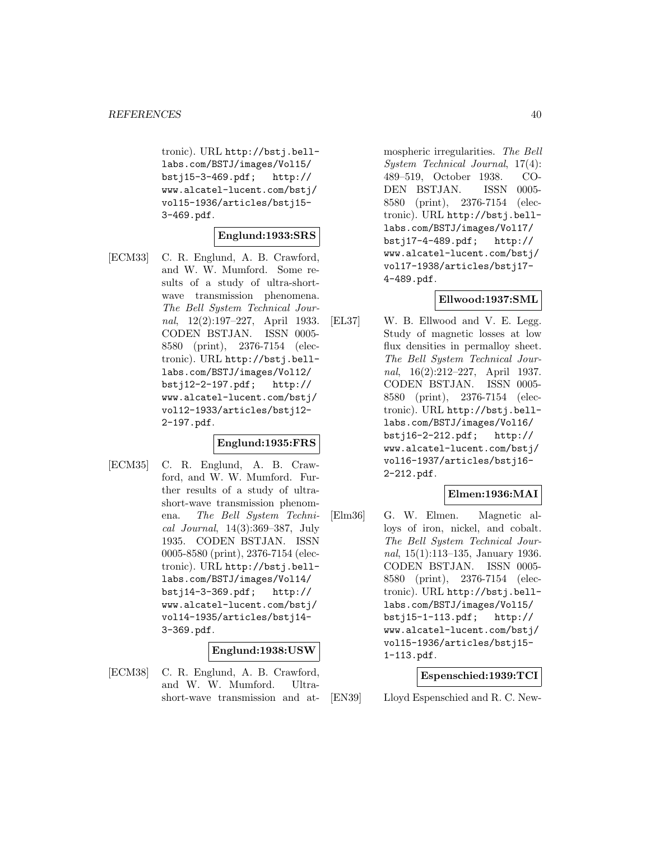tronic). URL http://bstj.belllabs.com/BSTJ/images/Vol15/ bstj15-3-469.pdf; http:// www.alcatel-lucent.com/bstj/ vol15-1936/articles/bstj15- 3-469.pdf.

#### **Englund:1933:SRS**

[ECM33] C. R. Englund, A. B. Crawford, and W. W. Mumford. Some results of a study of ultra-shortwave transmission phenomena. The Bell System Technical Journal, 12(2):197–227, April 1933. CODEN BSTJAN. ISSN 0005- 8580 (print), 2376-7154 (electronic). URL http://bstj.belllabs.com/BSTJ/images/Vol12/ bstj12-2-197.pdf; http:// www.alcatel-lucent.com/bstj/ vol12-1933/articles/bstj12- 2-197.pdf.

### **Englund:1935:FRS**

[ECM35] C. R. Englund, A. B. Crawford, and W. W. Mumford. Further results of a study of ultrashort-wave transmission phenomena. The Bell System Technical Journal, 14(3):369–387, July 1935. CODEN BSTJAN. ISSN 0005-8580 (print), 2376-7154 (electronic). URL http://bstj.belllabs.com/BSTJ/images/Vol14/ bstj14-3-369.pdf; http:// www.alcatel-lucent.com/bstj/ vol14-1935/articles/bstj14- 3-369.pdf.

### **Englund:1938:USW**

[ECM38] C. R. Englund, A. B. Crawford, and W. W. Mumford. Ultrashort-wave transmission and atmospheric irregularities. The Bell System Technical Journal, 17(4): 489–519, October 1938. CO-DEN BSTJAN. ISSN 0005- 8580 (print), 2376-7154 (electronic). URL http://bstj.belllabs.com/BSTJ/images/Vol17/ bstj17-4-489.pdf; http:// www.alcatel-lucent.com/bstj/ vol17-1938/articles/bstj17- 4-489.pdf.

### **Ellwood:1937:SML**

[EL37] W. B. Ellwood and V. E. Legg. Study of magnetic losses at low flux densities in permalloy sheet. The Bell System Technical Journal, 16(2):212–227, April 1937. CODEN BSTJAN. ISSN 0005- 8580 (print), 2376-7154 (electronic). URL http://bstj.belllabs.com/BSTJ/images/Vol16/ bstj16-2-212.pdf; http:// www.alcatel-lucent.com/bstj/ vol16-1937/articles/bstj16- 2-212.pdf.

### **Elmen:1936:MAI**

[Elm36] G. W. Elmen. Magnetic alloys of iron, nickel, and cobalt. The Bell System Technical Journal, 15(1):113–135, January 1936. CODEN BSTJAN. ISSN 0005- 8580 (print), 2376-7154 (electronic). URL http://bstj.belllabs.com/BSTJ/images/Vol15/ bstj15-1-113.pdf; http:// www.alcatel-lucent.com/bstj/ vol15-1936/articles/bstj15- 1-113.pdf.

### **Espenschied:1939:TCI**

[EN39] Lloyd Espenschied and R. C. New-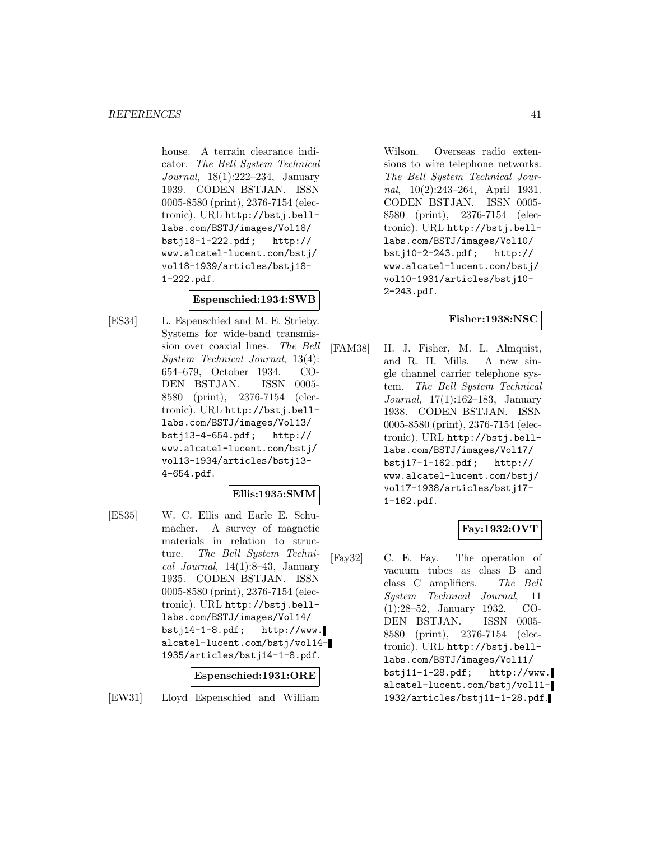house. A terrain clearance indicator. The Bell System Technical Journal, 18(1):222–234, January 1939. CODEN BSTJAN. ISSN 0005-8580 (print), 2376-7154 (electronic). URL http://bstj.belllabs.com/BSTJ/images/Vol18/ bstj18-1-222.pdf; http:// www.alcatel-lucent.com/bstj/ vol18-1939/articles/bstj18- 1-222.pdf.

#### **Espenschied:1934:SWB**

[ES34] L. Espenschied and M. E. Strieby. Systems for wide-band transmission over coaxial lines. The Bell System Technical Journal, 13(4): 654–679, October 1934. CO-DEN BSTJAN. ISSN 0005- 8580 (print), 2376-7154 (electronic). URL http://bstj.belllabs.com/BSTJ/images/Vol13/ bstj13-4-654.pdf; http:// www.alcatel-lucent.com/bstj/ vol13-1934/articles/bstj13- 4-654.pdf.

#### **Ellis:1935:SMM**

[ES35] W. C. Ellis and Earle E. Schumacher. A survey of magnetic materials in relation to structure. The Bell System Technical Journal,  $14(1):8-43$ , January 1935. CODEN BSTJAN. ISSN 0005-8580 (print), 2376-7154 (electronic). URL http://bstj.belllabs.com/BSTJ/images/Vol14/ bstj14-1-8.pdf; http://www. alcatel-lucent.com/bstj/vol14- 1935/articles/bstj14-1-8.pdf.

## **Espenschied:1931:ORE**

[EW31] Lloyd Espenschied and William

Wilson. Overseas radio extensions to wire telephone networks. The Bell System Technical Journal, 10(2):243–264, April 1931. CODEN BSTJAN. ISSN 0005- 8580 (print), 2376-7154 (electronic). URL http://bstj.belllabs.com/BSTJ/images/Vol10/ bstj10-2-243.pdf; http:// www.alcatel-lucent.com/bstj/ vol10-1931/articles/bstj10- 2-243.pdf.

#### **Fisher:1938:NSC**

[FAM38] H. J. Fisher, M. L. Almquist, and R. H. Mills. A new single channel carrier telephone system. The Bell System Technical Journal, 17(1):162–183, January 1938. CODEN BSTJAN. ISSN 0005-8580 (print), 2376-7154 (electronic). URL http://bstj.belllabs.com/BSTJ/images/Vol17/ bstj17-1-162.pdf; http:// www.alcatel-lucent.com/bstj/ vol17-1938/articles/bstj17- 1-162.pdf.

## **Fay:1932:OVT**

[Fay32] C. E. Fay. The operation of vacuum tubes as class B and class C amplifiers. The Bell System Technical Journal, 11 (1):28–52, January 1932. CO-DEN BSTJAN. ISSN 0005- 8580 (print), 2376-7154 (electronic). URL http://bstj.belllabs.com/BSTJ/images/Vol11/ bstj11-1-28.pdf; http://www. alcatel-lucent.com/bstj/vol11- 1932/articles/bstj11-1-28.pdf.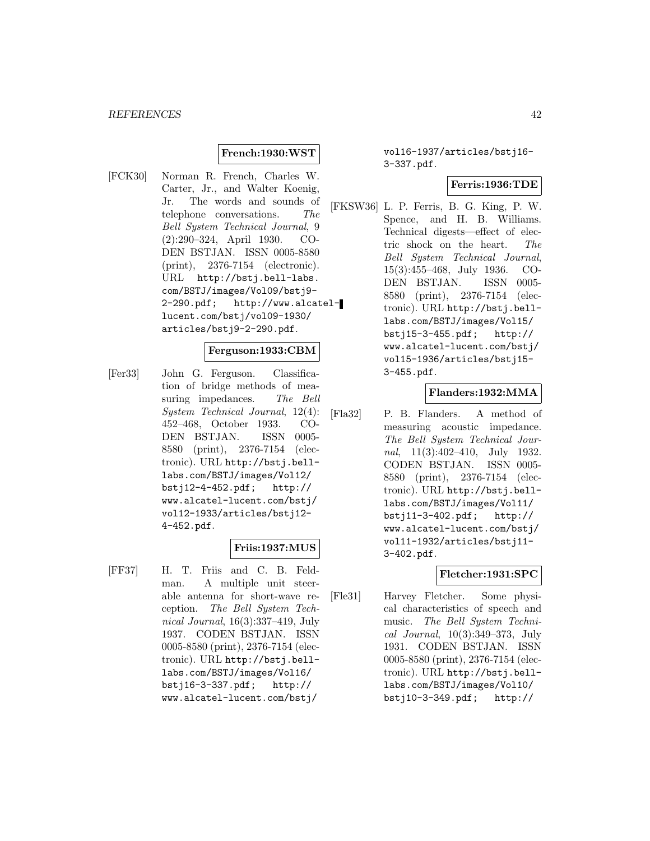### **French:1930:WST**

[FCK30] Norman R. French, Charles W. Carter, Jr., and Walter Koenig, Jr. The words and sounds of telephone conversations. The Bell System Technical Journal, 9 (2):290–324, April 1930. CO-DEN BSTJAN. ISSN 0005-8580 (print), 2376-7154 (electronic). URL http://bstj.bell-labs. com/BSTJ/images/Vol09/bstj9- 2-290.pdf; http://www.alcatellucent.com/bstj/vol09-1930/ articles/bstj9-2-290.pdf.

### **Ferguson:1933:CBM**

[Fer33] John G. Ferguson. Classification of bridge methods of measuring impedances. The Bell System Technical Journal, 12(4): 452–468, October 1933. CO-DEN BSTJAN. ISSN 0005- 8580 (print), 2376-7154 (electronic). URL http://bstj.belllabs.com/BSTJ/images/Vol12/ bstj12-4-452.pdf; http:// www.alcatel-lucent.com/bstj/ vol12-1933/articles/bstj12- 4-452.pdf.

### **Friis:1937:MUS**

[FF37] H. T. Friis and C. B. Feldman. A multiple unit steerable antenna for short-wave reception. The Bell System Technical Journal, 16(3):337–419, July 1937. CODEN BSTJAN. ISSN 0005-8580 (print), 2376-7154 (electronic). URL http://bstj.belllabs.com/BSTJ/images/Vol16/ bstj16-3-337.pdf; http:// www.alcatel-lucent.com/bstj/

### vol16-1937/articles/bstj16- 3-337.pdf.

#### **Ferris:1936:TDE**

[FKSW36] L. P. Ferris, B. G. King, P. W. Spence, and H. B. Williams. Technical digests—effect of electric shock on the heart. The Bell System Technical Journal, 15(3):455–468, July 1936. CO-DEN BSTJAN. ISSN 0005- 8580 (print), 2376-7154 (electronic). URL http://bstj.belllabs.com/BSTJ/images/Vol15/ bstj15-3-455.pdf; http:// www.alcatel-lucent.com/bstj/ vol15-1936/articles/bstj15- 3-455.pdf.

#### **Flanders:1932:MMA**

[Fla32] P. B. Flanders. A method of measuring acoustic impedance. The Bell System Technical Journal, 11(3):402–410, July 1932. CODEN BSTJAN. ISSN 0005- 8580 (print), 2376-7154 (electronic). URL http://bstj.belllabs.com/BSTJ/images/Vol11/ bstj11-3-402.pdf; http:// www.alcatel-lucent.com/bstj/ vol11-1932/articles/bstj11- 3-402.pdf.

#### **Fletcher:1931:SPC**

[Fle31] Harvey Fletcher. Some physical characteristics of speech and music. The Bell System Technical Journal, 10(3):349–373, July 1931. CODEN BSTJAN. ISSN 0005-8580 (print), 2376-7154 (electronic). URL http://bstj.belllabs.com/BSTJ/images/Vol10/ bstj10-3-349.pdf; http://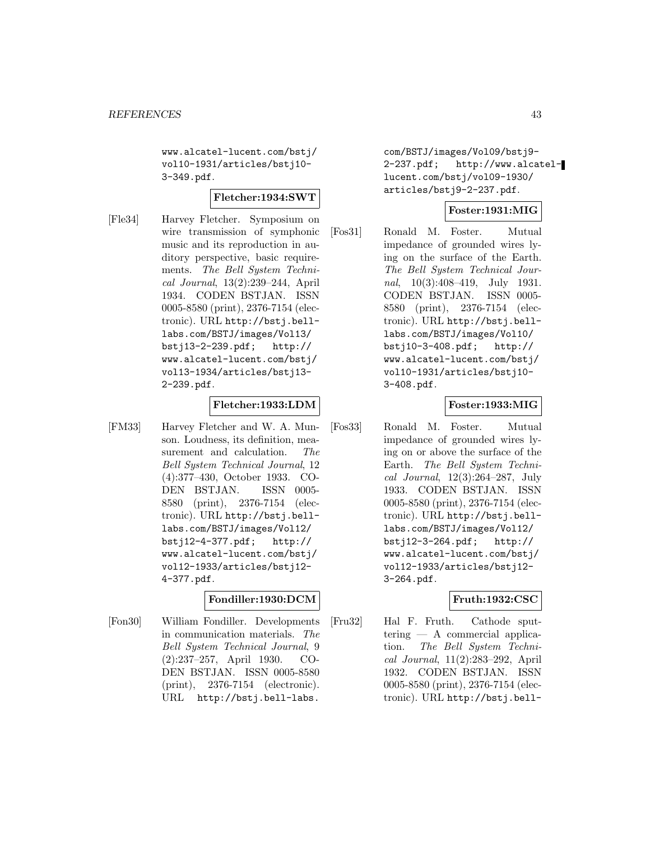www.alcatel-lucent.com/bstj/ vol10-1931/articles/bstj10- 3-349.pdf.

#### **Fletcher:1934:SWT**

[Fle34] Harvey Fletcher. Symposium on wire transmission of symphonic music and its reproduction in auditory perspective, basic requirements. The Bell System Technical Journal, 13(2):239–244, April 1934. CODEN BSTJAN. ISSN 0005-8580 (print), 2376-7154 (electronic). URL http://bstj.belllabs.com/BSTJ/images/Vol13/ bstj13-2-239.pdf; http:// www.alcatel-lucent.com/bstj/ vol13-1934/articles/bstj13- 2-239.pdf.

#### **Fletcher:1933:LDM**

[FM33] Harvey Fletcher and W. A. Munson. Loudness, its definition, measurement and calculation. The Bell System Technical Journal, 12 (4):377–430, October 1933. CO-DEN BSTJAN. ISSN 0005- 8580 (print), 2376-7154 (electronic). URL http://bstj.belllabs.com/BSTJ/images/Vol12/ bstj12-4-377.pdf; http:// www.alcatel-lucent.com/bstj/ vol12-1933/articles/bstj12- 4-377.pdf.

#### **Fondiller:1930:DCM**

[Fon30] William Fondiller. Developments in communication materials. The Bell System Technical Journal, 9 (2):237–257, April 1930. CO-DEN BSTJAN. ISSN 0005-8580 (print), 2376-7154 (electronic). URL http://bstj.bell-labs.

com/BSTJ/images/Vol09/bstj9- 2-237.pdf; http://www.alcatellucent.com/bstj/vol09-1930/ articles/bstj9-2-237.pdf.

### **Foster:1931:MIG**

[Fos31] Ronald M. Foster. Mutual impedance of grounded wires lying on the surface of the Earth. The Bell System Technical Journal, 10(3):408–419, July 1931. CODEN BSTJAN. ISSN 0005- 8580 (print), 2376-7154 (electronic). URL http://bstj.belllabs.com/BSTJ/images/Vol10/ bstj10-3-408.pdf; http:// www.alcatel-lucent.com/bstj/ vol10-1931/articles/bstj10- 3-408.pdf.

### **Foster:1933:MIG**

[Fos33] Ronald M. Foster. Mutual impedance of grounded wires lying on or above the surface of the Earth. The Bell System Technical Journal, 12(3):264–287, July 1933. CODEN BSTJAN. ISSN 0005-8580 (print), 2376-7154 (electronic). URL http://bstj.belllabs.com/BSTJ/images/Vol12/ bstj12-3-264.pdf; http:// www.alcatel-lucent.com/bstj/ vol12-1933/articles/bstj12- 3-264.pdf.

#### **Fruth:1932:CSC**

[Fru32] Hal F. Fruth. Cathode sputtering — A commercial application. The Bell System Technical Journal, 11(2):283–292, April 1932. CODEN BSTJAN. ISSN 0005-8580 (print), 2376-7154 (electronic). URL http://bstj.bell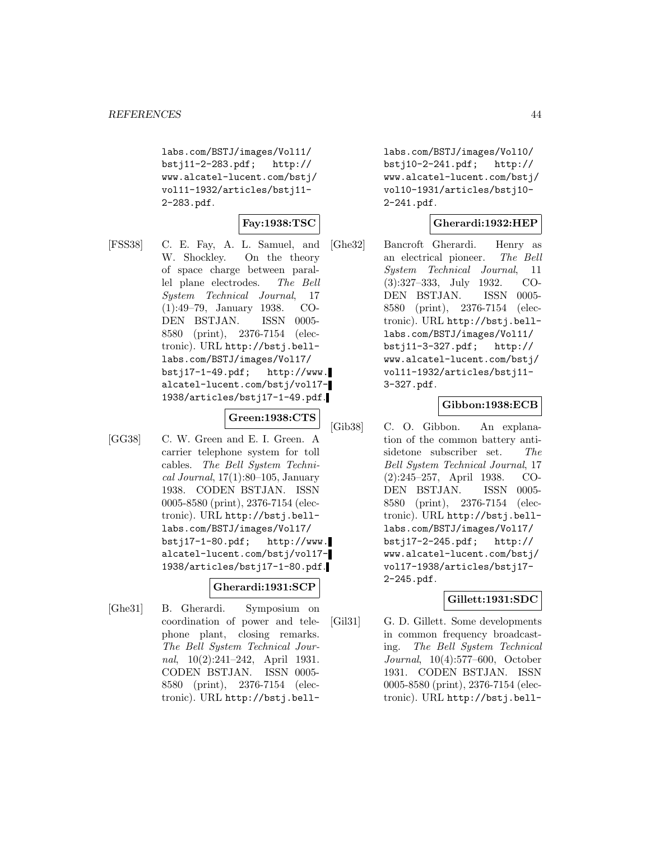labs.com/BSTJ/images/Vol11/ bstj11-2-283.pdf; http:// www.alcatel-lucent.com/bstj/ vol11-1932/articles/bstj11- 2-283.pdf.

## **Fay:1938:TSC**

[FSS38] C. E. Fay, A. L. Samuel, and W. Shockley. On the theory of space charge between parallel plane electrodes. The Bell System Technical Journal, 17 (1):49–79, January 1938. CO-DEN BSTJAN. ISSN 0005- 8580 (print), 2376-7154 (electronic). URL http://bstj.belllabs.com/BSTJ/images/Vol17/ bstj17-1-49.pdf; http://www. alcatel-lucent.com/bstj/vol17- 1938/articles/bstj17-1-49.pdf.

**Green:1938:CTS**

[GG38] C. W. Green and E. I. Green. A carrier telephone system for toll cables. The Bell System Technical Journal,  $17(1):80-105$ , January 1938. CODEN BSTJAN. ISSN 0005-8580 (print), 2376-7154 (electronic). URL http://bstj.belllabs.com/BSTJ/images/Vol17/ bstj17-1-80.pdf; http://www. alcatel-lucent.com/bstj/vol17- 1938/articles/bstj17-1-80.pdf.

#### **Gherardi:1931:SCP**

[Ghe31] B. Gherardi. Symposium on coordination of power and telephone plant, closing remarks. The Bell System Technical Journal, 10(2):241–242, April 1931. CODEN BSTJAN. ISSN 0005- 8580 (print), 2376-7154 (electronic). URL http://bstj.belllabs.com/BSTJ/images/Vol10/ bstj10-2-241.pdf; http:// www.alcatel-lucent.com/bstj/ vol10-1931/articles/bstj10- 2-241.pdf.

### **Gherardi:1932:HEP**

[Ghe32] Bancroft Gherardi. Henry as an electrical pioneer. The Bell System Technical Journal, 11 (3):327–333, July 1932. CO-DEN BSTJAN. ISSN 0005- 8580 (print), 2376-7154 (electronic). URL http://bstj.belllabs.com/BSTJ/images/Vol11/ bstj11-3-327.pdf; http:// www.alcatel-lucent.com/bstj/ vol11-1932/articles/bstj11- 3-327.pdf.

#### **Gibbon:1938:ECB**

[Gib38] C. O. Gibbon. An explanation of the common battery antisidetone subscriber set. The Bell System Technical Journal, 17 (2):245–257, April 1938. CO-DEN BSTJAN. ISSN 0005- 8580 (print), 2376-7154 (electronic). URL http://bstj.belllabs.com/BSTJ/images/Vol17/ bstj17-2-245.pdf; http:// www.alcatel-lucent.com/bstj/ vol17-1938/articles/bstj17- 2-245.pdf.

#### **Gillett:1931:SDC**

[Gil31] G. D. Gillett. Some developments in common frequency broadcasting. The Bell System Technical Journal, 10(4):577–600, October 1931. CODEN BSTJAN. ISSN 0005-8580 (print), 2376-7154 (electronic). URL http://bstj.bell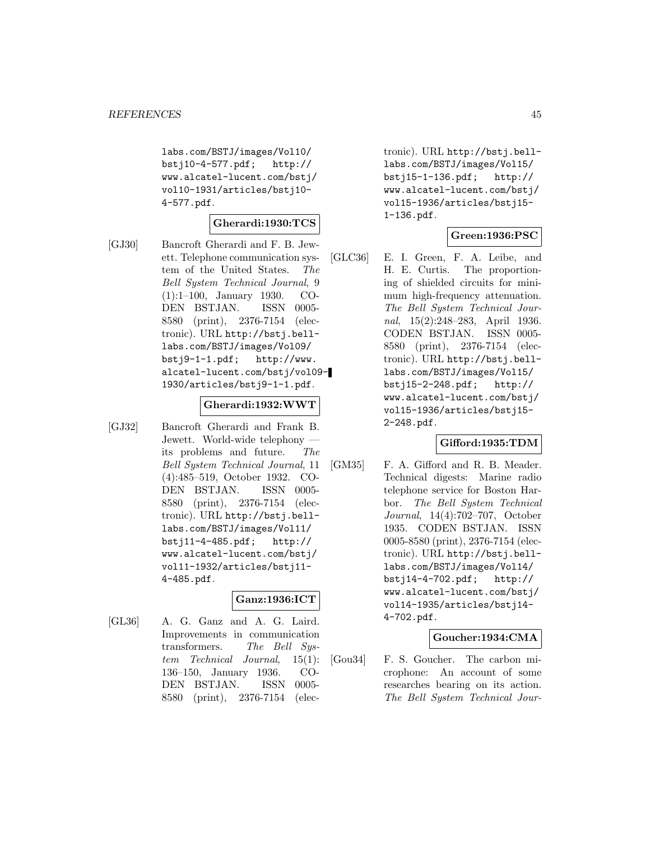labs.com/BSTJ/images/Vol10/ bstj10-4-577.pdf; http:// www.alcatel-lucent.com/bstj/ vol10-1931/articles/bstj10- 4-577.pdf.

### **Gherardi:1930:TCS**

[GJ30] Bancroft Gherardi and F. B. Jewett. Telephone communication system of the United States. The Bell System Technical Journal, 9 (1):1–100, January 1930. CO-DEN BSTJAN. ISSN 0005- 8580 (print), 2376-7154 (electronic). URL http://bstj.belllabs.com/BSTJ/images/Vol09/ bstj9-1-1.pdf; http://www. alcatel-lucent.com/bstj/vol09- 1930/articles/bstj9-1-1.pdf.

#### **Gherardi:1932:WWT**

[GJ32] Bancroft Gherardi and Frank B. Jewett. World-wide telephony its problems and future. The Bell System Technical Journal, 11 (4):485–519, October 1932. CO-DEN BSTJAN. ISSN 0005- 8580 (print), 2376-7154 (electronic). URL http://bstj.belllabs.com/BSTJ/images/Vol11/ bstj11-4-485.pdf; http:// www.alcatel-lucent.com/bstj/ vol11-1932/articles/bstj11- 4-485.pdf.

#### **Ganz:1936:ICT**

[GL36] A. G. Ganz and A. G. Laird. Improvements in communication transformers. The Bell System Technical Journal, 15(1): 136–150, January 1936. CO-DEN BSTJAN. ISSN 0005- 8580 (print), 2376-7154 (electronic). URL http://bstj.belllabs.com/BSTJ/images/Vol15/ bstj15-1-136.pdf; http:// www.alcatel-lucent.com/bstj/ vol15-1936/articles/bstj15- 1-136.pdf.

#### **Green:1936:PSC**

[GLC36] E. I. Green, F. A. Leibe, and H. E. Curtis. The proportioning of shielded circuits for minimum high-frequency attenuation. The Bell System Technical Journal, 15(2):248–283, April 1936. CODEN BSTJAN. ISSN 0005- 8580 (print), 2376-7154 (electronic). URL http://bstj.belllabs.com/BSTJ/images/Vol15/ bstj15-2-248.pdf; http:// www.alcatel-lucent.com/bstj/ vol15-1936/articles/bstj15- 2-248.pdf.

### **Gifford:1935:TDM**

[GM35] F. A. Gifford and R. B. Meader. Technical digests: Marine radio telephone service for Boston Harbor. The Bell System Technical Journal, 14(4):702–707, October 1935. CODEN BSTJAN. ISSN 0005-8580 (print), 2376-7154 (electronic). URL http://bstj.belllabs.com/BSTJ/images/Vol14/ bstj14-4-702.pdf; http:// www.alcatel-lucent.com/bstj/ vol14-1935/articles/bstj14- 4-702.pdf.

#### **Goucher:1934:CMA**

[Gou34] F. S. Goucher. The carbon microphone: An account of some researches bearing on its action. The Bell System Technical Jour-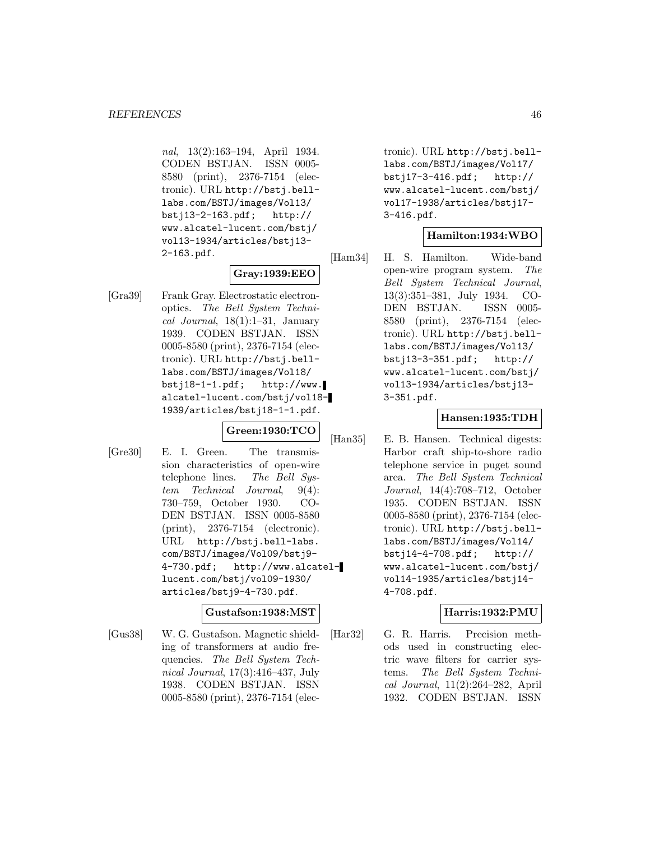nal, 13(2):163–194, April 1934. CODEN BSTJAN. ISSN 0005- 8580 (print), 2376-7154 (electronic). URL http://bstj.belllabs.com/BSTJ/images/Vol13/ bstj13-2-163.pdf; http:// www.alcatel-lucent.com/bstj/ vol13-1934/articles/bstj13- 2-163.pdf.

# **Gray:1939:EEO**

[Gra39] Frank Gray. Electrostatic electronoptics. The Bell System Technical Journal,  $18(1):1-31$ , January 1939. CODEN BSTJAN. ISSN 0005-8580 (print), 2376-7154 (electronic). URL http://bstj.belllabs.com/BSTJ/images/Vol18/ bstj18-1-1.pdf; http://www. alcatel-lucent.com/bstj/vol18- 1939/articles/bstj18-1-1.pdf.

#### **Green:1930:TCO**

[Gre30] E. I. Green. The transmission characteristics of open-wire telephone lines. The Bell System Technical Journal, 9(4): 730–759, October 1930. CO-DEN BSTJAN. ISSN 0005-8580 (print), 2376-7154 (electronic). URL http://bstj.bell-labs. com/BSTJ/images/Vol09/bstj9- 4-730.pdf; http://www.alcatellucent.com/bstj/vol09-1930/ articles/bstj9-4-730.pdf.

### **Gustafson:1938:MST**

[Gus38] W. G. Gustafson. Magnetic shielding of transformers at audio frequencies. The Bell System Technical Journal, 17(3):416–437, July 1938. CODEN BSTJAN. ISSN 0005-8580 (print), 2376-7154 (electronic). URL http://bstj.belllabs.com/BSTJ/images/Vol17/ bstj17-3-416.pdf; http:// www.alcatel-lucent.com/bstj/ vol17-1938/articles/bstj17- 3-416.pdf.

### **Hamilton:1934:WBO**

[Ham34] H. S. Hamilton. Wide-band open-wire program system. The Bell System Technical Journal, 13(3):351–381, July 1934. CO-DEN BSTJAN. ISSN 0005- 8580 (print), 2376-7154 (electronic). URL http://bstj.belllabs.com/BSTJ/images/Vol13/ bstj13-3-351.pdf; http:// www.alcatel-lucent.com/bstj/ vol13-1934/articles/bstj13- 3-351.pdf.

### **Hansen:1935:TDH**

[Han35] E. B. Hansen. Technical digests: Harbor craft ship-to-shore radio telephone service in puget sound area. The Bell System Technical Journal, 14(4):708–712, October 1935. CODEN BSTJAN. ISSN 0005-8580 (print), 2376-7154 (electronic). URL http://bstj.belllabs.com/BSTJ/images/Vol14/ bstj14-4-708.pdf; http:// www.alcatel-lucent.com/bstj/ vol14-1935/articles/bstj14- 4-708.pdf.

#### **Harris:1932:PMU**

[Har32] G. R. Harris. Precision methods used in constructing electric wave filters for carrier systems. The Bell System Technical Journal, 11(2):264–282, April 1932. CODEN BSTJAN. ISSN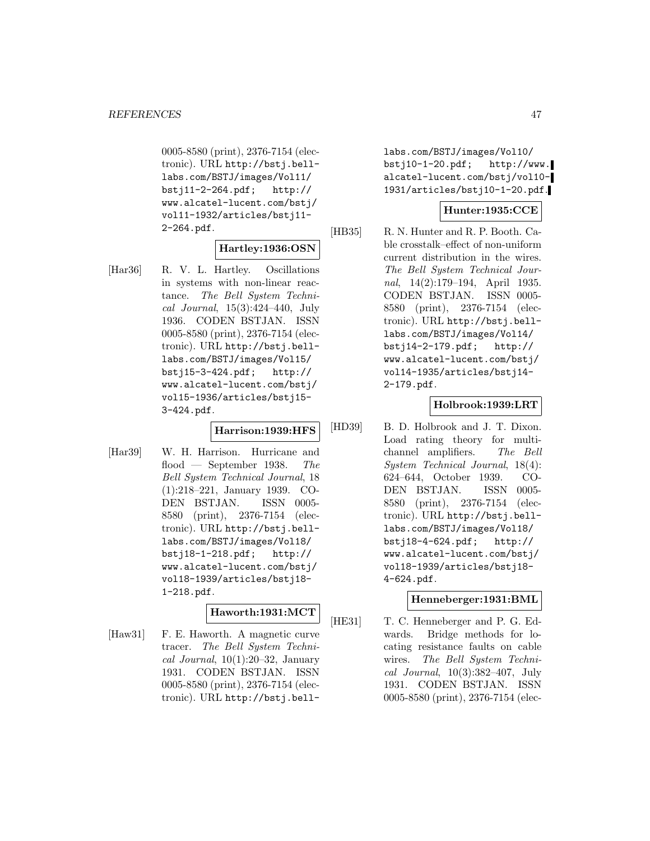0005-8580 (print), 2376-7154 (electronic). URL http://bstj.belllabs.com/BSTJ/images/Vol11/ bstj11-2-264.pdf; http:// www.alcatel-lucent.com/bstj/ vol11-1932/articles/bstj11- 2-264.pdf.

## **Hartley:1936:OSN**

[Har36] R. V. L. Hartley. Oscillations in systems with non-linear reactance. The Bell System Technical Journal, 15(3):424–440, July 1936. CODEN BSTJAN. ISSN 0005-8580 (print), 2376-7154 (electronic). URL http://bstj.belllabs.com/BSTJ/images/Vol15/ bstj15-3-424.pdf; http:// www.alcatel-lucent.com/bstj/ vol15-1936/articles/bstj15- 3-424.pdf.

#### **Harrison:1939:HFS**

[Har39] W. H. Harrison. Hurricane and flood — September 1938. The Bell System Technical Journal, 18 (1):218–221, January 1939. CO-DEN BSTJAN. ISSN 0005- 8580 (print), 2376-7154 (electronic). URL http://bstj.belllabs.com/BSTJ/images/Vol18/ bstj18-1-218.pdf; http:// www.alcatel-lucent.com/bstj/ vol18-1939/articles/bstj18- 1-218.pdf.

## **Haworth:1931:MCT**

[Haw31] F. E. Haworth. A magnetic curve tracer. The Bell System Technical Journal,  $10(1):20-32$ , January 1931. CODEN BSTJAN. ISSN 0005-8580 (print), 2376-7154 (electronic). URL http://bstj.belllabs.com/BSTJ/images/Vol10/ bstj10-1-20.pdf; http://www. alcatel-lucent.com/bstj/vol10- 1931/articles/bstj10-1-20.pdf.

### **Hunter:1935:CCE**

[HB35] R. N. Hunter and R. P. Booth. Cable crosstalk–effect of non-uniform current distribution in the wires. The Bell System Technical Journal, 14(2):179–194, April 1935. CODEN BSTJAN. ISSN 0005- 8580 (print), 2376-7154 (electronic). URL http://bstj.belllabs.com/BSTJ/images/Vol14/ bstj14-2-179.pdf; http:// www.alcatel-lucent.com/bstj/ vol14-1935/articles/bstj14- 2-179.pdf.

#### **Holbrook:1939:LRT**

[HD39] B. D. Holbrook and J. T. Dixon. Load rating theory for multichannel amplifiers. The Bell System Technical Journal, 18(4): 624–644, October 1939. CO-DEN BSTJAN. ISSN 0005- 8580 (print), 2376-7154 (electronic). URL http://bstj.belllabs.com/BSTJ/images/Vol18/ bstj18-4-624.pdf; http:// www.alcatel-lucent.com/bstj/ vol18-1939/articles/bstj18- 4-624.pdf.

#### **Henneberger:1931:BML**

[HE31] T. C. Henneberger and P. G. Edwards. Bridge methods for locating resistance faults on cable wires. The Bell System Technical Journal, 10(3):382–407, July 1931. CODEN BSTJAN. ISSN 0005-8580 (print), 2376-7154 (elec-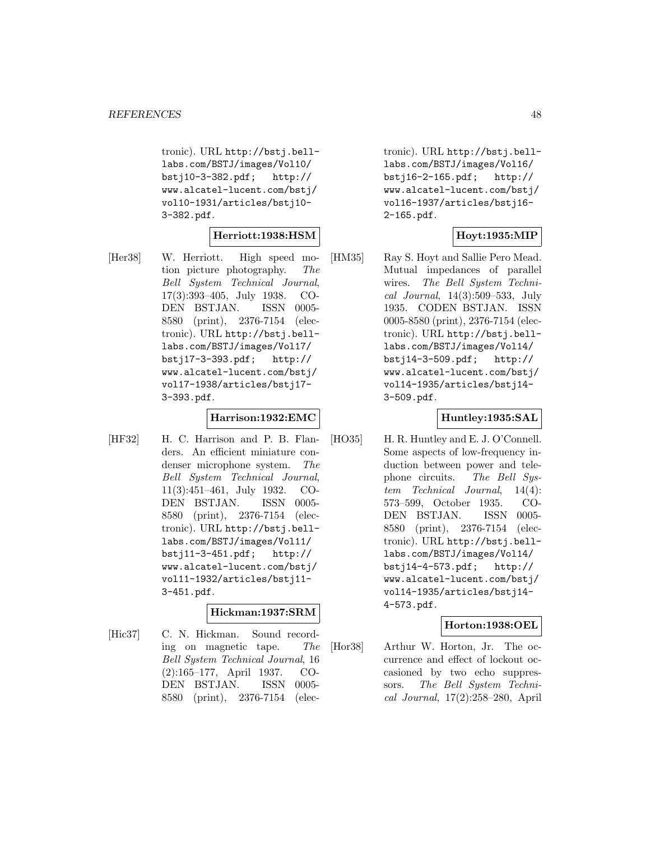tronic). URL http://bstj.belllabs.com/BSTJ/images/Vol10/ bstj10-3-382.pdf; http:// www.alcatel-lucent.com/bstj/ vol10-1931/articles/bstj10- 3-382.pdf.

#### **Herriott:1938:HSM**

[Her38] W. Herriott. High speed motion picture photography. The Bell System Technical Journal, 17(3):393–405, July 1938. CO-DEN BSTJAN. ISSN 0005- 8580 (print), 2376-7154 (electronic). URL http://bstj.belllabs.com/BSTJ/images/Vol17/ bstj17-3-393.pdf; http:// www.alcatel-lucent.com/bstj/ vol17-1938/articles/bstj17- 3-393.pdf.

#### **Harrison:1932:EMC**

[HF32] H. C. Harrison and P. B. Flanders. An efficient miniature condenser microphone system. The Bell System Technical Journal, 11(3):451–461, July 1932. CO-DEN BSTJAN. ISSN 0005- 8580 (print), 2376-7154 (electronic). URL http://bstj.belllabs.com/BSTJ/images/Vol11/ bstj11-3-451.pdf; http:// www.alcatel-lucent.com/bstj/ vol11-1932/articles/bstj11- 3-451.pdf.

### **Hickman:1937:SRM**

[Hic37] C. N. Hickman. Sound recording on magnetic tape. The Bell System Technical Journal, 16 (2):165–177, April 1937. CO-DEN BSTJAN. ISSN 0005- 8580 (print), 2376-7154 (electronic). URL http://bstj.belllabs.com/BSTJ/images/Vol16/ bstj16-2-165.pdf; http:// www.alcatel-lucent.com/bstj/ vol16-1937/articles/bstj16- 2-165.pdf.

### **Hoyt:1935:MIP**

[HM35] Ray S. Hoyt and Sallie Pero Mead. Mutual impedances of parallel wires. The Bell System Technical Journal, 14(3):509–533, July 1935. CODEN BSTJAN. ISSN 0005-8580 (print), 2376-7154 (electronic). URL http://bstj.belllabs.com/BSTJ/images/Vol14/ bstj14-3-509.pdf; http:// www.alcatel-lucent.com/bstj/ vol14-1935/articles/bstj14- 3-509.pdf.

#### **Huntley:1935:SAL**

[HO35] H. R. Huntley and E. J. O'Connell. Some aspects of low-frequency induction between power and telephone circuits. The Bell System Technical Journal, 14(4): 573–599, October 1935. CO-DEN BSTJAN. ISSN 0005- 8580 (print), 2376-7154 (electronic). URL http://bstj.belllabs.com/BSTJ/images/Vol14/ bstj14-4-573.pdf; http:// www.alcatel-lucent.com/bstj/ vol14-1935/articles/bstj14- 4-573.pdf.

#### **Horton:1938:OEL**

[Hor38] Arthur W. Horton, Jr. The occurrence and effect of lockout occasioned by two echo suppressors. The Bell System Technical Journal, 17(2):258–280, April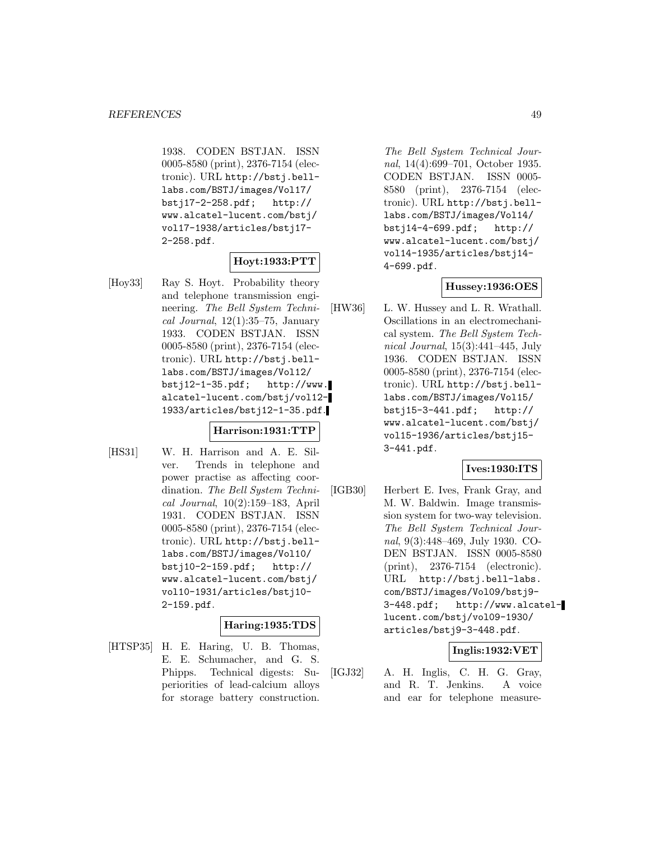1938. CODEN BSTJAN. ISSN 0005-8580 (print), 2376-7154 (electronic). URL http://bstj.belllabs.com/BSTJ/images/Vol17/ bstj17-2-258.pdf; http:// www.alcatel-lucent.com/bstj/ vol17-1938/articles/bstj17- 2-258.pdf.

### **Hoyt:1933:PTT**

[Hoy33] Ray S. Hoyt. Probability theory and telephone transmission engineering. The Bell System Techni $cal Journal, 12(1):35–75, January$ 1933. CODEN BSTJAN. ISSN 0005-8580 (print), 2376-7154 (electronic). URL http://bstj.belllabs.com/BSTJ/images/Vol12/ bstj12-1-35.pdf; http://www. alcatel-lucent.com/bstj/vol12- 1933/articles/bstj12-1-35.pdf.

#### **Harrison:1931:TTP**

[HS31] W. H. Harrison and A. E. Silver. Trends in telephone and power practise as affecting coordination. The Bell System Technical Journal, 10(2):159–183, April 1931. CODEN BSTJAN. ISSN 0005-8580 (print), 2376-7154 (electronic). URL http://bstj.belllabs.com/BSTJ/images/Vol10/ bstj10-2-159.pdf; http:// www.alcatel-lucent.com/bstj/ vol10-1931/articles/bstj10- 2-159.pdf.

### **Haring:1935:TDS**

[HTSP35] H. E. Haring, U. B. Thomas, E. E. Schumacher, and G. S. Phipps. Technical digests: Superiorities of lead-calcium alloys for storage battery construction.

The Bell System Technical Journal, 14(4):699–701, October 1935. CODEN BSTJAN. ISSN 0005- 8580 (print), 2376-7154 (electronic). URL http://bstj.belllabs.com/BSTJ/images/Vol14/ bstj14-4-699.pdf; http:// www.alcatel-lucent.com/bstj/ vol14-1935/articles/bstj14- 4-699.pdf.

#### **Hussey:1936:OES**

[HW36] L. W. Hussey and L. R. Wrathall. Oscillations in an electromechanical system. The Bell System Technical Journal, 15(3):441–445, July 1936. CODEN BSTJAN. ISSN 0005-8580 (print), 2376-7154 (electronic). URL http://bstj.belllabs.com/BSTJ/images/Vol15/ bstj15-3-441.pdf; http:// www.alcatel-lucent.com/bstj/ vol15-1936/articles/bstj15- 3-441.pdf.

#### **Ives:1930:ITS**

[IGB30] Herbert E. Ives, Frank Gray, and M. W. Baldwin. Image transmission system for two-way television. The Bell System Technical Journal, 9(3):448–469, July 1930. CO-DEN BSTJAN. ISSN 0005-8580 (print), 2376-7154 (electronic). URL http://bstj.bell-labs. com/BSTJ/images/Vol09/bstj9- 3-448.pdf; http://www.alcatellucent.com/bstj/vol09-1930/ articles/bstj9-3-448.pdf.

### **Inglis:1932:VET**

[IGJ32] A. H. Inglis, C. H. G. Gray, and R. T. Jenkins. A voice and ear for telephone measure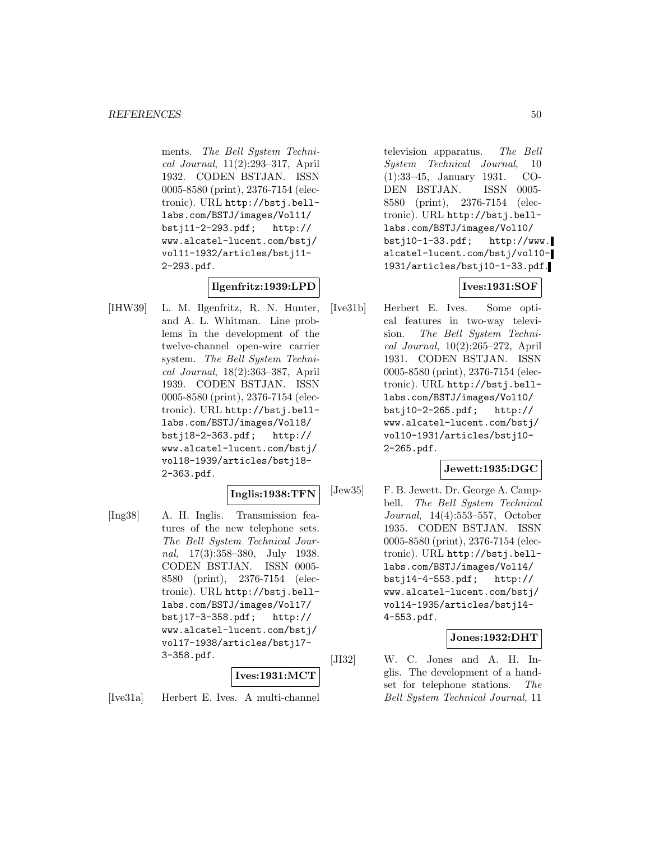ments. The Bell System Technical Journal, 11(2):293–317, April 1932. CODEN BSTJAN. ISSN 0005-8580 (print), 2376-7154 (electronic). URL http://bstj.belllabs.com/BSTJ/images/Vol11/ bstj11-2-293.pdf; http:// www.alcatel-lucent.com/bstj/ vol11-1932/articles/bstj11- 2-293.pdf.

## **Ilgenfritz:1939:LPD**

[IHW39] L. M. Ilgenfritz, R. N. Hunter, and A. L. Whitman. Line problems in the development of the twelve-channel open-wire carrier system. The Bell System Technical Journal, 18(2):363–387, April 1939. CODEN BSTJAN. ISSN 0005-8580 (print), 2376-7154 (electronic). URL http://bstj.belllabs.com/BSTJ/images/Vol18/ bstj18-2-363.pdf; http:// www.alcatel-lucent.com/bstj/ vol18-1939/articles/bstj18- 2-363.pdf.

#### **Inglis:1938:TFN**

[Ing38] A. H. Inglis. Transmission features of the new telephone sets. The Bell System Technical Journal, 17(3):358–380, July 1938. CODEN BSTJAN. ISSN 0005- 8580 (print), 2376-7154 (electronic). URL http://bstj.belllabs.com/BSTJ/images/Vol17/ bstj17-3-358.pdf; http:// www.alcatel-lucent.com/bstj/ vol17-1938/articles/bstj17- 3-358.pdf.

### **Ives:1931:MCT**

[Ive31a] Herbert E. Ives. A multi-channel

television apparatus. The Bell System Technical Journal, 10 (1):33–45, January 1931. CO-DEN BSTJAN. ISSN 0005- 8580 (print), 2376-7154 (electronic). URL http://bstj.belllabs.com/BSTJ/images/Vol10/ bstj10-1-33.pdf; http://www. alcatel-lucent.com/bstj/vol10- 1931/articles/bstj10-1-33.pdf.

### **Ives:1931:SOF**

[Ive31b] Herbert E. Ives. Some optical features in two-way television. The Bell System Technical Journal, 10(2):265–272, April 1931. CODEN BSTJAN. ISSN 0005-8580 (print), 2376-7154 (electronic). URL http://bstj.belllabs.com/BSTJ/images/Vol10/ bstj10-2-265.pdf; http:// www.alcatel-lucent.com/bstj/ vol10-1931/articles/bstj10- 2-265.pdf.

## **Jewett:1935:DGC**

[Jew35] F. B. Jewett. Dr. George A. Campbell. The Bell System Technical Journal, 14(4):553–557, October 1935. CODEN BSTJAN. ISSN 0005-8580 (print), 2376-7154 (electronic). URL http://bstj.belllabs.com/BSTJ/images/Vol14/ bstj14-4-553.pdf; http:// www.alcatel-lucent.com/bstj/ vol14-1935/articles/bstj14- 4-553.pdf.

#### **Jones:1932:DHT**

[JI32] W. C. Jones and A. H. Inglis. The development of a handset for telephone stations. The Bell System Technical Journal, 11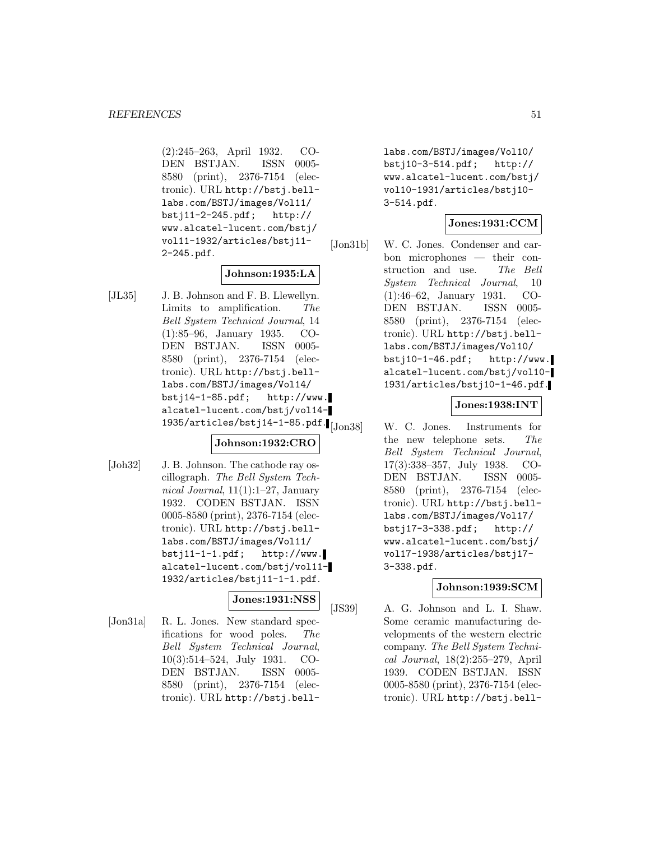(2):245–263, April 1932. CO-DEN BSTJAN. ISSN 0005- 8580 (print), 2376-7154 (electronic). URL http://bstj.belllabs.com/BSTJ/images/Vol11/ bstj11-2-245.pdf; http:// www.alcatel-lucent.com/bstj/ vol11-1932/articles/bstj11- 2-245.pdf.

## **Johnson:1935:LA**

[JL35] J. B. Johnson and F. B. Llewellyn. Limits to amplification. The Bell System Technical Journal, 14 (1):85–96, January 1935. CO-DEN BSTJAN. ISSN 0005- 8580 (print), 2376-7154 (electronic). URL http://bstj.belllabs.com/BSTJ/images/Vol14/ bstj14-1-85.pdf; http://www. alcatel-lucent.com/bstj/vol14-  $1935/$ articles/bstj14-1-85.pdf. $\blacksquare$ [Jon38]

#### **Johnson:1932:CRO**

[Joh32] J. B. Johnson. The cathode ray oscillograph. The Bell System Technical Journal,  $11(1):1-27$ , January 1932. CODEN BSTJAN. ISSN 0005-8580 (print), 2376-7154 (electronic). URL http://bstj.belllabs.com/BSTJ/images/Vol11/ bstj11-1-1.pdf; http://www. alcatel-lucent.com/bstj/vol11- 1932/articles/bstj11-1-1.pdf.

#### **Jones:1931:NSS**

[Jon31a] R. L. Jones. New standard specifications for wood poles. The Bell System Technical Journal, 10(3):514–524, July 1931. CO-DEN BSTJAN. ISSN 0005- 8580 (print), 2376-7154 (electronic). URL http://bstj.belllabs.com/BSTJ/images/Vol10/ bstj10-3-514.pdf; http:// www.alcatel-lucent.com/bstj/ vol10-1931/articles/bstj10- 3-514.pdf.

## **Jones:1931:CCM**

[Jon31b] W. C. Jones. Condenser and carbon microphones — their construction and use. The Bell System Technical Journal, 10 (1):46–62, January 1931. CO-DEN BSTJAN. ISSN 0005- 8580 (print), 2376-7154 (electronic). URL http://bstj.belllabs.com/BSTJ/images/Vol10/ bstj10-1-46.pdf; http://www. alcatel-lucent.com/bstj/vol10- 1931/articles/bstj10-1-46.pdf.

### **Jones:1938:INT**

W. C. Jones. Instruments for the new telephone sets. The Bell System Technical Journal, 17(3):338–357, July 1938. CO-DEN BSTJAN. ISSN 0005- 8580 (print), 2376-7154 (electronic). URL http://bstj.belllabs.com/BSTJ/images/Vol17/ bstj17-3-338.pdf; http:// www.alcatel-lucent.com/bstj/ vol17-1938/articles/bstj17- 3-338.pdf.

#### **Johnson:1939:SCM**

[JS39] A. G. Johnson and L. I. Shaw. Some ceramic manufacturing developments of the western electric company. The Bell System Technical Journal, 18(2):255–279, April 1939. CODEN BSTJAN. ISSN 0005-8580 (print), 2376-7154 (electronic). URL http://bstj.bell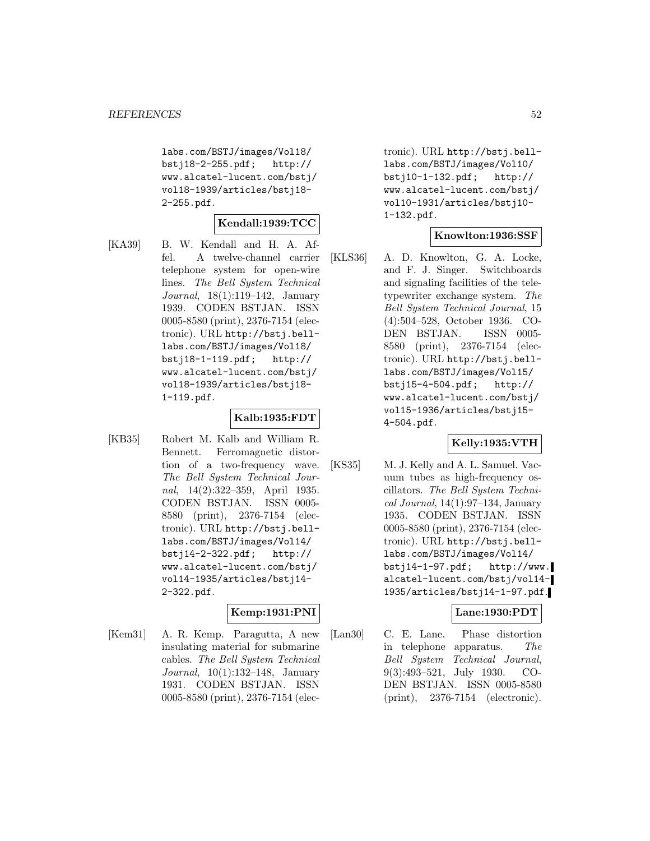labs.com/BSTJ/images/Vol18/ bstj18-2-255.pdf; http:// www.alcatel-lucent.com/bstj/ vol18-1939/articles/bstj18- 2-255.pdf.

#### **Kendall:1939:TCC**

[KA39] B. W. Kendall and H. A. Affel. A twelve-channel carrier telephone system for open-wire lines. The Bell System Technical Journal, 18(1):119–142, January 1939. CODEN BSTJAN. ISSN 0005-8580 (print), 2376-7154 (electronic). URL http://bstj.belllabs.com/BSTJ/images/Vol18/ bstj18-1-119.pdf; http:// www.alcatel-lucent.com/bstj/ vol18-1939/articles/bstj18- 1-119.pdf.

### **Kalb:1935:FDT**

[KB35] Robert M. Kalb and William R. Bennett. Ferromagnetic distortion of a two-frequency wave. The Bell System Technical Journal, 14(2):322–359, April 1935. CODEN BSTJAN. ISSN 0005- 8580 (print), 2376-7154 (electronic). URL http://bstj.belllabs.com/BSTJ/images/Vol14/ bstj14-2-322.pdf; http:// www.alcatel-lucent.com/bstj/ vol14-1935/articles/bstj14- 2-322.pdf.

### **Kemp:1931:PNI**

[Kem31] A. R. Kemp. Paragutta, A new insulating material for submarine cables. The Bell System Technical Journal, 10(1):132–148, January 1931. CODEN BSTJAN. ISSN 0005-8580 (print), 2376-7154 (electronic). URL http://bstj.belllabs.com/BSTJ/images/Vol10/ bstj10-1-132.pdf; http:// www.alcatel-lucent.com/bstj/ vol10-1931/articles/bstj10- 1-132.pdf.

#### **Knowlton:1936:SSF**

[KLS36] A. D. Knowlton, G. A. Locke, and F. J. Singer. Switchboards and signaling facilities of the teletypewriter exchange system. The Bell System Technical Journal, 15 (4):504–528, October 1936. CO-DEN BSTJAN. ISSN 0005- 8580 (print), 2376-7154 (electronic). URL http://bstj.belllabs.com/BSTJ/images/Vol15/ bstj15-4-504.pdf; http:// www.alcatel-lucent.com/bstj/ vol15-1936/articles/bstj15- 4-504.pdf.

#### **Kelly:1935:VTH**

[KS35] M. J. Kelly and A. L. Samuel. Vacuum tubes as high-frequency oscillators. The Bell System Technical Journal, 14(1):97–134, January 1935. CODEN BSTJAN. ISSN 0005-8580 (print), 2376-7154 (electronic). URL http://bstj.belllabs.com/BSTJ/images/Vol14/ bstj14-1-97.pdf; http://www. alcatel-lucent.com/bstj/vol14- 1935/articles/bstj14-1-97.pdf.

### **Lane:1930:PDT**

[Lan30] C. E. Lane. Phase distortion in telephone apparatus. The Bell System Technical Journal, 9(3):493–521, July 1930. CO-DEN BSTJAN. ISSN 0005-8580 (print), 2376-7154 (electronic).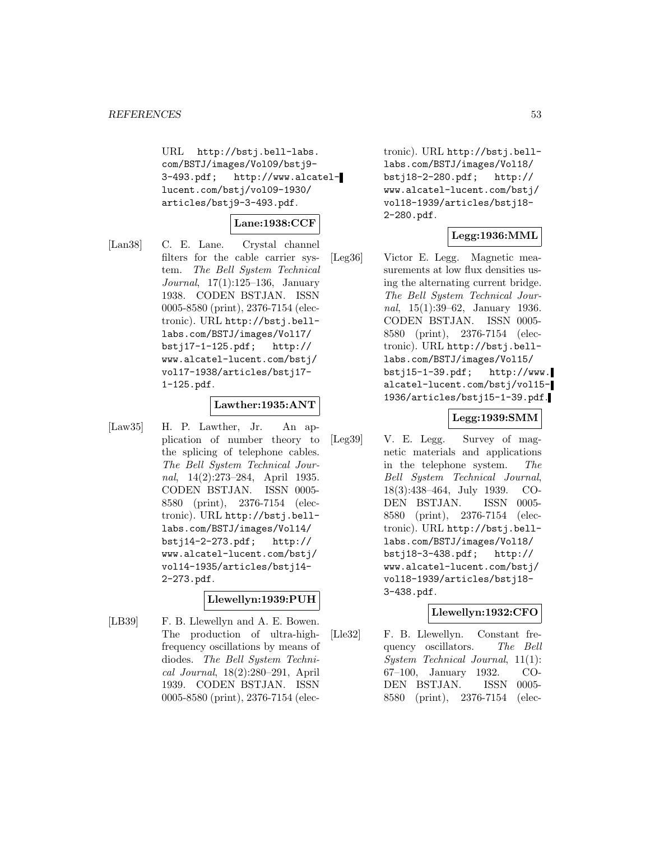URL http://bstj.bell-labs. com/BSTJ/images/Vol09/bstj9- 3-493.pdf; http://www.alcatellucent.com/bstj/vol09-1930/ articles/bstj9-3-493.pdf.

## **Lane:1938:CCF**

[Lan38] C. E. Lane. Crystal channel filters for the cable carrier system. The Bell System Technical Journal, 17(1):125–136, January 1938. CODEN BSTJAN. ISSN 0005-8580 (print), 2376-7154 (electronic). URL http://bstj.belllabs.com/BSTJ/images/Vol17/ bstj17-1-125.pdf; http:// www.alcatel-lucent.com/bstj/ vol17-1938/articles/bstj17- 1-125.pdf.

#### **Lawther:1935:ANT**

[Law35] H. P. Lawther, Jr. An application of number theory to the splicing of telephone cables. The Bell System Technical Journal, 14(2):273–284, April 1935. CODEN BSTJAN. ISSN 0005- 8580 (print), 2376-7154 (electronic). URL http://bstj.belllabs.com/BSTJ/images/Vol14/ bstj14-2-273.pdf; http:// www.alcatel-lucent.com/bstj/ vol14-1935/articles/bstj14- 2-273.pdf.

#### **Llewellyn:1939:PUH**

[LB39] F. B. Llewellyn and A. E. Bowen. The production of ultra-highfrequency oscillations by means of diodes. The Bell System Technical Journal, 18(2):280–291, April 1939. CODEN BSTJAN. ISSN 0005-8580 (print), 2376-7154 (electronic). URL http://bstj.belllabs.com/BSTJ/images/Vol18/ bstj18-2-280.pdf; http:// www.alcatel-lucent.com/bstj/ vol18-1939/articles/bstj18- 2-280.pdf.

### **Legg:1936:MML**

[Leg36] Victor E. Legg. Magnetic measurements at low flux densities using the alternating current bridge. The Bell System Technical Journal, 15(1):39–62, January 1936. CODEN BSTJAN. ISSN 0005- 8580 (print), 2376-7154 (electronic). URL http://bstj.belllabs.com/BSTJ/images/Vol15/ bstj15-1-39.pdf; http://www. alcatel-lucent.com/bstj/vol15- 1936/articles/bstj15-1-39.pdf.

## **Legg:1939:SMM**

[Leg39] V. E. Legg. Survey of magnetic materials and applications in the telephone system. The Bell System Technical Journal, 18(3):438–464, July 1939. CO-DEN BSTJAN. ISSN 0005- 8580 (print), 2376-7154 (electronic). URL http://bstj.belllabs.com/BSTJ/images/Vol18/ bstj18-3-438.pdf; http:// www.alcatel-lucent.com/bstj/ vol18-1939/articles/bstj18- 3-438.pdf.

#### **Llewellyn:1932:CFO**

[Lle32] F. B. Llewellyn. Constant frequency oscillators. The Bell System Technical Journal, 11(1): 67–100, January 1932. CO-DEN BSTJAN. ISSN 0005- 8580 (print), 2376-7154 (elec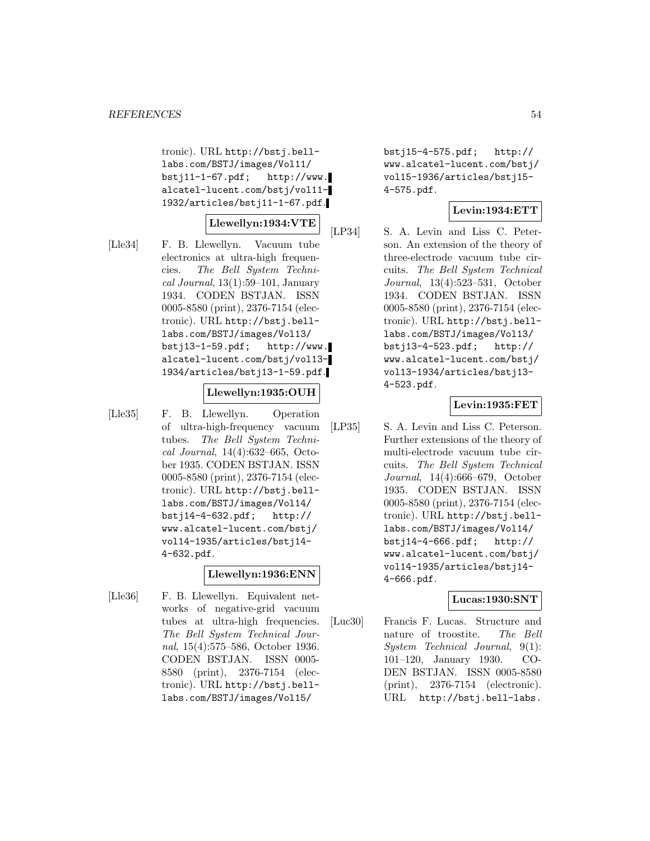tronic). URL http://bstj.belllabs.com/BSTJ/images/Vol11/  $bsti11-1-67.pdf;$  http://www. alcatel-lucent.com/bstj/vol11- 1932/articles/bstj11-1-67.pdf.

### **Llewellyn:1934:VTE**

[Lle34] F. B. Llewellyn. Vacuum tube electronics at ultra-high frequencies. The Bell System Techni $cal Journal, 13(1):59–101, January$ 1934. CODEN BSTJAN. ISSN 0005-8580 (print), 2376-7154 (electronic). URL http://bstj.belllabs.com/BSTJ/images/Vol13/  $bst$  i13-1-59.pdf; http://www. alcatel-lucent.com/bstj/vol13- 1934/articles/bstj13-1-59.pdf.

#### **Llewellyn:1935:OUH**

- 
- [Lle35] F. B. Llewellyn. Operation of ultra-high-frequency vacuum tubes. The Bell System Technical Journal, 14(4):632–665, October 1935. CODEN BSTJAN. ISSN 0005-8580 (print), 2376-7154 (electronic). URL http://bstj.belllabs.com/BSTJ/images/Vol14/ bstj14-4-632.pdf; http:// www.alcatel-lucent.com/bstj/ vol14-1935/articles/bstj14- 4-632.pdf.

#### **Llewellyn:1936:ENN**

[Lle36] F. B. Llewellyn. Equivalent networks of negative-grid vacuum tubes at ultra-high frequencies. The Bell System Technical Journal, 15(4):575–586, October 1936. CODEN BSTJAN. ISSN 0005- 8580 (print), 2376-7154 (electronic). URL http://bstj.belllabs.com/BSTJ/images/Vol15/

bstj15-4-575.pdf; http:// www.alcatel-lucent.com/bstj/ vol15-1936/articles/bstj15- 4-575.pdf.

### **Levin:1934:ETT**

[LP34] S. A. Levin and Liss C. Peterson. An extension of the theory of three-electrode vacuum tube circuits. The Bell System Technical Journal, 13(4):523–531, October 1934. CODEN BSTJAN. ISSN 0005-8580 (print), 2376-7154 (electronic). URL http://bstj.belllabs.com/BSTJ/images/Vol13/ bstj13-4-523.pdf; http:// www.alcatel-lucent.com/bstj/ vol13-1934/articles/bstj13- 4-523.pdf.

### **Levin:1935:FET**

[LP35] S. A. Levin and Liss C. Peterson. Further extensions of the theory of multi-electrode vacuum tube circuits. The Bell System Technical Journal, 14(4):666–679, October 1935. CODEN BSTJAN. ISSN 0005-8580 (print), 2376-7154 (electronic). URL http://bstj.belllabs.com/BSTJ/images/Vol14/ bstj14-4-666.pdf; http:// www.alcatel-lucent.com/bstj/ vol14-1935/articles/bstj14- 4-666.pdf.

#### **Lucas:1930:SNT**

[Luc30] Francis F. Lucas. Structure and nature of troostite. The Bell System Technical Journal, 9(1): 101–120, January 1930. CO-DEN BSTJAN. ISSN 0005-8580 (print), 2376-7154 (electronic). URL http://bstj.bell-labs.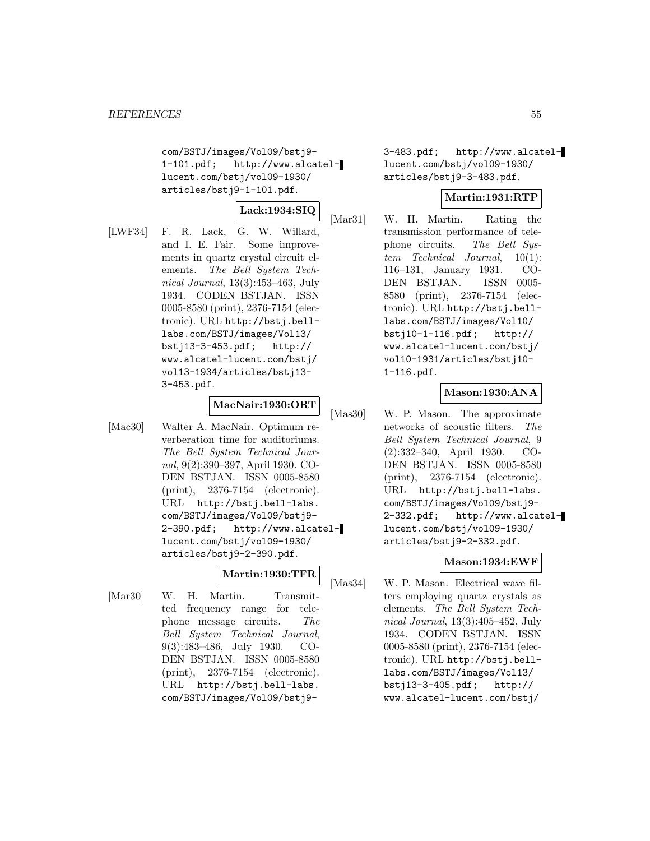com/BSTJ/images/Vol09/bstj9- 1-101.pdf; http://www.alcatellucent.com/bstj/vol09-1930/ articles/bstj9-1-101.pdf.

$$
\big|\operatorname{Lack:1934:SIQ}\big|
$$

[LWF34] F. R. Lack, G. W. Willard, and I. E. Fair. Some improvements in quartz crystal circuit elements. The Bell System Technical Journal, 13(3):453–463, July 1934. CODEN BSTJAN. ISSN 0005-8580 (print), 2376-7154 (electronic). URL http://bstj.belllabs.com/BSTJ/images/Vol13/ bstj13-3-453.pdf; http:// www.alcatel-lucent.com/bstj/ vol13-1934/articles/bstj13- 3-453.pdf.

# **MacNair:1930:ORT**

[Mac30] Walter A. MacNair. Optimum reverberation time for auditoriums. The Bell System Technical Journal, 9(2):390–397, April 1930. CO-DEN BSTJAN. ISSN 0005-8580 (print), 2376-7154 (electronic). URL http://bstj.bell-labs. com/BSTJ/images/Vol09/bstj9- 2-390.pdf; http://www.alcatellucent.com/bstj/vol09-1930/ articles/bstj9-2-390.pdf.

## **Martin:1930:TFR**

[Mar30] W. H. Martin. Transmitted frequency range for telephone message circuits. The Bell System Technical Journal, 9(3):483–486, July 1930. CO-DEN BSTJAN. ISSN 0005-8580 (print), 2376-7154 (electronic). URL http://bstj.bell-labs. com/BSTJ/images/Vol09/bstj93-483.pdf; http://www.alcatellucent.com/bstj/vol09-1930/ articles/bstj9-3-483.pdf.

### **Martin:1931:RTP**

[Mar31] W. H. Martin. Rating the transmission performance of telephone circuits. The Bell System Technical Journal, 10(1): 116–131, January 1931. CO-DEN BSTJAN. ISSN 0005- 8580 (print), 2376-7154 (electronic). URL http://bstj.belllabs.com/BSTJ/images/Vol10/ bstj10-1-116.pdf; http:// www.alcatel-lucent.com/bstj/ vol10-1931/articles/bstj10- 1-116.pdf.

## **Mason:1930:ANA**

[Mas30] W. P. Mason. The approximate networks of acoustic filters. The Bell System Technical Journal, 9 (2):332–340, April 1930. CO-DEN BSTJAN. ISSN 0005-8580 (print), 2376-7154 (electronic). URL http://bstj.bell-labs. com/BSTJ/images/Vol09/bstj9- 2-332.pdf; http://www.alcatellucent.com/bstj/vol09-1930/ articles/bstj9-2-332.pdf.

### **Mason:1934:EWF**

[Mas34] W. P. Mason. Electrical wave filters employing quartz crystals as elements. The Bell System Technical Journal, 13(3):405–452, July 1934. CODEN BSTJAN. ISSN 0005-8580 (print), 2376-7154 (electronic). URL http://bstj.belllabs.com/BSTJ/images/Vol13/ bstj13-3-405.pdf; http:// www.alcatel-lucent.com/bstj/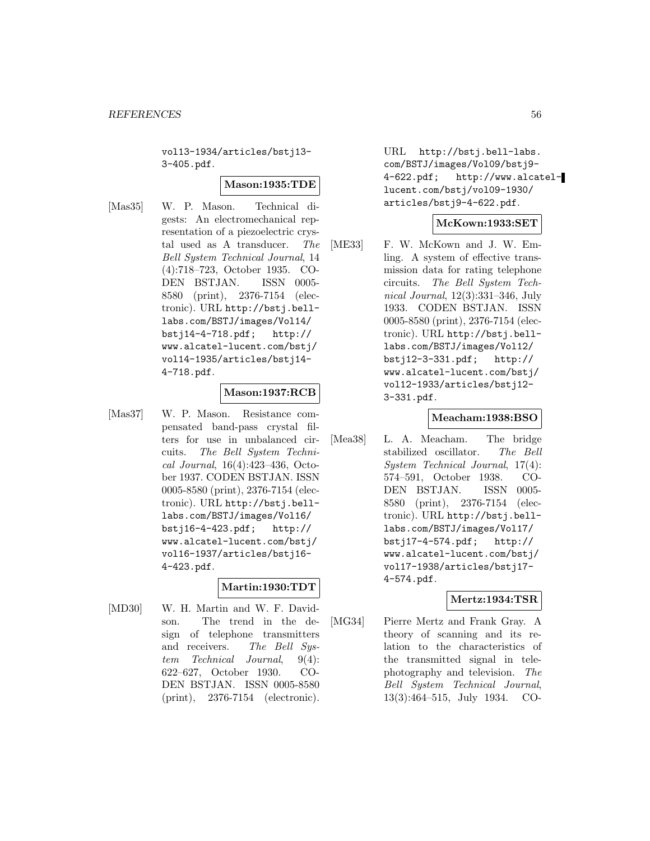vol13-1934/articles/bstj13- 3-405.pdf.

#### **Mason:1935:TDE**

[Mas35] W. P. Mason. Technical digests: An electromechanical representation of a piezoelectric crystal used as A transducer. The Bell System Technical Journal, 14 (4):718–723, October 1935. CO-DEN BSTJAN. ISSN 0005- 8580 (print), 2376-7154 (electronic). URL http://bstj.belllabs.com/BSTJ/images/Vol14/ bstj14-4-718.pdf; http:// www.alcatel-lucent.com/bstj/ vol14-1935/articles/bstj14- 4-718.pdf.

### **Mason:1937:RCB**

[Mas37] W. P. Mason. Resistance compensated band-pass crystal filters for use in unbalanced circuits. The Bell System Technical Journal, 16(4):423–436, October 1937. CODEN BSTJAN. ISSN 0005-8580 (print), 2376-7154 (electronic). URL http://bstj.belllabs.com/BSTJ/images/Vol16/ bstj16-4-423.pdf; http:// www.alcatel-lucent.com/bstj/ vol16-1937/articles/bstj16- 4-423.pdf.

## **Martin:1930:TDT**

[MD30] W. H. Martin and W. F. Davidson. The trend in the design of telephone transmitters and receivers. The Bell Sustem Technical Journal, 9(4): 622–627, October 1930. CO-DEN BSTJAN. ISSN 0005-8580 (print), 2376-7154 (electronic).

URL http://bstj.bell-labs. com/BSTJ/images/Vol09/bstj9- 4-622.pdf; http://www.alcatellucent.com/bstj/vol09-1930/ articles/bstj9-4-622.pdf.

#### **McKown:1933:SET**

[ME33] F. W. McKown and J. W. Emling. A system of effective transmission data for rating telephone circuits. The Bell System Technical Journal, 12(3):331–346, July 1933. CODEN BSTJAN. ISSN 0005-8580 (print), 2376-7154 (electronic). URL http://bstj.belllabs.com/BSTJ/images/Vol12/ bstj12-3-331.pdf; http:// www.alcatel-lucent.com/bstj/ vol12-1933/articles/bstj12- 3-331.pdf.

### **Meacham:1938:BSO**

[Mea38] L. A. Meacham. The bridge stabilized oscillator. The Bell System Technical Journal, 17(4): 574–591, October 1938. CO-DEN BSTJAN. ISSN 0005- 8580 (print), 2376-7154 (electronic). URL http://bstj.belllabs.com/BSTJ/images/Vol17/ bstj17-4-574.pdf; http:// www.alcatel-lucent.com/bstj/ vol17-1938/articles/bstj17- 4-574.pdf.

#### **Mertz:1934:TSR**

[MG34] Pierre Mertz and Frank Gray. A theory of scanning and its relation to the characteristics of the transmitted signal in telephotography and television. The Bell System Technical Journal, 13(3):464–515, July 1934. CO-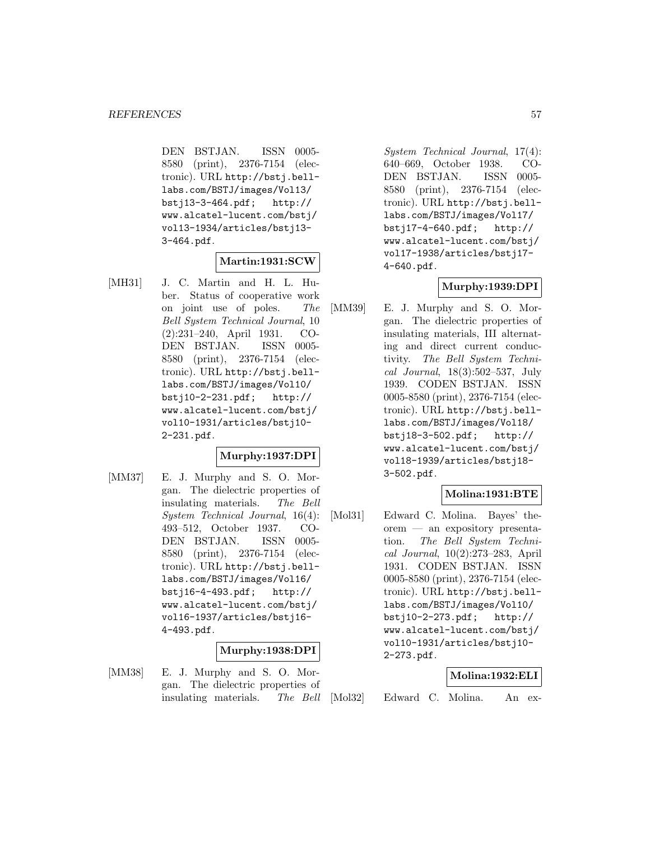DEN BSTJAN. ISSN 0005- 8580 (print), 2376-7154 (electronic). URL http://bstj.belllabs.com/BSTJ/images/Vol13/ bstj13-3-464.pdf; http:// www.alcatel-lucent.com/bstj/ vol13-1934/articles/bstj13- 3-464.pdf.

#### **Martin:1931:SCW**

[MH31] J. C. Martin and H. L. Huber. Status of cooperative work on joint use of poles. The Bell System Technical Journal, 10 (2):231–240, April 1931. CO-DEN BSTJAN. ISSN 0005- 8580 (print), 2376-7154 (electronic). URL http://bstj.belllabs.com/BSTJ/images/Vol10/ bstj10-2-231.pdf; http:// www.alcatel-lucent.com/bstj/ vol10-1931/articles/bstj10- 2-231.pdf.

#### **Murphy:1937:DPI**

[MM37] E. J. Murphy and S. O. Morgan. The dielectric properties of insulating materials. The Bell System Technical Journal, 16(4): 493–512, October 1937. CO-DEN BSTJAN. ISSN 0005- 8580 (print), 2376-7154 (electronic). URL http://bstj.belllabs.com/BSTJ/images/Vol16/ bstj16-4-493.pdf; http:// www.alcatel-lucent.com/bstj/ vol16-1937/articles/bstj16- 4-493.pdf.

#### **Murphy:1938:DPI**

[MM38] E. J. Murphy and S. O. Morgan. The dielectric properties of insulating materials. The Bell

System Technical Journal, 17(4): 640–669, October 1938. CO-DEN BSTJAN. ISSN 0005- 8580 (print), 2376-7154 (electronic). URL http://bstj.belllabs.com/BSTJ/images/Vol17/ bstj17-4-640.pdf; http:// www.alcatel-lucent.com/bstj/ vol17-1938/articles/bstj17- 4-640.pdf.

### **Murphy:1939:DPI**

[MM39] E. J. Murphy and S. O. Morgan. The dielectric properties of insulating materials, III alternating and direct current conductivity. The Bell System Technical Journal, 18(3):502–537, July 1939. CODEN BSTJAN. ISSN 0005-8580 (print), 2376-7154 (electronic). URL http://bstj.belllabs.com/BSTJ/images/Vol18/ bstj18-3-502.pdf; http:// www.alcatel-lucent.com/bstj/ vol18-1939/articles/bstj18- 3-502.pdf.

## **Molina:1931:BTE**

[Mol31] Edward C. Molina. Bayes' theorem — an expository presentation. The Bell System Technical Journal, 10(2):273–283, April 1931. CODEN BSTJAN. ISSN 0005-8580 (print), 2376-7154 (electronic). URL http://bstj.belllabs.com/BSTJ/images/Vol10/ bstj10-2-273.pdf; http:// www.alcatel-lucent.com/bstj/ vol10-1931/articles/bstj10- 2-273.pdf.

#### **Molina:1932:ELI**

[Mol32] Edward C. Molina. An ex-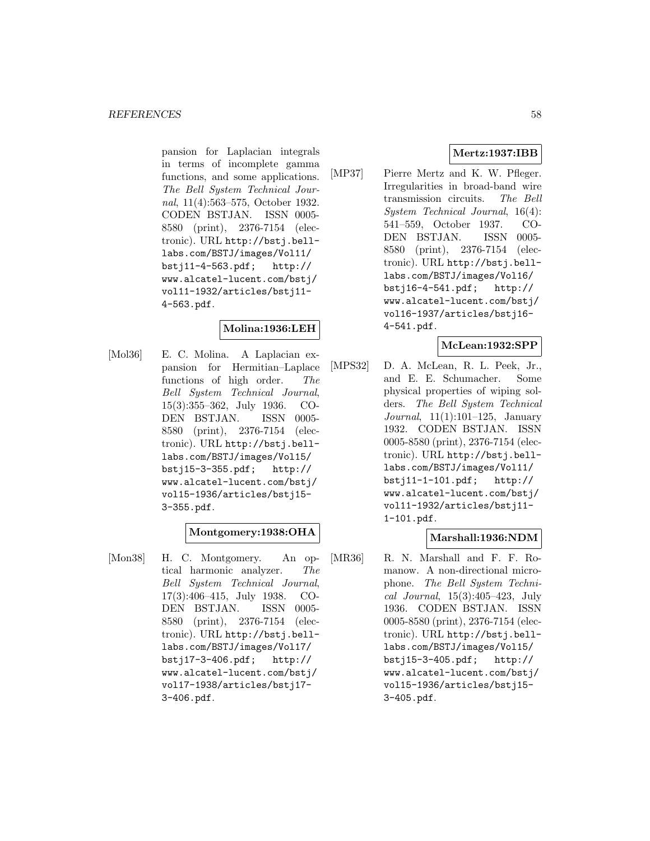pansion for Laplacian integrals in terms of incomplete gamma functions, and some applications. The Bell System Technical Journal, 11(4):563–575, October 1932. CODEN BSTJAN. ISSN 0005- 8580 (print), 2376-7154 (electronic). URL http://bstj.belllabs.com/BSTJ/images/Vol11/ bstj11-4-563.pdf; http:// www.alcatel-lucent.com/bstj/ vol11-1932/articles/bstj11- 4-563.pdf.

## **Molina:1936:LEH**

[Mol36] E. C. Molina. A Laplacian expansion for Hermitian–Laplace functions of high order. The Bell System Technical Journal, 15(3):355–362, July 1936. CO-DEN BSTJAN. ISSN 0005- 8580 (print), 2376-7154 (electronic). URL http://bstj.belllabs.com/BSTJ/images/Vol15/ bstj15-3-355.pdf; http:// www.alcatel-lucent.com/bstj/ vol15-1936/articles/bstj15- 3-355.pdf.

#### **Montgomery:1938:OHA**

[Mon38] H. C. Montgomery. An optical harmonic analyzer. The Bell System Technical Journal, 17(3):406–415, July 1938. CO-DEN BSTJAN. ISSN 0005- 8580 (print), 2376-7154 (electronic). URL http://bstj.belllabs.com/BSTJ/images/Vol17/ bstj17-3-406.pdf; http:// www.alcatel-lucent.com/bstj/ vol17-1938/articles/bstj17- 3-406.pdf.

## **Mertz:1937:IBB**

[MP37] Pierre Mertz and K. W. Pfleger. Irregularities in broad-band wire transmission circuits. The Bell System Technical Journal, 16(4): 541–559, October 1937. CO-DEN BSTJAN. ISSN 0005- 8580 (print), 2376-7154 (electronic). URL http://bstj.belllabs.com/BSTJ/images/Vol16/ bstj16-4-541.pdf; http:// www.alcatel-lucent.com/bstj/ vol16-1937/articles/bstj16- 4-541.pdf.

### **McLean:1932:SPP**

[MPS32] D. A. McLean, R. L. Peek, Jr., and E. E. Schumacher. Some physical properties of wiping solders. The Bell System Technical Journal, 11(1):101–125, January 1932. CODEN BSTJAN. ISSN 0005-8580 (print), 2376-7154 (electronic). URL http://bstj.belllabs.com/BSTJ/images/Vol11/ bstj11-1-101.pdf; http:// www.alcatel-lucent.com/bstj/ vol11-1932/articles/bstj11- 1-101.pdf.

## **Marshall:1936:NDM**

[MR36] R. N. Marshall and F. F. Romanow. A non-directional microphone. The Bell System Technical Journal, 15(3):405–423, July 1936. CODEN BSTJAN. ISSN 0005-8580 (print), 2376-7154 (electronic). URL http://bstj.belllabs.com/BSTJ/images/Vol15/ bstj15-3-405.pdf; http:// www.alcatel-lucent.com/bstj/ vol15-1936/articles/bstj15- 3-405.pdf.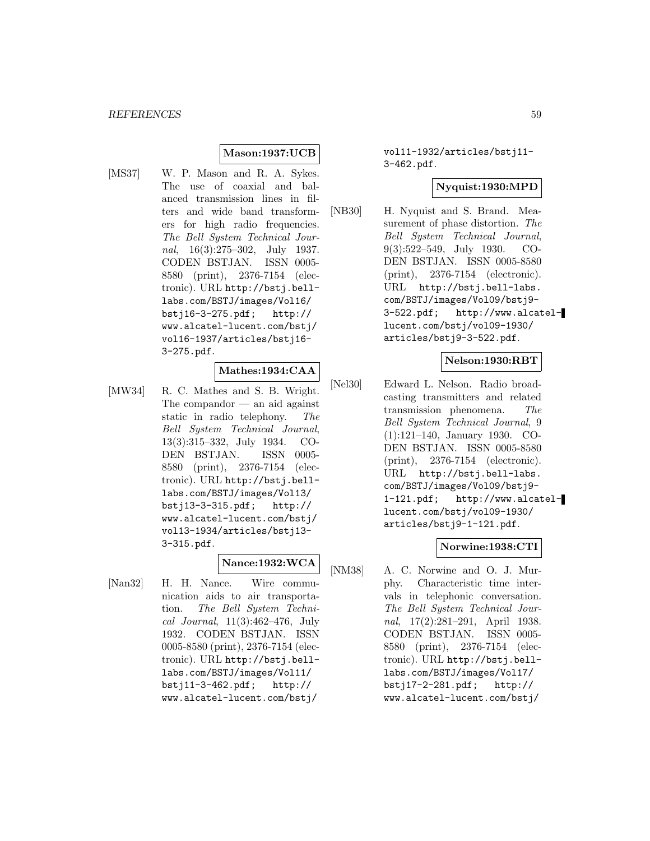## **Mason:1937:UCB**

[MS37] W. P. Mason and R. A. Sykes. The use of coaxial and balanced transmission lines in filters and wide band transformers for high radio frequencies. The Bell System Technical Journal, 16(3):275–302, July 1937. CODEN BSTJAN. ISSN 0005- 8580 (print), 2376-7154 (electronic). URL http://bstj.belllabs.com/BSTJ/images/Vol16/ bstj16-3-275.pdf; http:// www.alcatel-lucent.com/bstj/ vol16-1937/articles/bstj16- 3-275.pdf.

## **Mathes:1934:CAA**

[MW34] R. C. Mathes and S. B. Wright. The compandor — an aid against static in radio telephony. The Bell System Technical Journal, 13(3):315–332, July 1934. CO-DEN BSTJAN. ISSN 0005- 8580 (print), 2376-7154 (electronic). URL http://bstj.belllabs.com/BSTJ/images/Vol13/ bstj13-3-315.pdf; http:// www.alcatel-lucent.com/bstj/ vol13-1934/articles/bstj13- 3-315.pdf.

#### **Nance:1932:WCA**

[Nan32] H. H. Nance. Wire communication aids to air transportation. The Bell System Technical Journal, 11(3):462–476, July 1932. CODEN BSTJAN. ISSN 0005-8580 (print), 2376-7154 (electronic). URL http://bstj.belllabs.com/BSTJ/images/Vol11/ bstj11-3-462.pdf; http:// www.alcatel-lucent.com/bstj/

vol11-1932/articles/bstj11- 3-462.pdf.

### **Nyquist:1930:MPD**

[NB30] H. Nyquist and S. Brand. Measurement of phase distortion. The Bell System Technical Journal, 9(3):522–549, July 1930. CO-DEN BSTJAN. ISSN 0005-8580 (print), 2376-7154 (electronic). URL http://bstj.bell-labs. com/BSTJ/images/Vol09/bstj9- 3-522.pdf; http://www.alcatellucent.com/bstj/vol09-1930/ articles/bstj9-3-522.pdf.

#### **Nelson:1930:RBT**

[Nel30] Edward L. Nelson. Radio broadcasting transmitters and related transmission phenomena. The Bell System Technical Journal, 9 (1):121–140, January 1930. CO-DEN BSTJAN. ISSN 0005-8580 (print), 2376-7154 (electronic). URL http://bstj.bell-labs. com/BSTJ/images/Vol09/bstj9- 1-121.pdf; http://www.alcatellucent.com/bstj/vol09-1930/ articles/bstj9-1-121.pdf.

### **Norwine:1938:CTI**

[NM38] A. C. Norwine and O. J. Murphy. Characteristic time intervals in telephonic conversation. The Bell System Technical Journal, 17(2):281–291, April 1938. CODEN BSTJAN. ISSN 0005- 8580 (print), 2376-7154 (electronic). URL http://bstj.belllabs.com/BSTJ/images/Vol17/ bstj17-2-281.pdf; http:// www.alcatel-lucent.com/bstj/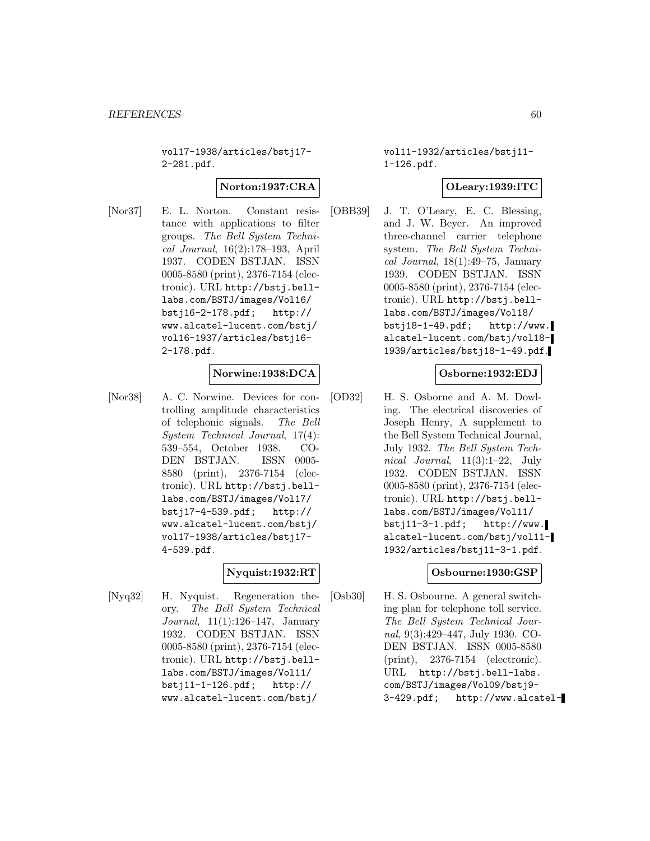vol17-1938/articles/bstj17- 2-281.pdf.

#### **Norton:1937:CRA**

[Nor37] E. L. Norton. Constant resistance with applications to filter groups. The Bell System Technical Journal, 16(2):178–193, April 1937. CODEN BSTJAN. ISSN 0005-8580 (print), 2376-7154 (electronic). URL http://bstj.belllabs.com/BSTJ/images/Vol16/ bstj16-2-178.pdf; http:// www.alcatel-lucent.com/bstj/ vol16-1937/articles/bstj16- 2-178.pdf.

#### **Norwine:1938:DCA**

[Nor38] A. C. Norwine. Devices for controlling amplitude characteristics of telephonic signals. The Bell System Technical Journal, 17(4): 539–554, October 1938. CO-DEN BSTJAN. ISSN 0005- 8580 (print), 2376-7154 (electronic). URL http://bstj.belllabs.com/BSTJ/images/Vol17/ bstj17-4-539.pdf; http:// www.alcatel-lucent.com/bstj/ vol17-1938/articles/bstj17- 4-539.pdf.

## **Nyquist:1932:RT**

[Nyq32] H. Nyquist. Regeneration theory. The Bell System Technical Journal, 11(1):126–147, January 1932. CODEN BSTJAN. ISSN 0005-8580 (print), 2376-7154 (electronic). URL http://bstj.belllabs.com/BSTJ/images/Vol11/ bstj11-1-126.pdf; http:// www.alcatel-lucent.com/bstj/

vol11-1932/articles/bstj11- 1-126.pdf.

### **OLeary:1939:ITC**

[OBB39] J. T. O'Leary, E. C. Blessing, and J. W. Beyer. An improved three-channel carrier telephone system. The Bell System Technical Journal,  $18(1):49-75$ , January 1939. CODEN BSTJAN. ISSN 0005-8580 (print), 2376-7154 (electronic). URL http://bstj.belllabs.com/BSTJ/images/Vol18/ bstj18-1-49.pdf; http://www. alcatel-lucent.com/bstj/vol18- 1939/articles/bstj18-1-49.pdf.

#### **Osborne:1932:EDJ**

[OD32] H. S. Osborne and A. M. Dowling. The electrical discoveries of Joseph Henry, A supplement to the Bell System Technical Journal, July 1932. The Bell System Technical Journal, 11(3):1–22, July 1932. CODEN BSTJAN. ISSN 0005-8580 (print), 2376-7154 (electronic). URL http://bstj.belllabs.com/BSTJ/images/Vol11/  $bsti11-3-1.pdf;$  http://www. alcatel-lucent.com/bstj/vol11- 1932/articles/bstj11-3-1.pdf.

### **Osbourne:1930:GSP**

[Osb30] H. S. Osbourne. A general switching plan for telephone toll service. The Bell System Technical Journal, 9(3):429–447, July 1930. CO-DEN BSTJAN. ISSN 0005-8580 (print), 2376-7154 (electronic). URL http://bstj.bell-labs. com/BSTJ/images/Vol09/bstj9- 3-429.pdf; http://www.alcatel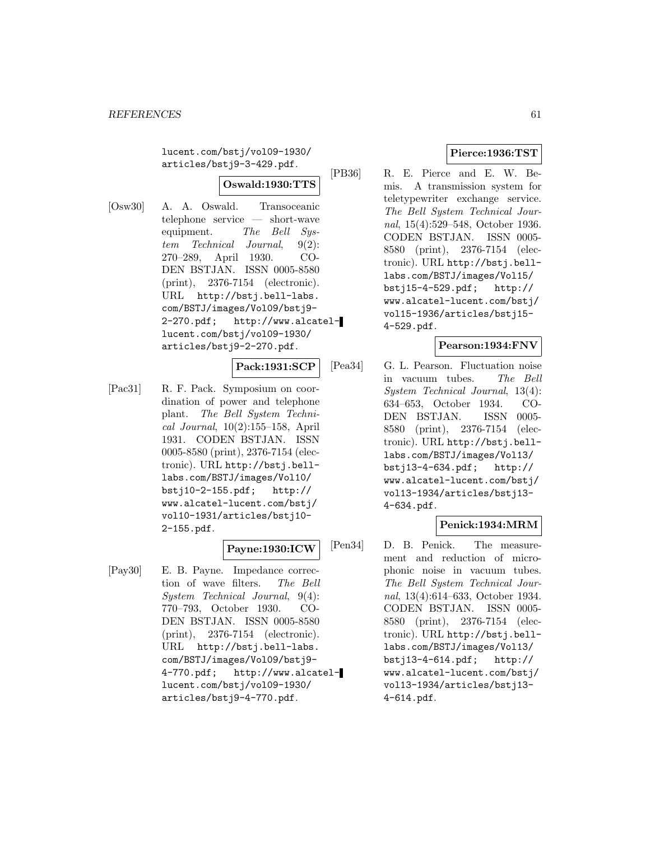lucent.com/bstj/vol09-1930/ articles/bstj9-3-429.pdf.

### **Oswald:1930:TTS**

[Osw30] A. A. Oswald. Transoceanic telephone service — short-wave equipment. The Bell System Technical Journal, 9(2): 270–289, April 1930. CO-DEN BSTJAN. ISSN 0005-8580 (print), 2376-7154 (electronic). URL http://bstj.bell-labs. com/BSTJ/images/Vol09/bstj9- 2-270.pdf; http://www.alcatellucent.com/bstj/vol09-1930/ articles/bstj9-2-270.pdf.

#### **Pack:1931:SCP**

[Pac31] R. F. Pack. Symposium on coordination of power and telephone plant. The Bell System Technical Journal, 10(2):155–158, April 1931. CODEN BSTJAN. ISSN 0005-8580 (print), 2376-7154 (electronic). URL http://bstj.belllabs.com/BSTJ/images/Vol10/ bstj10-2-155.pdf; http:// www.alcatel-lucent.com/bstj/ vol10-1931/articles/bstj10- 2-155.pdf.

## **Payne:1930:ICW**

[Pay30] E. B. Payne. Impedance correction of wave filters. The Bell System Technical Journal, 9(4): 770–793, October 1930. CO-DEN BSTJAN. ISSN 0005-8580 (print), 2376-7154 (electronic). URL http://bstj.bell-labs. com/BSTJ/images/Vol09/bstj9- 4-770.pdf; http://www.alcatellucent.com/bstj/vol09-1930/ articles/bstj9-4-770.pdf.

## **Pierce:1936:TST**

[PB36] R. E. Pierce and E. W. Bemis. A transmission system for teletypewriter exchange service. The Bell System Technical Journal, 15(4):529–548, October 1936. CODEN BSTJAN. ISSN 0005- 8580 (print), 2376-7154 (electronic). URL http://bstj.belllabs.com/BSTJ/images/Vol15/ bstj15-4-529.pdf; http:// www.alcatel-lucent.com/bstj/ vol15-1936/articles/bstj15- 4-529.pdf.

## **Pearson:1934:FNV**

[Pea34] G. L. Pearson. Fluctuation noise in vacuum tubes. The Bell System Technical Journal, 13(4): 634–653, October 1934. CO-DEN BSTJAN. ISSN 0005- 8580 (print), 2376-7154 (electronic). URL http://bstj.belllabs.com/BSTJ/images/Vol13/ bstj13-4-634.pdf; http:// www.alcatel-lucent.com/bstj/ vol13-1934/articles/bstj13- 4-634.pdf.

# **Penick:1934:MRM**

[Pen34] D. B. Penick. The measurement and reduction of microphonic noise in vacuum tubes. The Bell System Technical Journal, 13(4):614–633, October 1934. CODEN BSTJAN. ISSN 0005- 8580 (print), 2376-7154 (electronic). URL http://bstj.belllabs.com/BSTJ/images/Vol13/ bstj13-4-614.pdf; http:// www.alcatel-lucent.com/bstj/ vol13-1934/articles/bstj13- 4-614.pdf.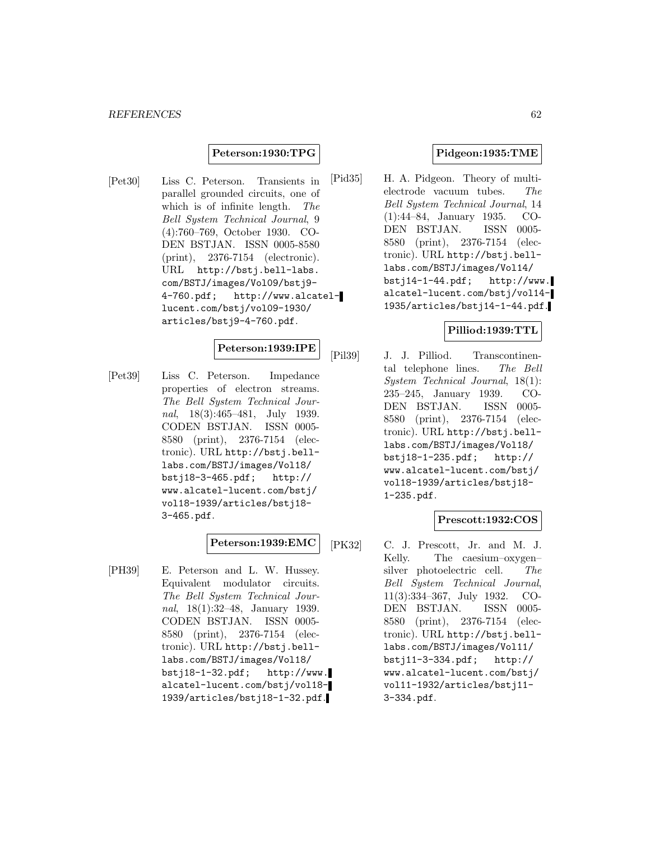#### **Peterson:1930:TPG**

[Pet30] Liss C. Peterson. Transients in parallel grounded circuits, one of which is of infinite length. The Bell System Technical Journal, 9 (4):760–769, October 1930. CO-DEN BSTJAN. ISSN 0005-8580 (print), 2376-7154 (electronic). URL http://bstj.bell-labs. com/BSTJ/images/Vol09/bstj9- 4-760.pdf; http://www.alcatellucent.com/bstj/vol09-1930/ articles/bstj9-4-760.pdf.

### **Peterson:1939:IPE**

[Pet39] Liss C. Peterson. Impedance properties of electron streams. The Bell System Technical Journal, 18(3):465–481, July 1939. CODEN BSTJAN. ISSN 0005- 8580 (print), 2376-7154 (electronic). URL http://bstj.belllabs.com/BSTJ/images/Vol18/ bstj18-3-465.pdf; http:// www.alcatel-lucent.com/bstj/ vol18-1939/articles/bstj18- 3-465.pdf.

### **Peterson:1939:EMC**

[PH39] E. Peterson and L. W. Hussey. Equivalent modulator circuits. The Bell System Technical Journal, 18(1):32–48, January 1939. CODEN BSTJAN. ISSN 0005- 8580 (print), 2376-7154 (electronic). URL http://bstj.belllabs.com/BSTJ/images/Vol18/ bstj18-1-32.pdf; http://www. alcatel-lucent.com/bstj/vol18- 1939/articles/bstj18-1-32.pdf.

#### **Pidgeon:1935:TME**

[Pid35] H. A. Pidgeon. Theory of multielectrode vacuum tubes. The Bell System Technical Journal, 14 (1):44–84, January 1935. CO-DEN BSTJAN. ISSN 0005- 8580 (print), 2376-7154 (electronic). URL http://bstj.belllabs.com/BSTJ/images/Vol14/  $bsti14-1-44.pdf;$  http://www. alcatel-lucent.com/bstj/vol14- 1935/articles/bstj14-1-44.pdf.

#### **Pilliod:1939:TTL**

[Pil39] J. J. Pilliod. Transcontinental telephone lines. The Bell System Technical Journal, 18(1): 235–245, January 1939. CO-DEN BSTJAN. ISSN 0005- 8580 (print), 2376-7154 (electronic). URL http://bstj.belllabs.com/BSTJ/images/Vol18/ bstj18-1-235.pdf; http:// www.alcatel-lucent.com/bstj/ vol18-1939/articles/bstj18- 1-235.pdf.

### **Prescott:1932:COS**

[PK32] C. J. Prescott, Jr. and M. J. Kelly. The caesium–oxygen– silver photoelectric cell. The Bell System Technical Journal, 11(3):334–367, July 1932. CO-DEN BSTJAN. ISSN 0005- 8580 (print), 2376-7154 (electronic). URL http://bstj.belllabs.com/BSTJ/images/Vol11/<br>bstj11-3-334.pdf; http://  $bstj11-3-334.pdf;$ www.alcatel-lucent.com/bstj/ vol11-1932/articles/bstj11- 3-334.pdf.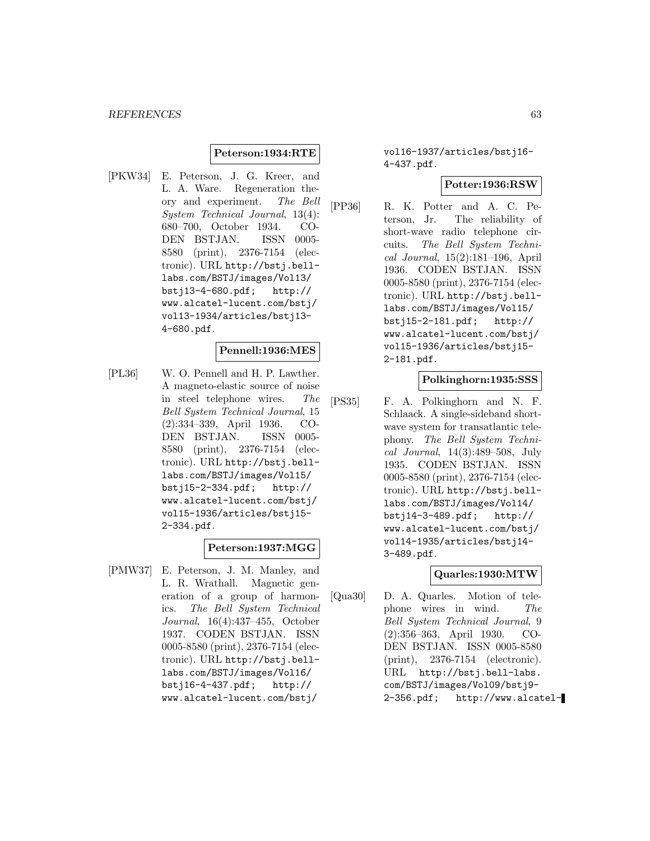#### **Peterson:1934:RTE**

[PKW34] E. Peterson, J. G. Kreer, and L. A. Ware. Regeneration theory and experiment. The Bell System Technical Journal, 13(4): 680–700, October 1934. CO-DEN BSTJAN. ISSN 0005- 8580 (print), 2376-7154 (electronic). URL http://bstj.belllabs.com/BSTJ/images/Vol13/ bstj13-4-680.pdf; http:// www.alcatel-lucent.com/bstj/ vol13-1934/articles/bstj13- 4-680.pdf.

#### **Pennell:1936:MES**

[PL36] W. O. Pennell and H. P. Lawther. A magneto-elastic source of noise in steel telephone wires. The Bell System Technical Journal, 15 (2):334–339, April 1936. CO-DEN BSTJAN. ISSN 0005- 8580 (print), 2376-7154 (electronic). URL http://bstj.belllabs.com/BSTJ/images/Vol15/ bstj15-2-334.pdf; http:// www.alcatel-lucent.com/bstj/ vol15-1936/articles/bstj15- 2-334.pdf.

#### **Peterson:1937:MGG**

[PMW37] E. Peterson, J. M. Manley, and L. R. Wrathall. Magnetic generation of a group of harmonics. The Bell System Technical Journal, 16(4):437–455, October 1937. CODEN BSTJAN. ISSN 0005-8580 (print), 2376-7154 (electronic). URL http://bstj.belllabs.com/BSTJ/images/Vol16/ bstj16-4-437.pdf; http:// www.alcatel-lucent.com/bstj/

vol16-1937/articles/bstj16- 4-437.pdf.

#### **Potter:1936:RSW**

[PP36] R. K. Potter and A. C. Peterson, Jr. The reliability of short-wave radio telephone circuits. The Bell System Technical Journal, 15(2):181–196, April 1936. CODEN BSTJAN. ISSN 0005-8580 (print), 2376-7154 (electronic). URL http://bstj.belllabs.com/BSTJ/images/Vol15/ bstj15-2-181.pdf; http:// www.alcatel-lucent.com/bstj/ vol15-1936/articles/bstj15- 2-181.pdf.

#### **Polkinghorn:1935:SSS**

[PS35] F. A. Polkinghorn and N. F. Schlaack. A single-sideband shortwave system for transatlantic telephony. The Bell System Technical Journal, 14(3):489–508, July 1935. CODEN BSTJAN. ISSN 0005-8580 (print), 2376-7154 (electronic). URL http://bstj.belllabs.com/BSTJ/images/Vol14/ bstj14-3-489.pdf; http:// www.alcatel-lucent.com/bstj/ vol14-1935/articles/bstj14- 3-489.pdf.

#### **Quarles:1930:MTW**

[Qua30] D. A. Quarles. Motion of telephone wires in wind. The Bell System Technical Journal, 9 (2):356–363, April 1930. CO-DEN BSTJAN. ISSN 0005-8580 (print), 2376-7154 (electronic). URL http://bstj.bell-labs. com/BSTJ/images/Vol09/bstj9- 2-356.pdf; http://www.alcatel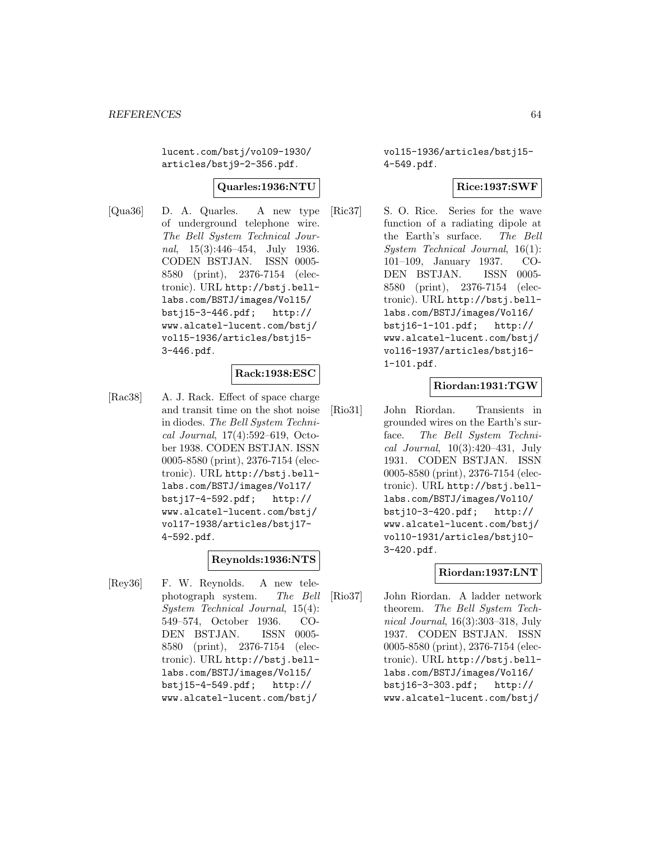lucent.com/bstj/vol09-1930/ articles/bstj9-2-356.pdf.

#### **Quarles:1936:NTU**

[Qua36] D. A. Quarles. A new type of underground telephone wire. The Bell System Technical Journal,  $15(3):446-454$ , July 1936. CODEN BSTJAN. ISSN 0005- 8580 (print), 2376-7154 (electronic). URL http://bstj.belllabs.com/BSTJ/images/Vol15/ bstj15-3-446.pdf; http:// www.alcatel-lucent.com/bstj/ vol15-1936/articles/bstj15- 3-446.pdf.

#### **Rack:1938:ESC**

[Rac38] A. J. Rack. Effect of space charge and transit time on the shot noise in diodes. The Bell System Technical Journal, 17(4):592–619, October 1938. CODEN BSTJAN. ISSN 0005-8580 (print), 2376-7154 (electronic). URL http://bstj.belllabs.com/BSTJ/images/Vol17/ bstj17-4-592.pdf; http:// www.alcatel-lucent.com/bstj/ vol17-1938/articles/bstj17- 4-592.pdf.

## **Reynolds:1936:NTS**

[Rey36] F. W. Reynolds. A new telephotograph system. The Bell System Technical Journal, 15(4): 549–574, October 1936. CO-DEN BSTJAN. ISSN 0005- 8580 (print), 2376-7154 (electronic). URL http://bstj.belllabs.com/BSTJ/images/Vol15/ bstj15-4-549.pdf; http:// www.alcatel-lucent.com/bstj/

vol15-1936/articles/bstj15- 4-549.pdf.

### **Rice:1937:SWF**

[Ric37] S. O. Rice. Series for the wave function of a radiating dipole at the Earth's surface. The Bell System Technical Journal, 16(1): 101–109, January 1937. CO-DEN BSTJAN. ISSN 0005- 8580 (print), 2376-7154 (electronic). URL http://bstj.belllabs.com/BSTJ/images/Vol16/ bstj16-1-101.pdf; http:// www.alcatel-lucent.com/bstj/ vol16-1937/articles/bstj16- 1-101.pdf.

#### **Riordan:1931:TGW**

[Rio31] John Riordan. Transients in grounded wires on the Earth's surface. The Bell System Technical Journal, 10(3):420–431, July 1931. CODEN BSTJAN. ISSN 0005-8580 (print), 2376-7154 (electronic). URL http://bstj.belllabs.com/BSTJ/images/Vol10/ bstj10-3-420.pdf; http:// www.alcatel-lucent.com/bstj/ vol10-1931/articles/bstj10- 3-420.pdf.

#### **Riordan:1937:LNT**

[Rio37] John Riordan. A ladder network theorem. The Bell System Technical Journal, 16(3):303–318, July 1937. CODEN BSTJAN. ISSN 0005-8580 (print), 2376-7154 (electronic). URL http://bstj.belllabs.com/BSTJ/images/Vol16/ bstj16-3-303.pdf; http:// www.alcatel-lucent.com/bstj/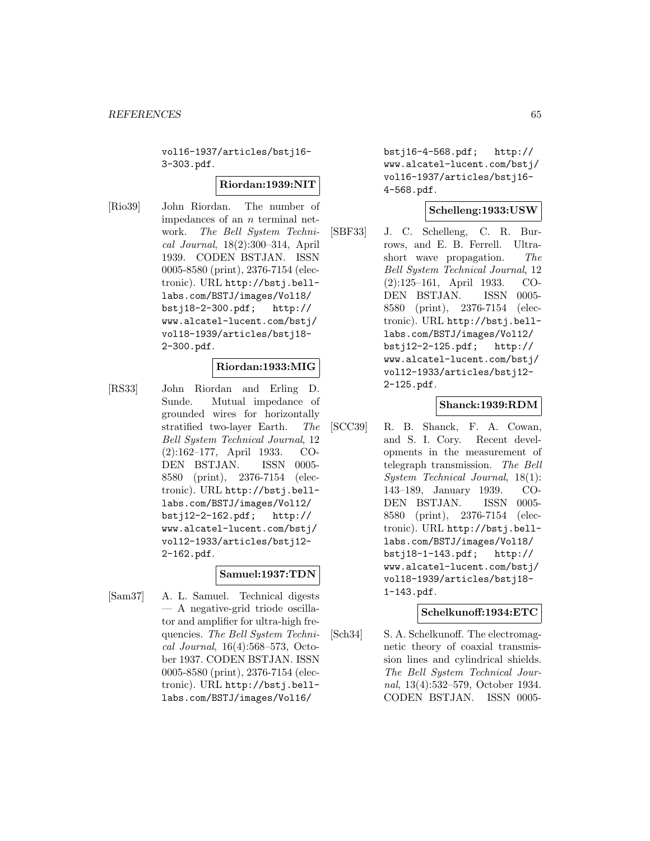vol16-1937/articles/bstj16- 3-303.pdf.

#### **Riordan:1939:NIT**

[Rio39] John Riordan. The number of impedances of an n terminal network. The Bell System Technical Journal, 18(2):300–314, April 1939. CODEN BSTJAN. ISSN 0005-8580 (print), 2376-7154 (electronic). URL http://bstj.belllabs.com/BSTJ/images/Vol18/ bstj18-2-300.pdf; http:// www.alcatel-lucent.com/bstj/ vol18-1939/articles/bstj18- 2-300.pdf.

#### **Riordan:1933:MIG**

[RS33] John Riordan and Erling D. Sunde. Mutual impedance of grounded wires for horizontally stratified two-layer Earth. The Bell System Technical Journal, 12 (2):162–177, April 1933. CO-DEN BSTJAN. ISSN 0005- 8580 (print), 2376-7154 (electronic). URL http://bstj.belllabs.com/BSTJ/images/Vol12/ bstj12-2-162.pdf; http:// www.alcatel-lucent.com/bstj/ vol12-1933/articles/bstj12- 2-162.pdf.

#### **Samuel:1937:TDN**

[Sam37] A. L. Samuel. Technical digests — A negative-grid triode oscillator and amplifier for ultra-high frequencies. The Bell System Technical Journal, 16(4):568–573, October 1937. CODEN BSTJAN. ISSN 0005-8580 (print), 2376-7154 (electronic). URL http://bstj.belllabs.com/BSTJ/images/Vol16/

bstj16-4-568.pdf; http:// www.alcatel-lucent.com/bstj/ vol16-1937/articles/bstj16- 4-568.pdf.

### **Schelleng:1933:USW**

[SBF33] J. C. Schelleng, C. R. Burrows, and E. B. Ferrell. Ultrashort wave propagation. The Bell System Technical Journal, 12 (2):125–161, April 1933. CO-DEN BSTJAN. ISSN 0005- 8580 (print), 2376-7154 (electronic). URL http://bstj.belllabs.com/BSTJ/images/Vol12/ bstj12-2-125.pdf; http:// www.alcatel-lucent.com/bstj/ vol12-1933/articles/bstj12- 2-125.pdf.

#### **Shanck:1939:RDM**

[SCC39] R. B. Shanck, F. A. Cowan, and S. I. Cory. Recent developments in the measurement of telegraph transmission. The Bell System Technical Journal, 18(1): 143–189, January 1939. CO-DEN BSTJAN. ISSN 0005- 8580 (print), 2376-7154 (electronic). URL http://bstj.belllabs.com/BSTJ/images/Vol18/ bstj18-1-143.pdf; http:// www.alcatel-lucent.com/bstj/ vol18-1939/articles/bstj18- 1-143.pdf.

#### **Schelkunoff:1934:ETC**

[Sch34] S. A. Schelkunoff. The electromagnetic theory of coaxial transmission lines and cylindrical shields. The Bell System Technical Journal, 13(4):532–579, October 1934. CODEN BSTJAN. ISSN 0005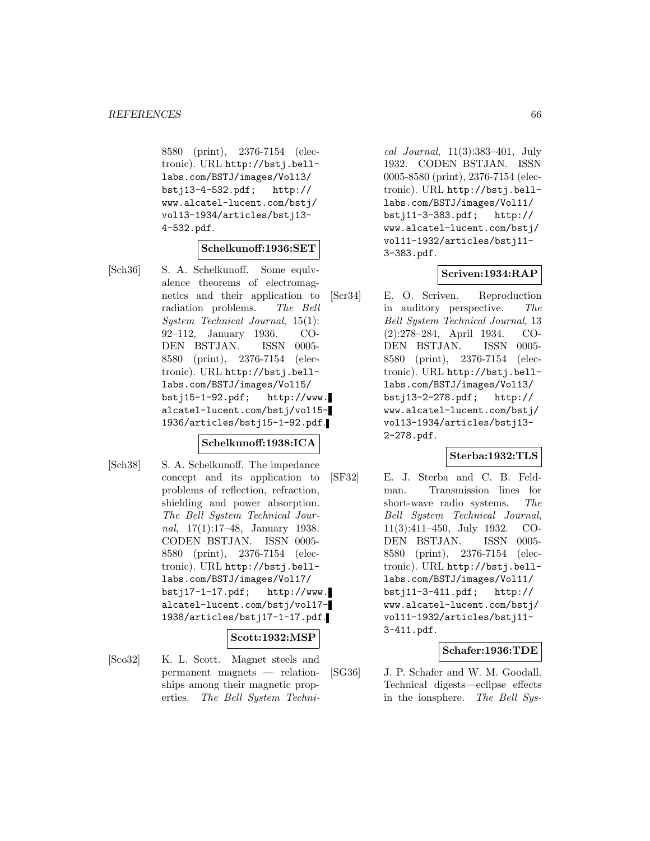8580 (print), 2376-7154 (electronic). URL http://bstj.belllabs.com/BSTJ/images/Vol13/ bstj13-4-532.pdf; http:// www.alcatel-lucent.com/bstj/ vol13-1934/articles/bstj13- 4-532.pdf.

### **Schelkunoff:1936:SET**

[Sch36] S. A. Schelkunoff. Some equivalence theorems of electromagnetics and their application to radiation problems. The Bell System Technical Journal, 15(1): 92–112, January 1936. CO-DEN BSTJAN. ISSN 0005- 8580 (print), 2376-7154 (electronic). URL http://bstj.belllabs.com/BSTJ/images/Vol15/ bstj15-1-92.pdf; http://www. alcatel-lucent.com/bstj/vol15- 1936/articles/bstj15-1-92.pdf.

#### **Schelkunoff:1938:ICA**

[Sch38] S. A. Schelkunoff. The impedance concept and its application to problems of reflection, refraction, shielding and power absorption. The Bell System Technical Journal, 17(1):17–48, January 1938. CODEN BSTJAN. ISSN 0005- 8580 (print), 2376-7154 (electronic). URL http://bstj.belllabs.com/BSTJ/images/Vol17/  $bstj17-1-17.pdf;$  http://www. alcatel-lucent.com/bstj/vol17- 1938/articles/bstj17-1-17.pdf.

#### **Scott:1932:MSP**

[Sco32] K. L. Scott. Magnet steels and permanent magnets — relationships among their magnetic properties. The Bell System Techni-

cal Journal, 11(3):383–401, July 1932. CODEN BSTJAN. ISSN 0005-8580 (print), 2376-7154 (electronic). URL http://bstj.belllabs.com/BSTJ/images/Vol11/ bstj11-3-383.pdf; http:// www.alcatel-lucent.com/bstj/ vol11-1932/articles/bstj11- 3-383.pdf.

#### **Scriven:1934:RAP**

[Scr34] E. O. Scriven. Reproduction in auditory perspective. The Bell System Technical Journal, 13 (2):278–284, April 1934. CO-DEN BSTJAN. ISSN 0005- 8580 (print), 2376-7154 (electronic). URL http://bstj.belllabs.com/BSTJ/images/Vol13/ bstj13-2-278.pdf; http:// www.alcatel-lucent.com/bstj/ vol13-1934/articles/bstj13- 2-278.pdf.

### **Sterba:1932:TLS**

[SF32] E. J. Sterba and C. B. Feldman. Transmission lines for short-wave radio systems. The Bell System Technical Journal, 11(3):411–450, July 1932. CO-DEN BSTJAN. ISSN 0005- 8580 (print), 2376-7154 (electronic). URL http://bstj.belllabs.com/BSTJ/images/Vol11/ bstj11-3-411.pdf; http:// www.alcatel-lucent.com/bstj/ vol11-1932/articles/bstj11- 3-411.pdf.

### **Schafer:1936:TDE**

[SG36] J. P. Schafer and W. M. Goodall. Technical digests—eclipse effects in the ionsphere. The Bell Sys-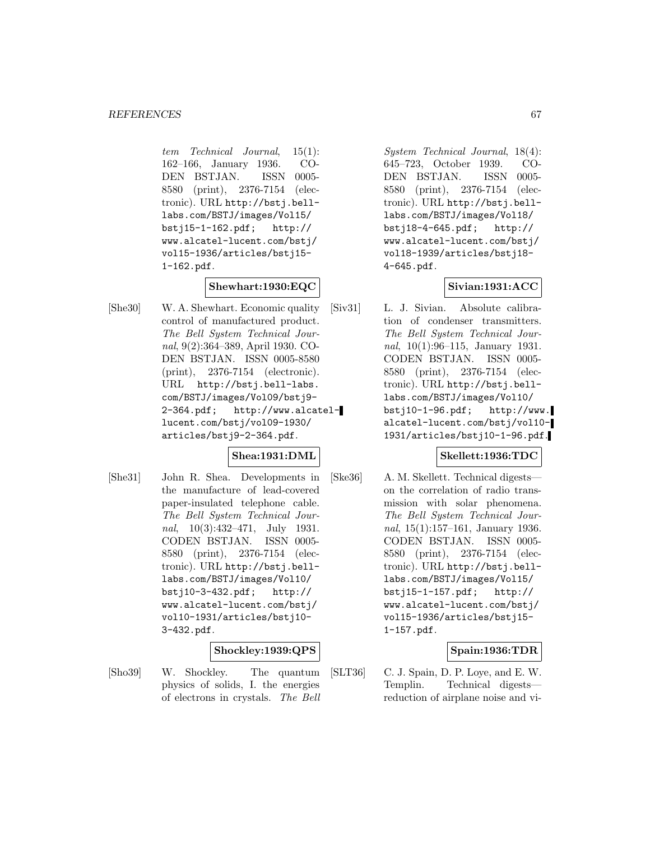tem Technical Journal, 15(1): 162–166, January 1936. CO-DEN BSTJAN. ISSN 0005- 8580 (print), 2376-7154 (electronic). URL http://bstj.belllabs.com/BSTJ/images/Vol15/ bstj15-1-162.pdf; http:// www.alcatel-lucent.com/bstj/ vol15-1936/articles/bstj15- 1-162.pdf.

## **Shewhart:1930:EQC**

[She30] W. A. Shewhart. Economic quality control of manufactured product. The Bell System Technical Journal, 9(2):364–389, April 1930. CO-DEN BSTJAN. ISSN 0005-8580 (print), 2376-7154 (electronic). URL http://bstj.bell-labs. com/BSTJ/images/Vol09/bstj9- 2-364.pdf; http://www.alcatellucent.com/bstj/vol09-1930/ articles/bstj9-2-364.pdf.

## **Shea:1931:DML**

[She31] John R. Shea. Developments in the manufacture of lead-covered paper-insulated telephone cable. The Bell System Technical Journal,  $10(3):432-471$ , July 1931. CODEN BSTJAN. ISSN 0005- 8580 (print), 2376-7154 (electronic). URL http://bstj.belllabs.com/BSTJ/images/Vol10/ bstj10-3-432.pdf; http:// www.alcatel-lucent.com/bstj/ vol10-1931/articles/bstj10- 3-432.pdf.

## **Shockley:1939:QPS**

[Sho39] W. Shockley. The quantum physics of solids, I. the energies of electrons in crystals. The Bell

System Technical Journal, 18(4): 645–723, October 1939. CO-DEN BSTJAN. ISSN 0005- 8580 (print), 2376-7154 (electronic). URL http://bstj.belllabs.com/BSTJ/images/Vol18/ bstj18-4-645.pdf; http:// www.alcatel-lucent.com/bstj/ vol18-1939/articles/bstj18- 4-645.pdf.

### **Sivian:1931:ACC**

[Siv31] L. J. Sivian. Absolute calibration of condenser transmitters. The Bell System Technical Journal, 10(1):96–115, January 1931. CODEN BSTJAN. ISSN 0005- 8580 (print), 2376-7154 (electronic). URL http://bstj.belllabs.com/BSTJ/images/Vol10/ bstj10-1-96.pdf; http://www. alcatel-lucent.com/bstj/vol10- 1931/articles/bstj10-1-96.pdf.

### **Skellett:1936:TDC**

[Ske36] A. M. Skellett. Technical digests on the correlation of radio transmission with solar phenomena. The Bell System Technical Journal, 15(1):157–161, January 1936. CODEN BSTJAN. ISSN 0005- 8580 (print), 2376-7154 (electronic). URL http://bstj.belllabs.com/BSTJ/images/Vol15/ bstj15-1-157.pdf; http:// www.alcatel-lucent.com/bstj/ vol15-1936/articles/bstj15- 1-157.pdf.

## **Spain:1936:TDR**

[SLT36] C. J. Spain, D. P. Loye, and E. W. Templin. Technical digests reduction of airplane noise and vi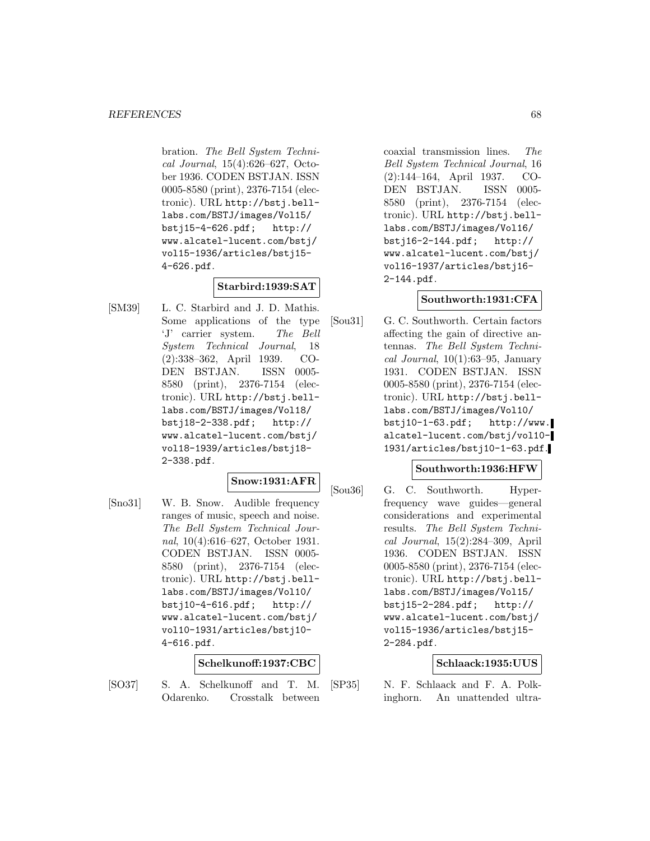bration. The Bell System Technical Journal, 15(4):626–627, October 1936. CODEN BSTJAN. ISSN 0005-8580 (print), 2376-7154 (electronic). URL http://bstj.belllabs.com/BSTJ/images/Vol15/ bstj15-4-626.pdf; http:// www.alcatel-lucent.com/bstj/ vol15-1936/articles/bstj15- 4-626.pdf.

## **Starbird:1939:SAT**

[SM39] L. C. Starbird and J. D. Mathis. Some applications of the type 'J' carrier system. The Bell System Technical Journal, 18 (2):338–362, April 1939. CO-DEN BSTJAN. ISSN 0005- 8580 (print), 2376-7154 (electronic). URL http://bstj.belllabs.com/BSTJ/images/Vol18/ bstj18-2-338.pdf; http:// www.alcatel-lucent.com/bstj/ vol18-1939/articles/bstj18- 2-338.pdf.

### **Snow:1931:AFR**

[Sno31] W. B. Snow. Audible frequency ranges of music, speech and noise. The Bell System Technical Journal, 10(4):616–627, October 1931. CODEN BSTJAN. ISSN 0005- 8580 (print), 2376-7154 (electronic). URL http://bstj.belllabs.com/BSTJ/images/Vol10/ bstj10-4-616.pdf; http:// www.alcatel-lucent.com/bstj/ vol10-1931/articles/bstj10- 4-616.pdf.

#### **Schelkunoff:1937:CBC**

[SO37] S. A. Schelkunoff and T. M. Odarenko. Crosstalk between

coaxial transmission lines. The Bell System Technical Journal, 16 (2):144–164, April 1937. CO-DEN BSTJAN. ISSN 0005- 8580 (print), 2376-7154 (electronic). URL http://bstj.belllabs.com/BSTJ/images/Vol16/ bstj16-2-144.pdf; http:// www.alcatel-lucent.com/bstj/ vol16-1937/articles/bstj16- 2-144.pdf.

### **Southworth:1931:CFA**

[Sou31] G. C. Southworth. Certain factors affecting the gain of directive antennas. The Bell System Technical Journal,  $10(1):63-95$ , January 1931. CODEN BSTJAN. ISSN 0005-8580 (print), 2376-7154 (electronic). URL http://bstj.belllabs.com/BSTJ/images/Vol10/  $bstj10-1-63.pdf;$  http://www. alcatel-lucent.com/bstj/vol10- 1931/articles/bstj10-1-63.pdf.

#### **Southworth:1936:HFW**

[Sou36] G. C. Southworth. Hyperfrequency wave guides—general considerations and experimental results. The Bell System Technical Journal, 15(2):284–309, April 1936. CODEN BSTJAN. ISSN 0005-8580 (print), 2376-7154 (electronic). URL http://bstj.belllabs.com/BSTJ/images/Vol15/ bstj15-2-284.pdf; http:// www.alcatel-lucent.com/bstj/ vol15-1936/articles/bstj15- 2-284.pdf.

#### **Schlaack:1935:UUS**

[SP35] N. F. Schlaack and F. A. Polkinghorn. An unattended ultra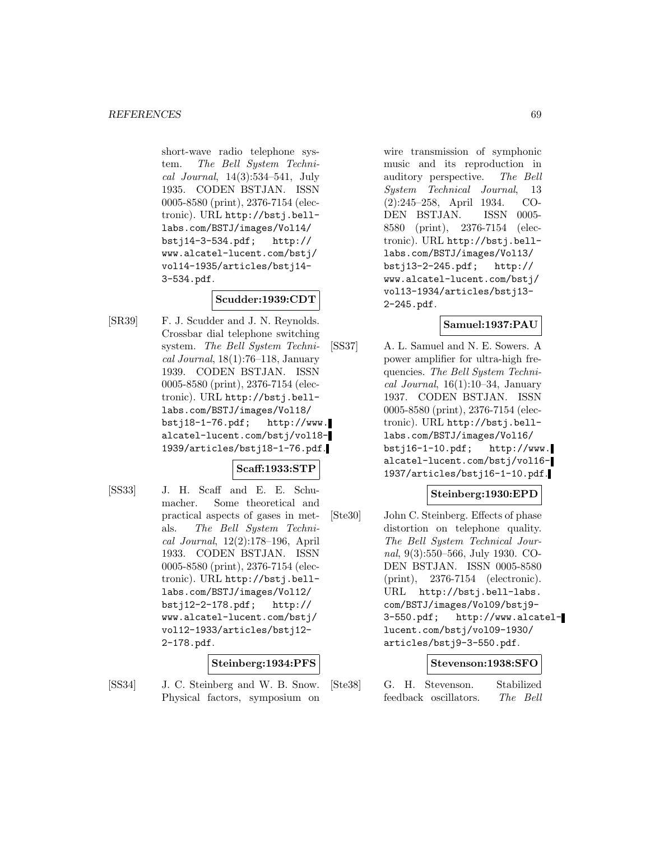short-wave radio telephone system. The Bell System Technical Journal, 14(3):534–541, July 1935. CODEN BSTJAN. ISSN 0005-8580 (print), 2376-7154 (electronic). URL http://bstj.belllabs.com/BSTJ/images/Vol14/ bstj14-3-534.pdf; http:// www.alcatel-lucent.com/bstj/ vol14-1935/articles/bstj14- 3-534.pdf.

### **Scudder:1939:CDT**

[SR39] F. J. Scudder and J. N. Reynolds. Crossbar dial telephone switching system. The Bell System Techni $cal Journal, 18(1):76–118, January$ 1939. CODEN BSTJAN. ISSN 0005-8580 (print), 2376-7154 (electronic). URL http://bstj.belllabs.com/BSTJ/images/Vol18/  $bsti18-1-76.pdf;$  http://www. alcatel-lucent.com/bstj/vol18- 1939/articles/bstj18-1-76.pdf.

## **Scaff:1933:STP**

[SS33] J. H. Scaff and E. E. Schumacher. Some theoretical and practical aspects of gases in metals. The Bell System Technical Journal, 12(2):178–196, April 1933. CODEN BSTJAN. ISSN 0005-8580 (print), 2376-7154 (electronic). URL http://bstj.belllabs.com/BSTJ/images/Vol12/ bstj12-2-178.pdf; http:// www.alcatel-lucent.com/bstj/ vol12-1933/articles/bstj12- 2-178.pdf.

#### **Steinberg:1934:PFS**

[SS34] J. C. Steinberg and W. B. Snow. Physical factors, symposium on

wire transmission of symphonic music and its reproduction in auditory perspective. The Bell System Technical Journal, 13 (2):245–258, April 1934. CO-DEN BSTJAN. ISSN 0005- 8580 (print), 2376-7154 (electronic). URL http://bstj.belllabs.com/BSTJ/images/Vol13/ bstj13-2-245.pdf; http:// www.alcatel-lucent.com/bstj/ vol13-1934/articles/bstj13- 2-245.pdf.

## **Samuel:1937:PAU**

[SS37] A. L. Samuel and N. E. Sowers. A power amplifier for ultra-high frequencies. The Bell System Technical Journal,  $16(1):10-34$ , January 1937. CODEN BSTJAN. ISSN 0005-8580 (print), 2376-7154 (electronic). URL http://bstj.belllabs.com/BSTJ/images/Vol16/ bstj16-1-10.pdf; http://www. alcatel-lucent.com/bstj/vol16- 1937/articles/bstj16-1-10.pdf.

## **Steinberg:1930:EPD**

[Ste30] John C. Steinberg. Effects of phase distortion on telephone quality. The Bell System Technical Journal, 9(3):550–566, July 1930. CO-DEN BSTJAN. ISSN 0005-8580 (print), 2376-7154 (electronic). URL http://bstj.bell-labs. com/BSTJ/images/Vol09/bstj9- 3-550.pdf; http://www.alcatellucent.com/bstj/vol09-1930/ articles/bstj9-3-550.pdf.

#### **Stevenson:1938:SFO**

[Ste38] G. H. Stevenson. Stabilized feedback oscillators. The Bell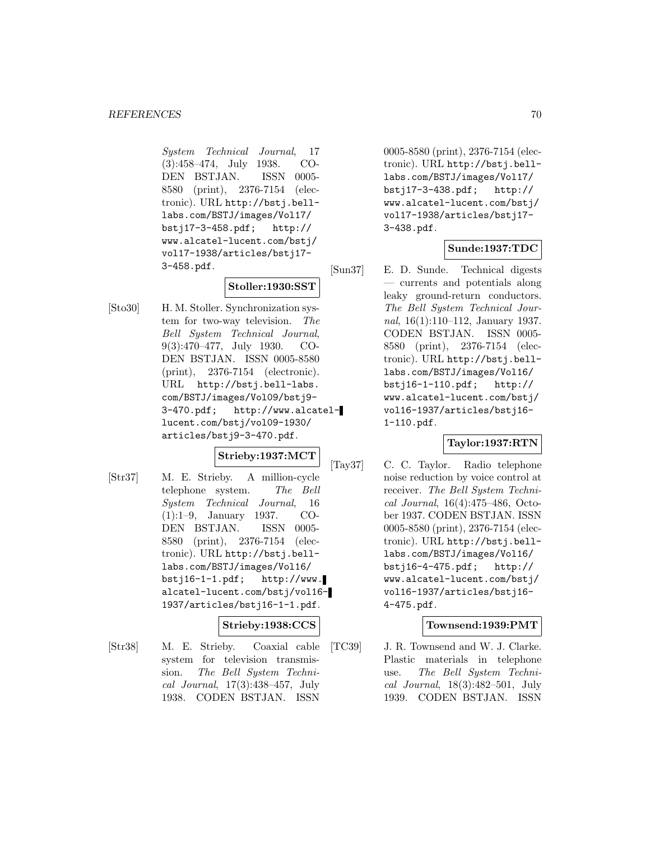System Technical Journal, 17 (3):458–474, July 1938. CO-DEN BSTJAN. ISSN 0005- 8580 (print), 2376-7154 (electronic). URL http://bstj.belllabs.com/BSTJ/images/Vol17/ bstj17-3-458.pdf; http:// www.alcatel-lucent.com/bstj/ vol17-1938/articles/bstj17- 3-458.pdf.

# **Stoller:1930:SST**

[Sto30] H. M. Stoller. Synchronization system for two-way television. The Bell System Technical Journal, 9(3):470–477, July 1930. CO-DEN BSTJAN. ISSN 0005-8580 (print), 2376-7154 (electronic). URL http://bstj.bell-labs. com/BSTJ/images/Vol09/bstj9- 3-470.pdf; http://www.alcatellucent.com/bstj/vol09-1930/ articles/bstj9-3-470.pdf.

#### **Strieby:1937:MCT**

[Str37] M. E. Strieby. A million-cycle telephone system. The Bell System Technical Journal, 16 (1):1–9, January 1937. CO-DEN BSTJAN. ISSN 0005- 8580 (print), 2376-7154 (electronic). URL http://bstj.belllabs.com/BSTJ/images/Vol16/  $bstj16-1-1.pdf;$  http://www. alcatel-lucent.com/bstj/vol16- 1937/articles/bstj16-1-1.pdf.

### **Strieby:1938:CCS**

[Str38] M. E. Strieby. Coaxial cable system for television transmission. The Bell System Technical Journal, 17(3):438–457, July 1938. CODEN BSTJAN. ISSN

0005-8580 (print), 2376-7154 (electronic). URL http://bstj.belllabs.com/BSTJ/images/Vol17/ bstj17-3-438.pdf; http:// www.alcatel-lucent.com/bstj/ vol17-1938/articles/bstj17- 3-438.pdf.

## **Sunde:1937:TDC**

[Sun37] E. D. Sunde. Technical digests — currents and potentials along leaky ground-return conductors. The Bell System Technical Journal, 16(1):110–112, January 1937. CODEN BSTJAN. ISSN 0005- 8580 (print), 2376-7154 (electronic). URL http://bstj.belllabs.com/BSTJ/images/Vol16/ bstj16-1-110.pdf; http:// www.alcatel-lucent.com/bstj/ vol16-1937/articles/bstj16- 1-110.pdf.

## **Taylor:1937:RTN**

[Tay37] C. C. Taylor. Radio telephone noise reduction by voice control at receiver. The Bell System Technical Journal, 16(4):475–486, October 1937. CODEN BSTJAN. ISSN 0005-8580 (print), 2376-7154 (electronic). URL http://bstj.belllabs.com/BSTJ/images/Vol16/ bstj16-4-475.pdf; http:// www.alcatel-lucent.com/bstj/ vol16-1937/articles/bstj16- 4-475.pdf.

#### **Townsend:1939:PMT**

[TC39] J. R. Townsend and W. J. Clarke. Plastic materials in telephone use. The Bell System Technical Journal, 18(3):482–501, July 1939. CODEN BSTJAN. ISSN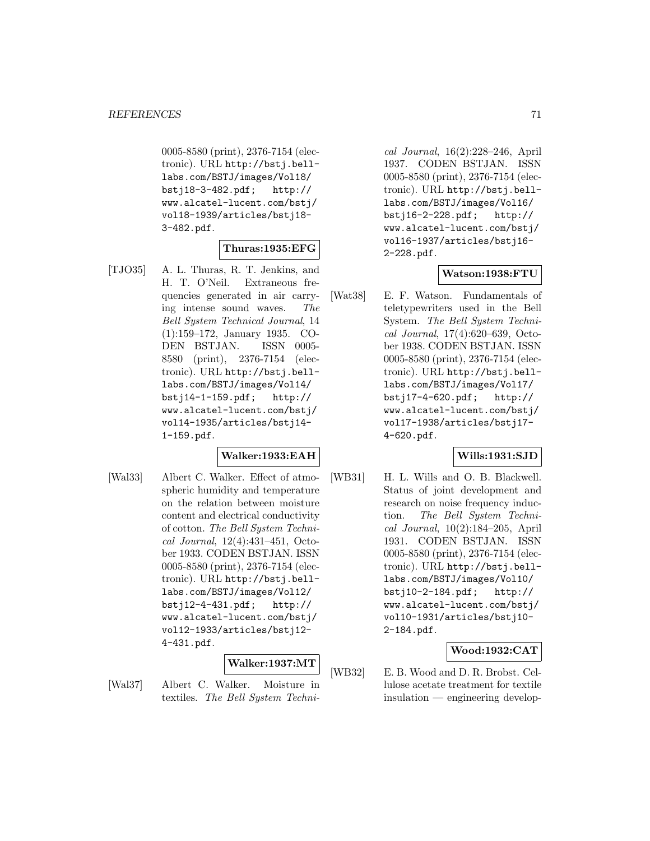0005-8580 (print), 2376-7154 (electronic). URL http://bstj.belllabs.com/BSTJ/images/Vol18/ bstj18-3-482.pdf; http:// www.alcatel-lucent.com/bstj/ vol18-1939/articles/bstj18- 3-482.pdf.

### **Thuras:1935:EFG**

[TJO35] A. L. Thuras, R. T. Jenkins, and H. T. O'Neil. Extraneous frequencies generated in air carrying intense sound waves. The Bell System Technical Journal, 14 (1):159–172, January 1935. CO-DEN BSTJAN. ISSN 0005- 8580 (print), 2376-7154 (electronic). URL http://bstj.belllabs.com/BSTJ/images/Vol14/ bstj14-1-159.pdf; http:// www.alcatel-lucent.com/bstj/ vol14-1935/articles/bstj14- 1-159.pdf.

#### **Walker:1933:EAH**

[Wal33] Albert C. Walker. Effect of atmospheric humidity and temperature on the relation between moisture content and electrical conductivity of cotton. The Bell System Technical Journal, 12(4):431–451, October 1933. CODEN BSTJAN. ISSN 0005-8580 (print), 2376-7154 (electronic). URL http://bstj.belllabs.com/BSTJ/images/Vol12/ bstj12-4-431.pdf; http:// www.alcatel-lucent.com/bstj/ vol12-1933/articles/bstj12- 4-431.pdf.

#### **Walker:1937:MT**

[Wal37] Albert C. Walker. Moisture in textiles. The Bell System Techni-

cal Journal, 16(2):228–246, April 1937. CODEN BSTJAN. ISSN 0005-8580 (print), 2376-7154 (electronic). URL http://bstj.belllabs.com/BSTJ/images/Vol16/ bstj16-2-228.pdf; http:// www.alcatel-lucent.com/bstj/ vol16-1937/articles/bstj16- 2-228.pdf.

#### **Watson:1938:FTU**

[Wat38] E. F. Watson. Fundamentals of teletypewriters used in the Bell System. The Bell System Technical Journal, 17(4):620–639, October 1938. CODEN BSTJAN. ISSN 0005-8580 (print), 2376-7154 (electronic). URL http://bstj.belllabs.com/BSTJ/images/Vol17/ bstj17-4-620.pdf; http:// www.alcatel-lucent.com/bstj/ vol17-1938/articles/bstj17- 4-620.pdf.

#### **Wills:1931:SJD**

[WB31] H. L. Wills and O. B. Blackwell. Status of joint development and research on noise frequency induction. The Bell System Technical Journal, 10(2):184–205, April 1931. CODEN BSTJAN. ISSN 0005-8580 (print), 2376-7154 (electronic). URL http://bstj.belllabs.com/BSTJ/images/Vol10/ bstj10-2-184.pdf; http:// www.alcatel-lucent.com/bstj/ vol10-1931/articles/bstj10- 2-184.pdf.

## **Wood:1932:CAT**

[WB32] E. B. Wood and D. R. Brobst. Cellulose acetate treatment for textile insulation — engineering develop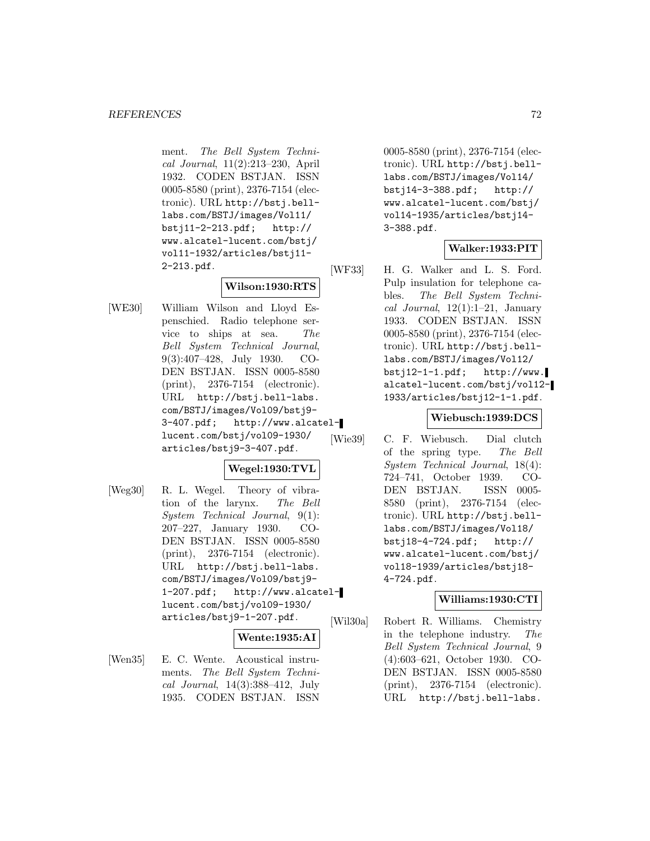ment. The Bell System Technical Journal, 11(2):213–230, April 1932. CODEN BSTJAN. ISSN 0005-8580 (print), 2376-7154 (electronic). URL http://bstj.belllabs.com/BSTJ/images/Vol11/ bstj11-2-213.pdf; http:// www.alcatel-lucent.com/bstj/ vol11-1932/articles/bstj11- 2-213.pdf.

# **Wilson:1930:RTS**

[WE30] William Wilson and Lloyd Espenschied. Radio telephone service to ships at sea. The Bell System Technical Journal, 9(3):407–428, July 1930. CO-DEN BSTJAN. ISSN 0005-8580 (print), 2376-7154 (electronic). URL http://bstj.bell-labs. com/BSTJ/images/Vol09/bstj9- 3-407.pdf; http://www.alcatellucent.com/bstj/vol09-1930/ articles/bstj9-3-407.pdf.

## **Wegel:1930:TVL**

[Weg30] R. L. Wegel. Theory of vibration of the larynx. The Bell System Technical Journal, 9(1): 207–227, January 1930. CO-DEN BSTJAN. ISSN 0005-8580 (print), 2376-7154 (electronic). URL http://bstj.bell-labs. com/BSTJ/images/Vol09/bstj9- 1-207.pdf; http://www.alcatellucent.com/bstj/vol09-1930/ articles/bstj9-1-207.pdf.

#### **Wente:1935:AI**

[Wen35] E. C. Wente. Acoustical instruments. The Bell System Technical Journal, 14(3):388–412, July 1935. CODEN BSTJAN. ISSN

0005-8580 (print), 2376-7154 (electronic). URL http://bstj.belllabs.com/BSTJ/images/Vol14/ bstj14-3-388.pdf; http:// www.alcatel-lucent.com/bstj/ vol14-1935/articles/bstj14- 3-388.pdf.

## **Walker:1933:PIT**

[WF33] H. G. Walker and L. S. Ford. Pulp insulation for telephone cables. The Bell System Technical Journal,  $12(1):1-21$ , January 1933. CODEN BSTJAN. ISSN 0005-8580 (print), 2376-7154 (electronic). URL http://bstj.belllabs.com/BSTJ/images/Vol12/ bstj12-1-1.pdf; http://www. alcatel-lucent.com/bstj/vol12- 1933/articles/bstj12-1-1.pdf.

## **Wiebusch:1939:DCS**

[Wie39] C. F. Wiebusch. Dial clutch of the spring type. The Bell System Technical Journal, 18(4): 724–741, October 1939. CO-DEN BSTJAN. ISSN 0005- 8580 (print), 2376-7154 (electronic). URL http://bstj.belllabs.com/BSTJ/images/Vol18/ bstj18-4-724.pdf; http:// www.alcatel-lucent.com/bstj/ vol18-1939/articles/bstj18- 4-724.pdf.

#### **Williams:1930:CTI**

[Wil30a] Robert R. Williams. Chemistry in the telephone industry. The Bell System Technical Journal, 9 (4):603–621, October 1930. CO-DEN BSTJAN. ISSN 0005-8580 (print), 2376-7154 (electronic). URL http://bstj.bell-labs.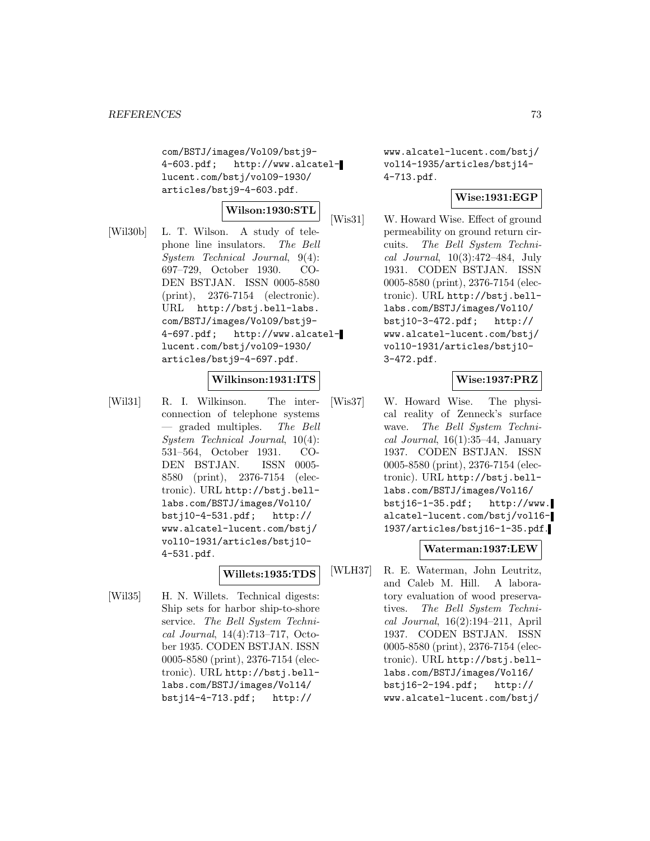com/BSTJ/images/Vol09/bstj9- 4-603.pdf; http://www.alcatellucent.com/bstj/vol09-1930/ articles/bstj9-4-603.pdf.

#### **Wilson:1930:STL**

[Wil30b] L. T. Wilson. A study of telephone line insulators. The Bell System Technical Journal, 9(4): 697–729, October 1930. CO-DEN BSTJAN. ISSN 0005-8580 (print), 2376-7154 (electronic). URL http://bstj.bell-labs. com/BSTJ/images/Vol09/bstj9- 4-697.pdf; http://www.alcatellucent.com/bstj/vol09-1930/ articles/bstj9-4-697.pdf.

### **Wilkinson:1931:ITS**

[Wil31] R. I. Wilkinson. The interconnection of telephone systems — graded multiples. The Bell System Technical Journal, 10(4): 531–564, October 1931. CO-DEN BSTJAN. ISSN 0005- 8580 (print), 2376-7154 (electronic). URL http://bstj.belllabs.com/BSTJ/images/Vol10/ bstj10-4-531.pdf; http:// www.alcatel-lucent.com/bstj/ vol10-1931/articles/bstj10- 4-531.pdf.

# **Willets:1935:TDS**

[Wil35] H. N. Willets. Technical digests: Ship sets for harbor ship-to-shore service. The Bell System Technical Journal, 14(4):713–717, October 1935. CODEN BSTJAN. ISSN 0005-8580 (print), 2376-7154 (electronic). URL http://bstj.belllabs.com/BSTJ/images/Vol14/ bstj14-4-713.pdf; http://

www.alcatel-lucent.com/bstj/ vol14-1935/articles/bstj14- 4-713.pdf.

### **Wise:1931:EGP**

[Wis31] W. Howard Wise. Effect of ground permeability on ground return circuits. The Bell System Technical Journal, 10(3):472–484, July 1931. CODEN BSTJAN. ISSN 0005-8580 (print), 2376-7154 (electronic). URL http://bstj.belllabs.com/BSTJ/images/Vol10/ bstj10-3-472.pdf; http:// www.alcatel-lucent.com/bstj/ vol10-1931/articles/bstj10- 3-472.pdf.

# **Wise:1937:PRZ**

[Wis37] W. Howard Wise. The physical reality of Zenneck's surface wave. The Bell System Technical Journal,  $16(1):35-44$ , January 1937. CODEN BSTJAN. ISSN 0005-8580 (print), 2376-7154 (electronic). URL http://bstj.belllabs.com/BSTJ/images/Vol16/ bstj16-1-35.pdf; http://www. alcatel-lucent.com/bstj/vol16- 1937/articles/bstj16-1-35.pdf.

#### **Waterman:1937:LEW**

[WLH37] R. E. Waterman, John Leutritz, and Caleb M. Hill. A laboratory evaluation of wood preservatives. The Bell System Technical Journal, 16(2):194–211, April 1937. CODEN BSTJAN. ISSN 0005-8580 (print), 2376-7154 (electronic). URL http://bstj.belllabs.com/BSTJ/images/Vol16/ bstj16-2-194.pdf; http:// www.alcatel-lucent.com/bstj/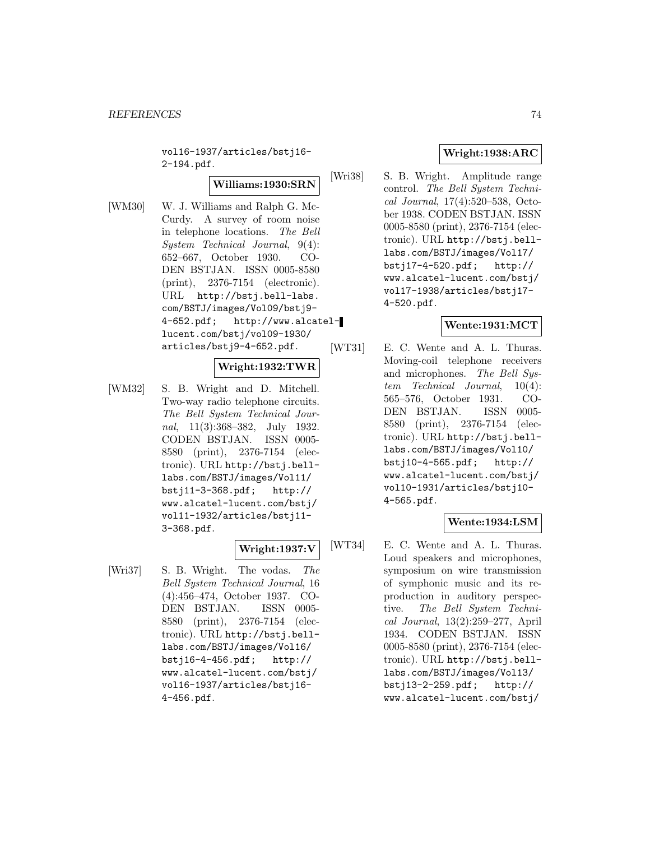vol16-1937/articles/bstj16- 2-194.pdf.

### **Williams:1930:SRN**

[WM30] W. J. Williams and Ralph G. Mc-Curdy. A survey of room noise in telephone locations. The Bell System Technical Journal, 9(4): 652–667, October 1930. CO-DEN BSTJAN. ISSN 0005-8580 (print), 2376-7154 (electronic). URL http://bstj.bell-labs. com/BSTJ/images/Vol09/bstj9- 4-652.pdf; http://www.alcatellucent.com/bstj/vol09-1930/ articles/bstj9-4-652.pdf.

# **Wright:1932:TWR**

[WM32] S. B. Wright and D. Mitchell. Two-way radio telephone circuits. The Bell System Technical Journal, 11(3):368–382, July 1932. CODEN BSTJAN. ISSN 0005- 8580 (print), 2376-7154 (electronic). URL http://bstj.belllabs.com/BSTJ/images/Vol11/ bstj11-3-368.pdf; http:// www.alcatel-lucent.com/bstj/ vol11-1932/articles/bstj11- 3-368.pdf.

# **Wright:1937:V**

[Wri37] S. B. Wright. The vodas. The Bell System Technical Journal, 16 (4):456–474, October 1937. CO-DEN BSTJAN. ISSN 0005- 8580 (print), 2376-7154 (electronic). URL http://bstj.belllabs.com/BSTJ/images/Vol16/ bstj16-4-456.pdf; http:// www.alcatel-lucent.com/bstj/ vol16-1937/articles/bstj16- 4-456.pdf.

# **Wright:1938:ARC**

[Wri38] S. B. Wright. Amplitude range control. The Bell System Technical Journal, 17(4):520–538, October 1938. CODEN BSTJAN. ISSN 0005-8580 (print), 2376-7154 (electronic). URL http://bstj.belllabs.com/BSTJ/images/Vol17/ bstj17-4-520.pdf; http:// www.alcatel-lucent.com/bstj/ vol17-1938/articles/bstj17- 4-520.pdf.

### **Wente:1931:MCT**

[WT31] E. C. Wente and A. L. Thuras. Moving-coil telephone receivers and microphones. The Bell System Technical Journal, 10(4): 565–576, October 1931. CO-DEN BSTJAN. ISSN 0005- 8580 (print), 2376-7154 (electronic). URL http://bstj.belllabs.com/BSTJ/images/Vol10/ bstj10-4-565.pdf; http:// www.alcatel-lucent.com/bstj/ vol10-1931/articles/bstj10- 4-565.pdf.

# **Wente:1934:LSM**

[WT34] E. C. Wente and A. L. Thuras. Loud speakers and microphones, symposium on wire transmission of symphonic music and its reproduction in auditory perspective. The Bell System Technical Journal, 13(2):259–277, April 1934. CODEN BSTJAN. ISSN 0005-8580 (print), 2376-7154 (electronic). URL http://bstj.belllabs.com/BSTJ/images/Vol13/ bstj13-2-259.pdf; http:// www.alcatel-lucent.com/bstj/